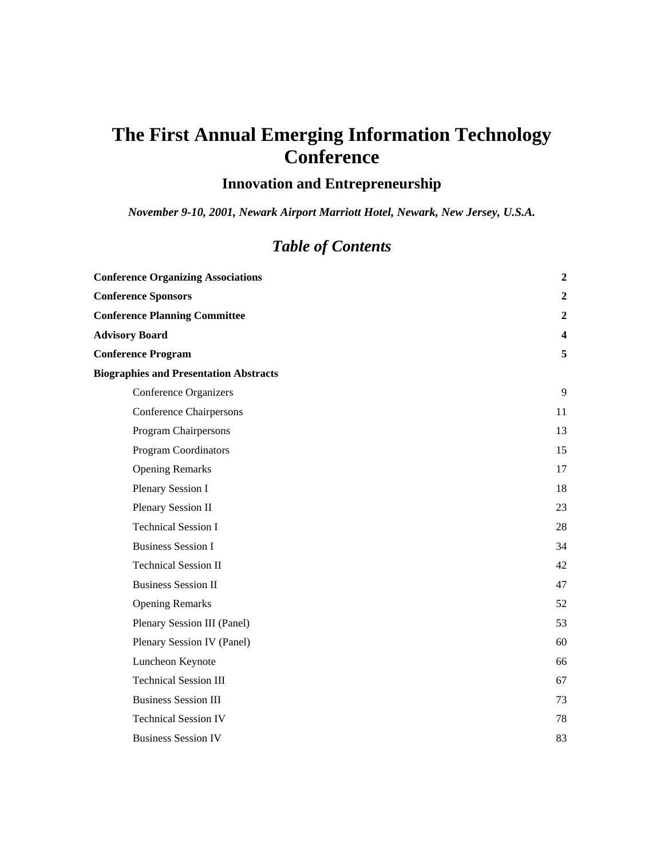# **The First Annual Emerging Information Technology Conference**

# **Innovation and Entrepreneurship**

*November 9-10, 2001, Newark Airport Marriott Hotel, Newark, New Jersey, U.S.A.* 

# *Table of Contents*

| <b>Conference Organizing Associations</b>     | $\boldsymbol{2}$        |
|-----------------------------------------------|-------------------------|
| <b>Conference Sponsors</b>                    | $\boldsymbol{2}$        |
| <b>Conference Planning Committee</b>          | $\boldsymbol{2}$        |
| <b>Advisory Board</b>                         | $\overline{\mathbf{4}}$ |
| <b>Conference Program</b>                     | 5                       |
| <b>Biographies and Presentation Abstracts</b> |                         |
| <b>Conference Organizers</b>                  | 9                       |
| <b>Conference Chairpersons</b>                | 11                      |
| Program Chairpersons                          | 13                      |
| <b>Program Coordinators</b>                   | 15                      |
| <b>Opening Remarks</b>                        | 17                      |
| Plenary Session I                             | 18                      |
| Plenary Session II                            | 23                      |
| <b>Technical Session I</b>                    | 28                      |
| <b>Business Session I</b>                     | 34                      |
| <b>Technical Session II</b>                   | 42                      |
| <b>Business Session II</b>                    | 47                      |
| <b>Opening Remarks</b>                        | 52                      |
| Plenary Session III (Panel)                   | 53                      |
| Plenary Session IV (Panel)                    | 60                      |
| Luncheon Keynote                              | 66                      |
| <b>Technical Session III</b>                  | 67                      |
| <b>Business Session III</b>                   | 73                      |
| <b>Technical Session IV</b>                   | 78                      |
| <b>Business Session IV</b>                    | 83                      |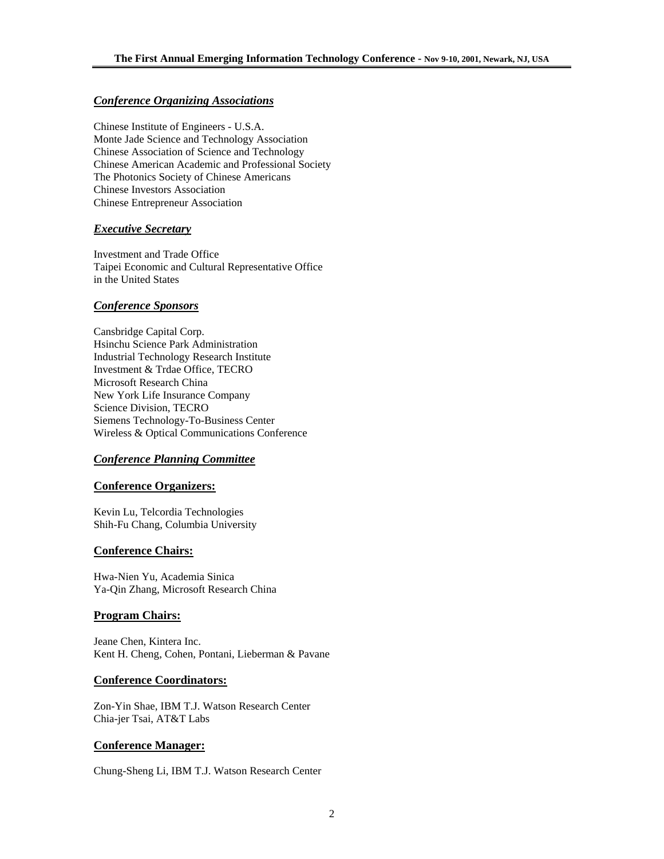## *Conference Organizing Associations*

Chinese Institute of Engineers - U.S.A. Monte Jade Science and Technology Association Chinese Association of Science and Technology Chinese American Academic and Professional Society The Photonics Society of Chinese Americans Chinese Investors Association Chinese Entrepreneur Association

## *Executive Secretary*

Investment and Trade Office Taipei Economic and Cultural Representative Office in the United States

## *Conference Sponsors*

Cansbridge Capital Corp. Hsinchu Science Park Administration Industrial Technology Research Institute Investment & Trdae Office, TECRO Microsoft Research China New York Life Insurance Company Science Division, TECRO Siemens Technology-To-Business Center Wireless & Optical Communications Conference

## *Conference Planning Committee*

## **Conference Organizers:**

Kevin Lu, Telcordia Technologies Shih-Fu Chang, Columbia University

## **Conference Chairs:**

Hwa-Nien Yu, Academia Sinica Ya-Qin Zhang, Microsoft Research China

## **Program Chairs:**

Jeane Chen, Kintera Inc. Kent H. Cheng, Cohen, Pontani, Lieberman & Pavane

## **Conference Coordinators:**

Zon-Yin Shae, IBM T.J. Watson Research Center Chia-jer Tsai, AT&T Labs

## **Conference Manager:**

Chung-Sheng Li, IBM T.J. Watson Research Center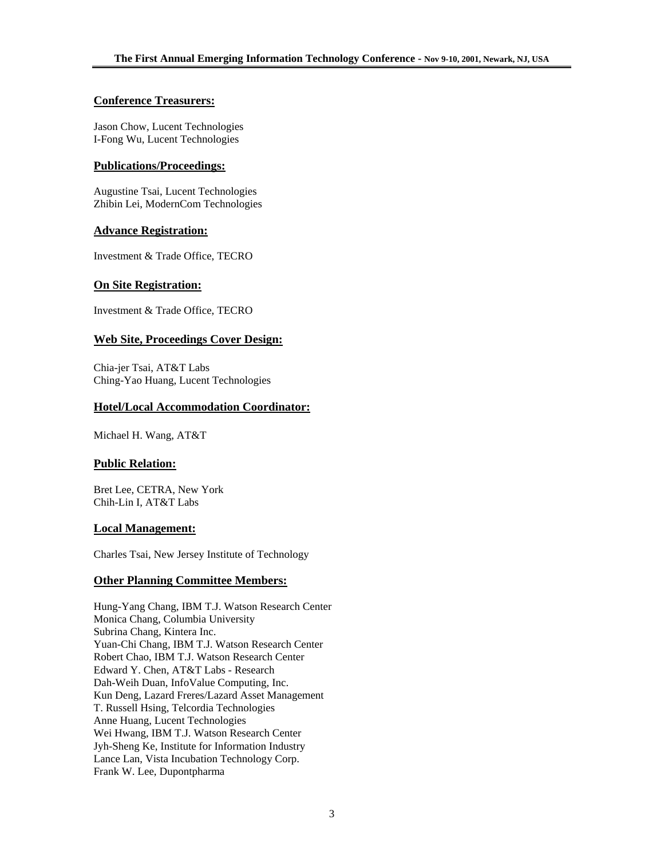## **Conference Treasurers:**

Jason Chow, Lucent Technologies I-Fong Wu, Lucent Technologies

## **Publications/Proceedings:**

Augustine Tsai, Lucent Technologies Zhibin Lei, ModernCom Technologies

## **Advance Registration:**

Investment & Trade Office, TECRO

## **On Site Registration:**

Investment & Trade Office, TECRO

## **Web Site, Proceedings Cover Design:**

Chia-jer Tsai, AT&T Labs Ching-Yao Huang, Lucent Technologies

## **Hotel/Local Accommodation Coordinator:**

Michael H. Wang, AT&T

## **Public Relation:**

Bret Lee, CETRA, New York Chih-Lin I, AT&T Labs

## **Local Management:**

Charles Tsai, New Jersey Institute of Technology

## **Other Planning Committee Members:**

Hung-Yang Chang, IBM T.J. Watson Research Center Monica Chang, Columbia University Subrina Chang, Kintera Inc. Yuan-Chi Chang, IBM T.J. Watson Research Center Robert Chao, IBM T.J. Watson Research Center Edward Y. Chen, AT&T Labs - Research Dah-Weih Duan, InfoValue Computing, Inc. Kun Deng, Lazard Freres/Lazard Asset Management T. Russell Hsing, Telcordia Technologies Anne Huang, Lucent Technologies Wei Hwang, IBM T.J. Watson Research Center Jyh-Sheng Ke, Institute for Information Industry Lance Lan, Vista Incubation Technology Corp. Frank W. Lee, Dupontpharma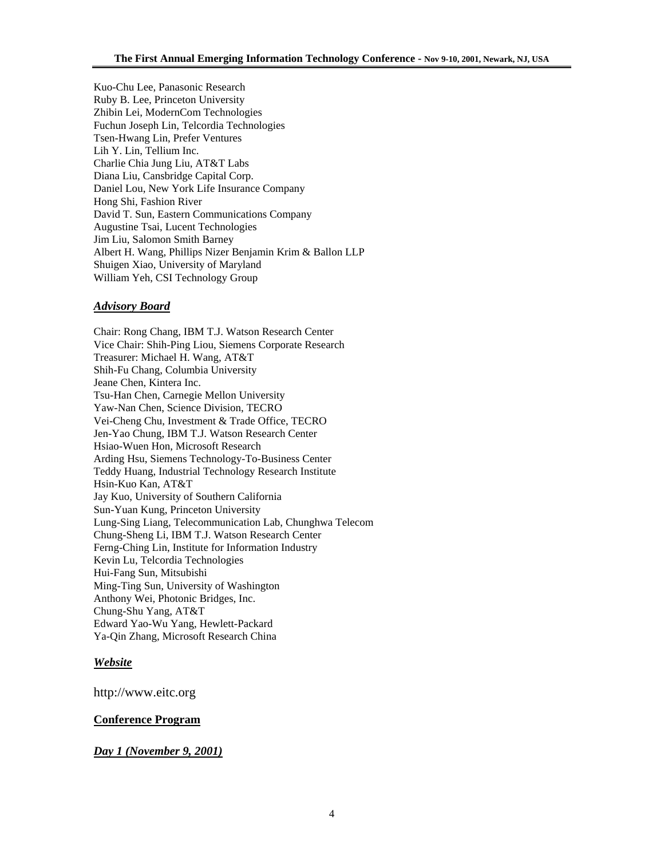Kuo-Chu Lee, Panasonic Research Ruby B. Lee, Princeton University Zhibin Lei, ModernCom Technologies Fuchun Joseph Lin, Telcordia Technologies Tsen-Hwang Lin, Prefer Ventures Lih Y. Lin, Tellium Inc. Charlie Chia Jung Liu, AT&T Labs Diana Liu, Cansbridge Capital Corp. Daniel Lou, New York Life Insurance Company Hong Shi, Fashion River David T. Sun, Eastern Communications Company Augustine Tsai, Lucent Technologies Jim Liu, Salomon Smith Barney Albert H. Wang, Phillips Nizer Benjamin Krim & Ballon LLP Shuigen Xiao, University of Maryland William Yeh, CSI Technology Group

## *Advisory Board*

Chair: Rong Chang, IBM T.J. Watson Research Center Vice Chair: Shih-Ping Liou, Siemens Corporate Research Treasurer: Michael H. Wang, AT&T Shih-Fu Chang, Columbia University Jeane Chen, Kintera Inc. Tsu-Han Chen, Carnegie Mellon University Yaw-Nan Chen, Science Division, TECRO Vei-Cheng Chu, Investment & Trade Office, TECRO Jen-Yao Chung, IBM T.J. Watson Research Center Hsiao-Wuen Hon, Microsoft Research Arding Hsu, Siemens Technology-To-Business Center Teddy Huang, Industrial Technology Research Institute Hsin-Kuo Kan, AT&T Jay Kuo, University of Southern California Sun-Yuan Kung, Princeton University Lung-Sing Liang, Telecommunication Lab, Chunghwa Telecom Chung-Sheng Li, IBM T.J. Watson Research Center Ferng-Ching Lin, Institute for Information Industry Kevin Lu, Telcordia Technologies Hui-Fang Sun, Mitsubishi Ming-Ting Sun, University of Washington Anthony Wei, Photonic Bridges, Inc. Chung-Shu Yang, AT&T Edward Yao-Wu Yang, Hewlett-Packard Ya-Qin Zhang, Microsoft Research China

## *Website*

http://www.eitc.org

## **Conference Program**

## *Day 1 (November 9, 2001)*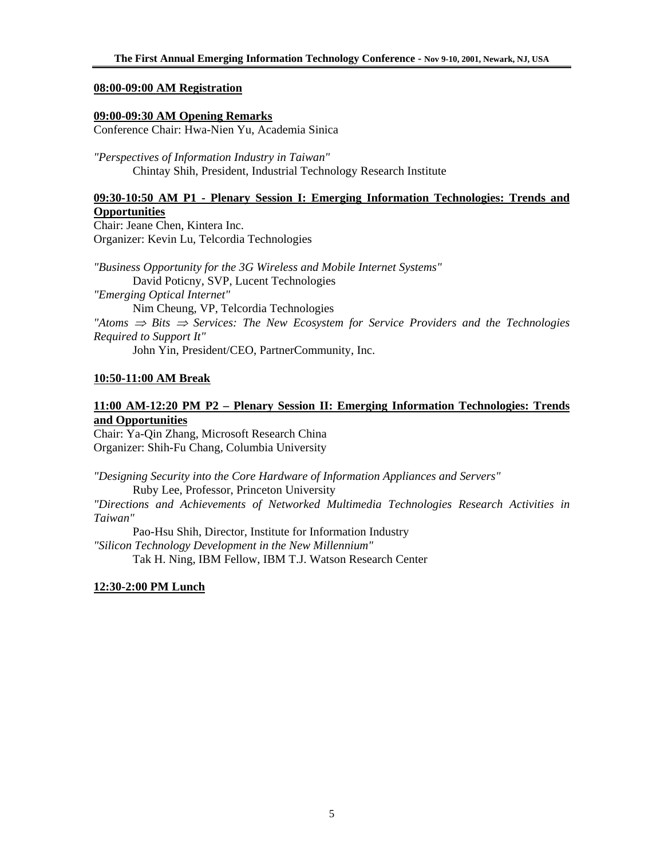## **08:00-09:00 AM Registration**

## **09:00-09:30 AM Opening Remarks**

Conference Chair: Hwa-Nien Yu, Academia Sinica

*"Perspectives of Information Industry in Taiwan"*  Chintay Shih, President, Industrial Technology Research Institute

# **09:30-10:50 AM P1 - Plenary Session I: Emerging Information Technologies: Trends and Opportunities**

Chair: Jeane Chen, Kintera Inc. Organizer: Kevin Lu, Telcordia Technologies

*"Business Opportunity for the 3G Wireless and Mobile Internet Systems"*  David Poticny, SVP, Lucent Technologies *"Emerging Optical Internet"* Nim Cheung, VP, Telcordia Technologies *"Atoms* ⇒ *Bits* ⇒ *Services: The New Ecosystem for Service Providers and the Technologies Required to Support It"* 

John Yin, President/CEO, PartnerCommunity, Inc.

## **10:50-11:00 AM Break**

# **11:00 AM-12:20 PM P2 – Plenary Session II: Emerging Information Technologies: Trends and Opportunities**

Chair: Ya-Qin Zhang, Microsoft Research China Organizer: Shih-Fu Chang, Columbia University

*"Designing Security into the Core Hardware of Information Appliances and Servers"*  Ruby Lee, Professor, Princeton University

*"Directions and Achievements of Networked Multimedia Technologies Research Activities in Taiwan"* 

Pao-Hsu Shih, Director, Institute for Information Industry *"Silicon Technology Development in the New Millennium"*  Tak H. Ning, IBM Fellow, IBM T.J. Watson Research Center

# **12:30-2:00 PM Lunch**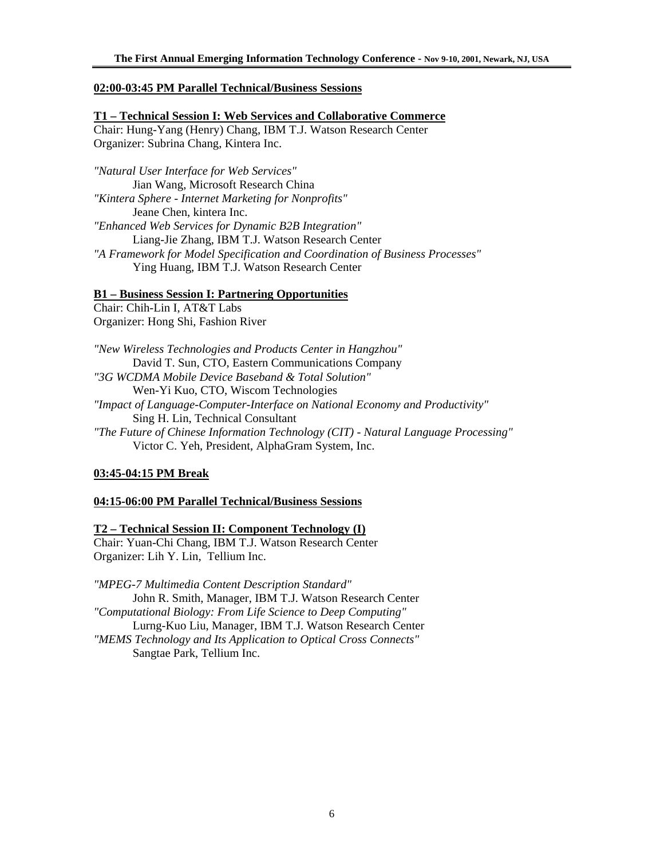## **02:00-03:45 PM Parallel Technical/Business Sessions**

**T1 – Technical Session I: Web Services and Collaborative Commerce** Chair: Hung-Yang (Henry) Chang, IBM T.J. Watson Research Center Organizer: Subrina Chang, Kintera Inc.

*"Natural User Interface for Web Services"*  Jian Wang, Microsoft Research China *"Kintera Sphere - Internet Marketing for Nonprofits"*  Jeane Chen, kintera Inc. *"Enhanced Web Services for Dynamic B2B Integration"*  Liang-Jie Zhang, IBM T.J. Watson Research Center *"A Framework for Model Specification and Coordination of Business Processes"*  Ying Huang, IBM T.J. Watson Research Center

## **B1 – Business Session I: Partnering Opportunities**

Chair: Chih-Lin I, AT&T Labs Organizer: Hong Shi, Fashion River

*"New Wireless Technologies and Products Center in Hangzhou"*  David T. Sun, CTO, Eastern Communications Company *"3G WCDMA Mobile Device Baseband & Total Solution"*  Wen-Yi Kuo, CTO, Wiscom Technologies *"Impact of Language-Computer-Interface on National Economy and Productivity"*  Sing H. Lin, Technical Consultant *"The Future of Chinese Information Technology (CIT) - Natural Language Processing"*  Victor C. Yeh, President, AlphaGram System, Inc.

## **03:45-04:15 PM Break**

## **04:15-06:00 PM Parallel Technical/Business Sessions**

## **T2 – Technical Session II: Component Technology (I)**

Chair: Yuan-Chi Chang, IBM T.J. Watson Research Center Organizer: Lih Y. Lin, Tellium Inc.

*"MPEG-7 Multimedia Content Description Standard"*  John R. Smith, Manager, IBM T.J. Watson Research Center *"Computational Biology: From Life Science to Deep Computing"*  Lurng-Kuo Liu, Manager, IBM T.J. Watson Research Center *"MEMS Technology and Its Application to Optical Cross Connects"*  Sangtae Park, Tellium Inc.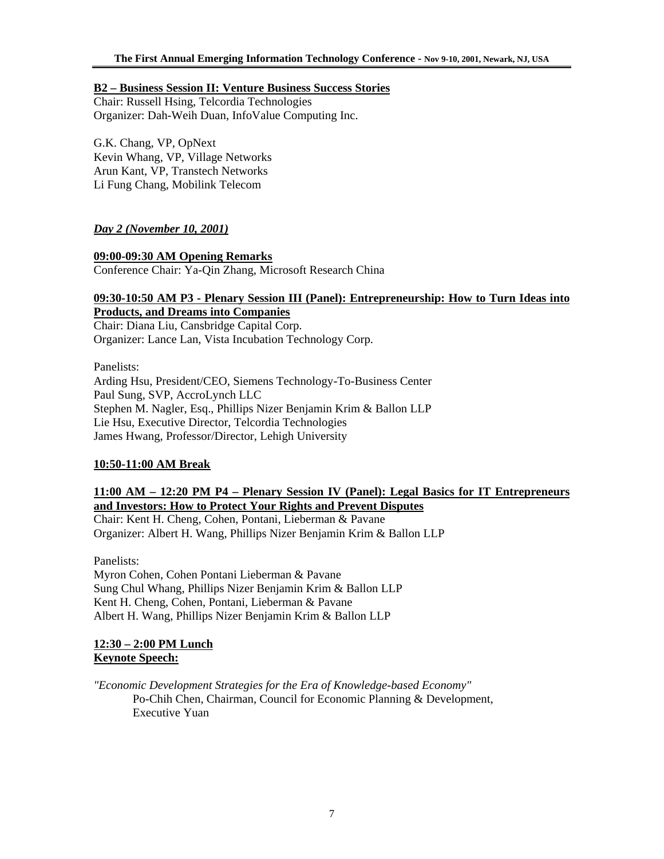## **B2 – Business Session II: Venture Business Success Stories**

Chair: Russell Hsing, Telcordia Technologies Organizer: Dah-Weih Duan, InfoValue Computing Inc.

G.K. Chang, VP, OpNext Kevin Whang, VP, Village Networks Arun Kant, VP, Transtech Networks Li Fung Chang, Mobilink Telecom

# *Day 2 (November 10, 2001)*

## **09:00-09:30 AM Opening Remarks**

Conference Chair: Ya-Qin Zhang, Microsoft Research China

## **09:30-10:50 AM P3 - Plenary Session III (Panel): Entrepreneurship: How to Turn Ideas into Products, and Dreams into Companies**

Chair: Diana Liu, Cansbridge Capital Corp. Organizer: Lance Lan, Vista Incubation Technology Corp.

Panelists: Arding Hsu, President/CEO, Siemens Technology-To-Business Center Paul Sung, SVP, AccroLynch LLC Stephen M. Nagler, Esq., Phillips Nizer Benjamin Krim & Ballon LLP Lie Hsu, Executive Director, Telcordia Technologies James Hwang, Professor/Director, Lehigh University

## **10:50-11:00 AM Break**

# **11:00 AM – 12:20 PM P4 – Plenary Session IV (Panel): Legal Basics for IT Entrepreneurs and Investors: How to Protect Your Rights and Prevent Disputes**

Chair: Kent H. Cheng, Cohen, Pontani, Lieberman & Pavane Organizer: Albert H. Wang, Phillips Nizer Benjamin Krim & Ballon LLP

Panelists: Myron Cohen, Cohen Pontani Lieberman & Pavane Sung Chul Whang, Phillips Nizer Benjamin Krim & Ballon LLP Kent H. Cheng, Cohen, Pontani, Lieberman & Pavane Albert H. Wang, Phillips Nizer Benjamin Krim & Ballon LLP

# **12:30 – 2:00 PM Lunch Keynote Speech:**

*"Economic Development Strategies for the Era of Knowledge-based Economy"*  Po-Chih Chen, Chairman, Council for Economic Planning & Development, Executive Yuan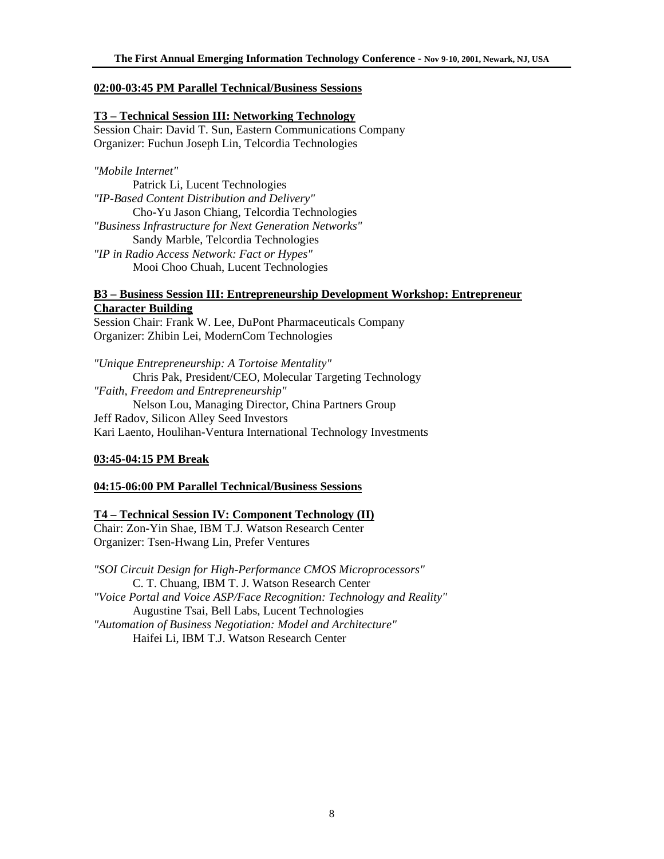## **02:00-03:45 PM Parallel Technical/Business Sessions**

## **T3 – Technical Session III: Networking Technology**

Session Chair: David T. Sun, Eastern Communications Company Organizer: Fuchun Joseph Lin, Telcordia Technologies

## *"Mobile Internet"*

Patrick Li, Lucent Technologies *"IP-Based Content Distribution and Delivery"*  Cho-Yu Jason Chiang, Telcordia Technologies *"Business Infrastructure for Next Generation Networks"*  Sandy Marble, Telcordia Technologies *"IP in Radio Access Network: Fact or Hypes"*  Mooi Choo Chuah, Lucent Technologies

# **B3 – Business Session III: Entrepreneurship Development Workshop: Entrepreneur Character Building**

Session Chair: Frank W. Lee, DuPont Pharmaceuticals Company Organizer: Zhibin Lei, ModernCom Technologies

*"Unique Entrepreneurship: A Tortoise Mentality"*  Chris Pak, President/CEO, Molecular Targeting Technology *"Faith, Freedom and Entrepreneurship"*  Nelson Lou, Managing Director, China Partners Group Jeff Radov, Silicon Alley Seed Investors Kari Laento, Houlihan-Ventura International Technology Investments

## **03:45-04:15 PM Break**

## **04:15-06:00 PM Parallel Technical/Business Sessions**

## **T4 – Technical Session IV: Component Technology (II)**

Chair: Zon-Yin Shae, IBM T.J. Watson Research Center Organizer: Tsen-Hwang Lin, Prefer Ventures

*"SOI Circuit Design for High-Performance CMOS Microprocessors"*  C. T. Chuang, IBM T. J. Watson Research Center *"Voice Portal and Voice ASP/Face Recognition: Technology and Reality"*  Augustine Tsai, Bell Labs, Lucent Technologies *"Automation of Business Negotiation: Model and Architecture"*  Haifei Li, IBM T.J. Watson Research Center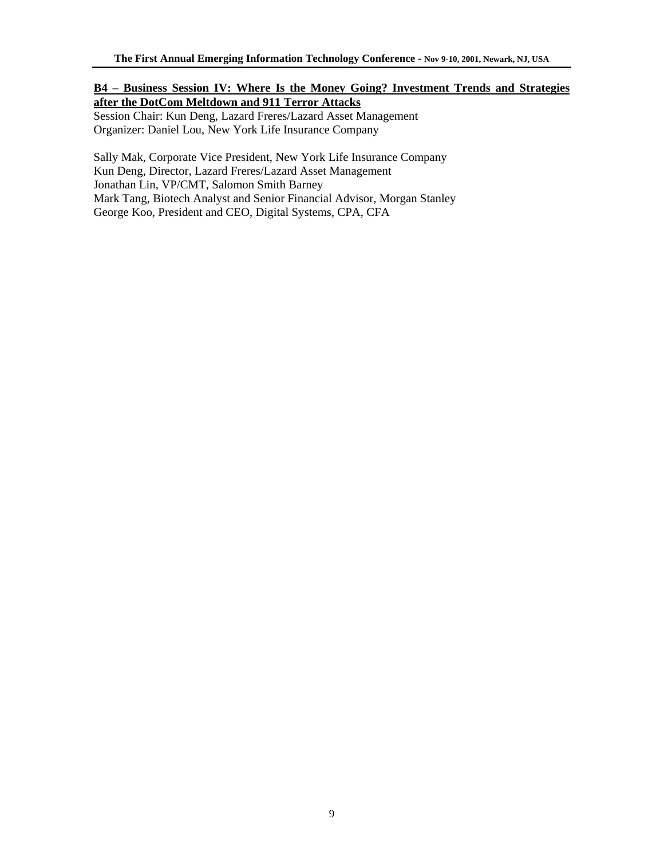# **B4 – Business Session IV: Where Is the Money Going? Investment Trends and Strategies after the DotCom Meltdown and 911 Terror Attacks**

Session Chair: Kun Deng, Lazard Freres/Lazard Asset Management Organizer: Daniel Lou, New York Life Insurance Company

Sally Mak, Corporate Vice President, New York Life Insurance Company Kun Deng, Director, Lazard Freres/Lazard Asset Management Jonathan Lin, VP/CMT, Salomon Smith Barney Mark Tang, Biotech Analyst and Senior Financial Advisor, Morgan Stanley George Koo, President and CEO, Digital Systems, CPA, CFA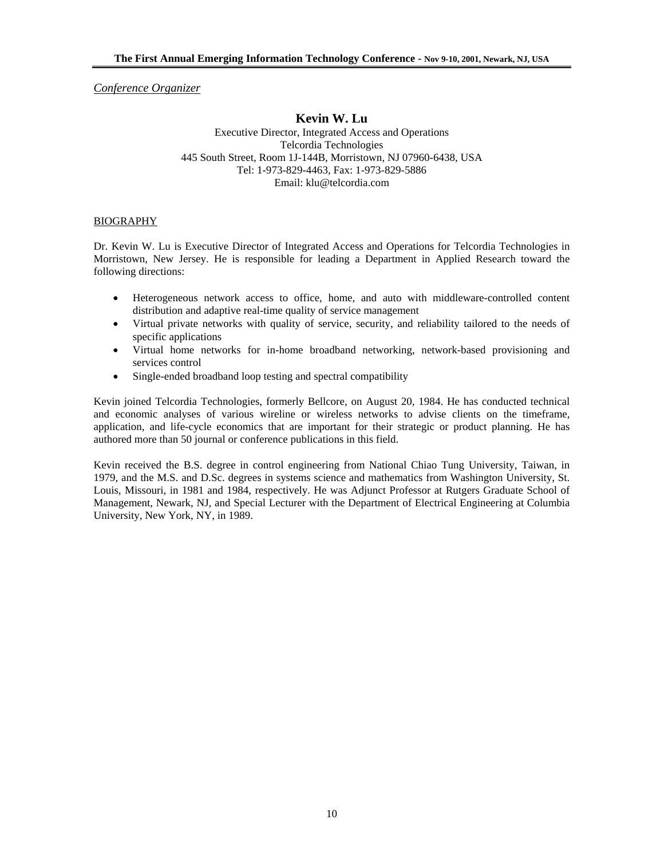*Conference Organizer*

## **Kevin W. Lu**

Executive Director, Integrated Access and Operations Telcordia Technologies 445 South Street, Room 1J-144B, Morristown, NJ 07960-6438, USA Tel: 1-973-829-4463, Fax: 1-973-829-5886 Email: klu@telcordia.com

#### BIOGRAPHY

Dr. Kevin W. Lu is Executive Director of Integrated Access and Operations for Telcordia Technologies in Morristown, New Jersey. He is responsible for leading a Department in Applied Research toward the following directions:

- Heterogeneous network access to office, home, and auto with middleware-controlled content distribution and adaptive real-time quality of service management
- Virtual private networks with quality of service, security, and reliability tailored to the needs of specific applications
- Virtual home networks for in-home broadband networking, network-based provisioning and services control
- Single-ended broadband loop testing and spectral compatibility

Kevin joined Telcordia Technologies, formerly Bellcore, on August 20, 1984. He has conducted technical and economic analyses of various wireline or wireless networks to advise clients on the timeframe, application, and life-cycle economics that are important for their strategic or product planning. He has authored more than 50 journal or conference publications in this field.

Kevin received the B.S. degree in control engineering from National Chiao Tung University, Taiwan, in 1979, and the M.S. and D.Sc. degrees in systems science and mathematics from Washington University, St. Louis, Missouri, in 1981 and 1984, respectively. He was Adjunct Professor at Rutgers Graduate School of Management, Newark, NJ, and Special Lecturer with the Department of Electrical Engineering at Columbia University, New York, NY, in 1989.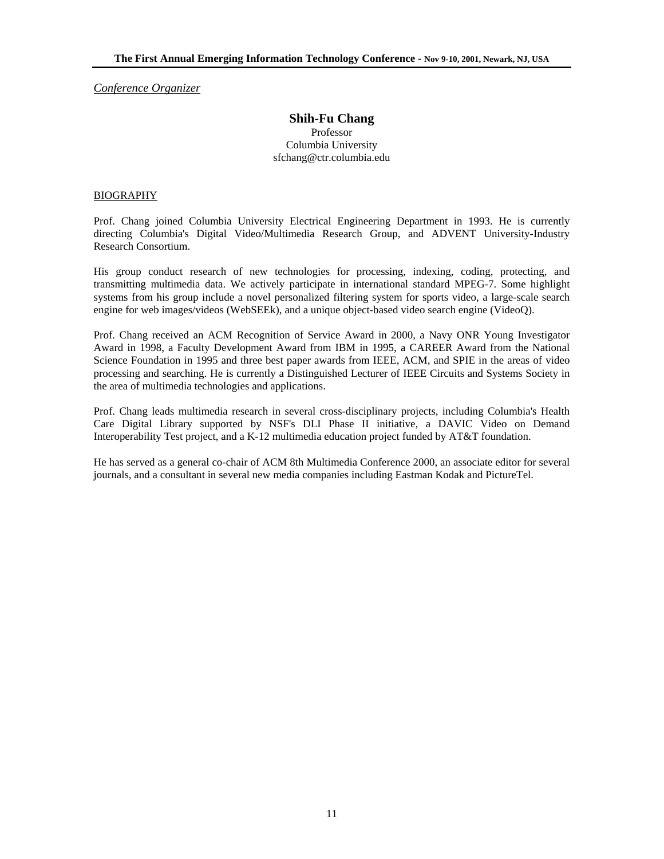*Conference Organizer*

## **Shih-Fu Chang**  Professor Columbia University sfchang@ctr.columbia.edu

#### BIOGRAPHY

Prof. Chang joined Columbia University Electrical Engineering Department in 1993. He is currently directing Columbia's Digital Video/Multimedia Research Group, and ADVENT University-Industry Research Consortium.

His group conduct research of new technologies for processing, indexing, coding, protecting, and transmitting multimedia data. We actively participate in international standard MPEG-7. Some highlight systems from his group include a novel personalized filtering system for sports video, a large-scale search engine for web images/videos (WebSEEk), and a unique object-based video search engine (VideoQ).

Prof. Chang received an ACM Recognition of Service Award in 2000, a Navy ONR Young Investigator Award in 1998, a Faculty Development Award from IBM in 1995, a CAREER Award from the National Science Foundation in 1995 and three best paper awards from IEEE, ACM, and SPIE in the areas of video processing and searching. He is currently a Distinguished Lecturer of IEEE Circuits and Systems Society in the area of multimedia technologies and applications.

Prof. Chang leads multimedia research in several cross-disciplinary projects, including Columbia's Health Care Digital Library supported by NSF's DLI Phase II initiative, a DAVIC Video on Demand Interoperability Test project, and a K-12 multimedia education project funded by AT&T foundation.

He has served as a general co-chair of ACM 8th Multimedia Conference 2000, an associate editor for several journals, and a consultant in several new media companies including Eastman Kodak and PictureTel.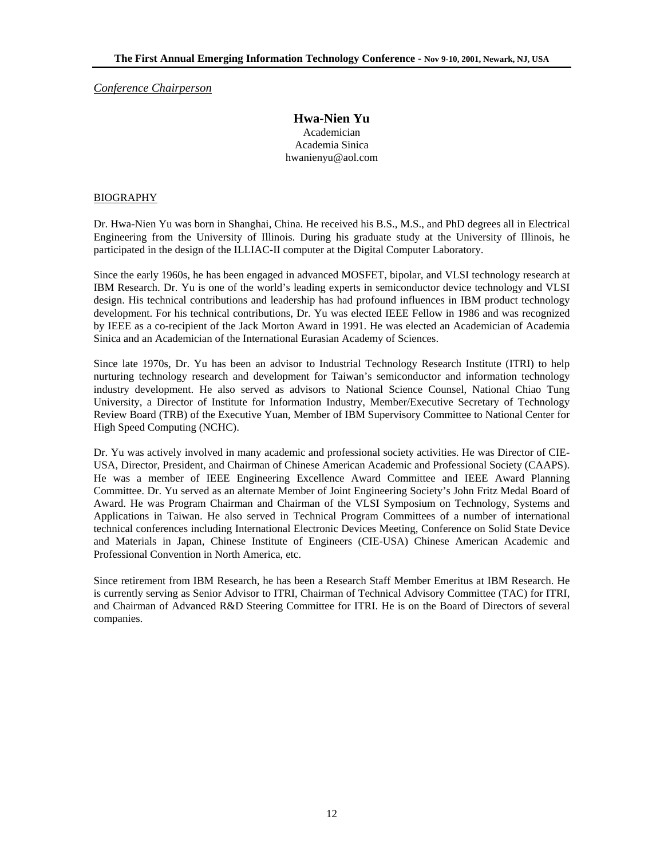*Conference Chairperson*

## **Hwa-Nien Yu**  Academician Academia Sinica hwanienyu@aol.com

#### BIOGRAPHY

Dr. Hwa-Nien Yu was born in Shanghai, China. He received his B.S., M.S., and PhD degrees all in Electrical Engineering from the University of Illinois. During his graduate study at the University of Illinois, he participated in the design of the ILLIAC-II computer at the Digital Computer Laboratory.

Since the early 1960s, he has been engaged in advanced MOSFET, bipolar, and VLSI technology research at IBM Research. Dr. Yu is one of the world's leading experts in semiconductor device technology and VLSI design. His technical contributions and leadership has had profound influences in IBM product technology development. For his technical contributions, Dr. Yu was elected IEEE Fellow in 1986 and was recognized by IEEE as a co-recipient of the Jack Morton Award in 1991. He was elected an Academician of Academia Sinica and an Academician of the International Eurasian Academy of Sciences.

Since late 1970s, Dr. Yu has been an advisor to Industrial Technology Research Institute (ITRI) to help nurturing technology research and development for Taiwan's semiconductor and information technology industry development. He also served as advisors to National Science Counsel, National Chiao Tung University, a Director of Institute for Information Industry, Member/Executive Secretary of Technology Review Board (TRB) of the Executive Yuan, Member of IBM Supervisory Committee to National Center for High Speed Computing (NCHC).

Dr. Yu was actively involved in many academic and professional society activities. He was Director of CIE-USA, Director, President, and Chairman of Chinese American Academic and Professional Society (CAAPS). He was a member of IEEE Engineering Excellence Award Committee and IEEE Award Planning Committee. Dr. Yu served as an alternate Member of Joint Engineering Society's John Fritz Medal Board of Award. He was Program Chairman and Chairman of the VLSI Symposium on Technology, Systems and Applications in Taiwan. He also served in Technical Program Committees of a number of international technical conferences including International Electronic Devices Meeting, Conference on Solid State Device and Materials in Japan, Chinese Institute of Engineers (CIE-USA) Chinese American Academic and Professional Convention in North America, etc.

Since retirement from IBM Research, he has been a Research Staff Member Emeritus at IBM Research. He is currently serving as Senior Advisor to ITRI, Chairman of Technical Advisory Committee (TAC) for ITRI, and Chairman of Advanced R&D Steering Committee for ITRI. He is on the Board of Directors of several companies.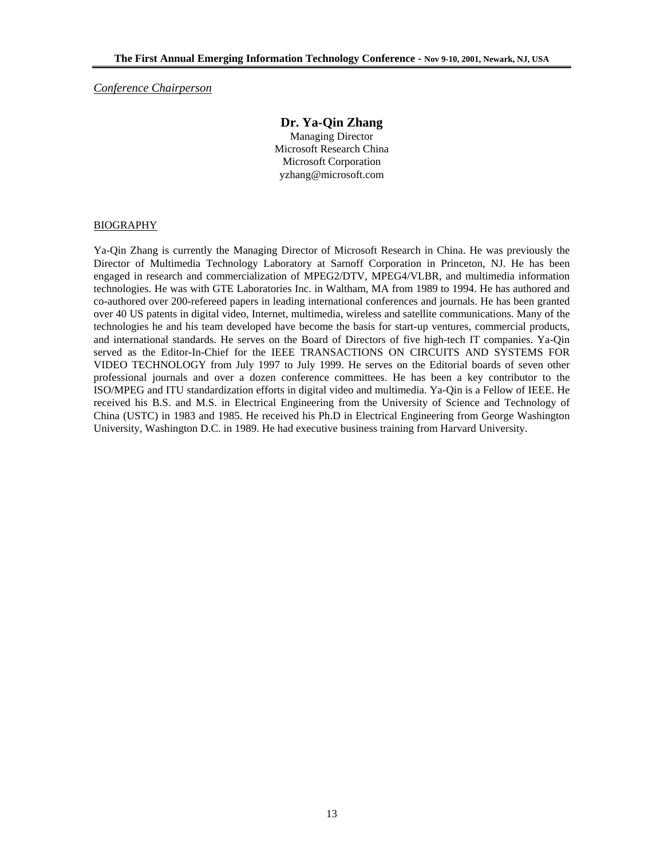*Conference Chairperson*

# **Dr. Ya-Qin Zhang**

Managing Director Microsoft Research China Microsoft Corporation yzhang@microsoft.com

#### BIOGRAPHY

Ya-Qin Zhang is currently the Managing Director of Microsoft Research in China. He was previously the Director of Multimedia Technology Laboratory at Sarnoff Corporation in Princeton, NJ. He has been engaged in research and commercialization of MPEG2/DTV, MPEG4/VLBR, and multimedia information technologies. He was with GTE Laboratories Inc. in Waltham, MA from 1989 to 1994. He has authored and co-authored over 200-refereed papers in leading international conferences and journals. He has been granted over 40 US patents in digital video, Internet, multimedia, wireless and satellite communications. Many of the technologies he and his team developed have become the basis for start-up ventures, commercial products, and international standards. He serves on the Board of Directors of five high-tech IT companies. Ya-Qin served as the Editor-In-Chief for the IEEE TRANSACTIONS ON CIRCUITS AND SYSTEMS FOR VIDEO TECHNOLOGY from July 1997 to July 1999. He serves on the Editorial boards of seven other professional journals and over a dozen conference committees. He has been a key contributor to the ISO/MPEG and ITU standardization efforts in digital video and multimedia. Ya-Qin is a Fellow of IEEE. He received his B.S. and M.S. in Electrical Engineering from the University of Science and Technology of China (USTC) in 1983 and 1985. He received his Ph.D in Electrical Engineering from George Washington University, Washington D.C. in 1989. He had executive business training from Harvard University.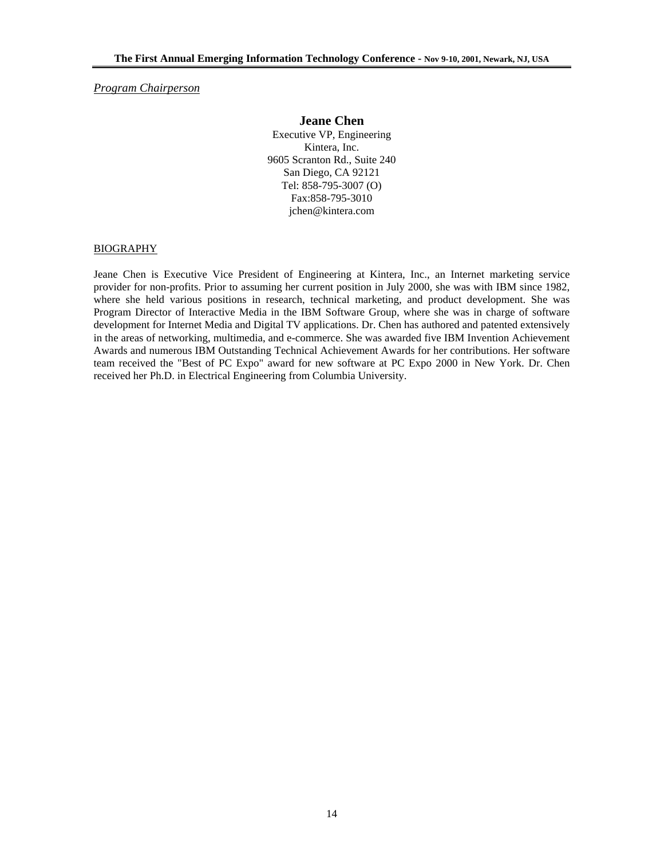*Program Chairperson*

#### **Jeane Chen**

Executive VP, Engineering Kintera, Inc. 9605 Scranton Rd., Suite 240 San Diego, CA 92121 Tel: 858-795-3007 (O) Fax:858-795-3010 jchen@kintera.com

#### BIOGRAPHY

Jeane Chen is Executive Vice President of Engineering at Kintera, Inc., an Internet marketing service provider for non-profits. Prior to assuming her current position in July 2000, she was with IBM since 1982, where she held various positions in research, technical marketing, and product development. She was Program Director of Interactive Media in the IBM Software Group, where she was in charge of software development for Internet Media and Digital TV applications. Dr. Chen has authored and patented extensively in the areas of networking, multimedia, and e-commerce. She was awarded five IBM Invention Achievement Awards and numerous IBM Outstanding Technical Achievement Awards for her contributions. Her software team received the "Best of PC Expo" award for new software at PC Expo 2000 in New York. Dr. Chen received her Ph.D. in Electrical Engineering from Columbia University.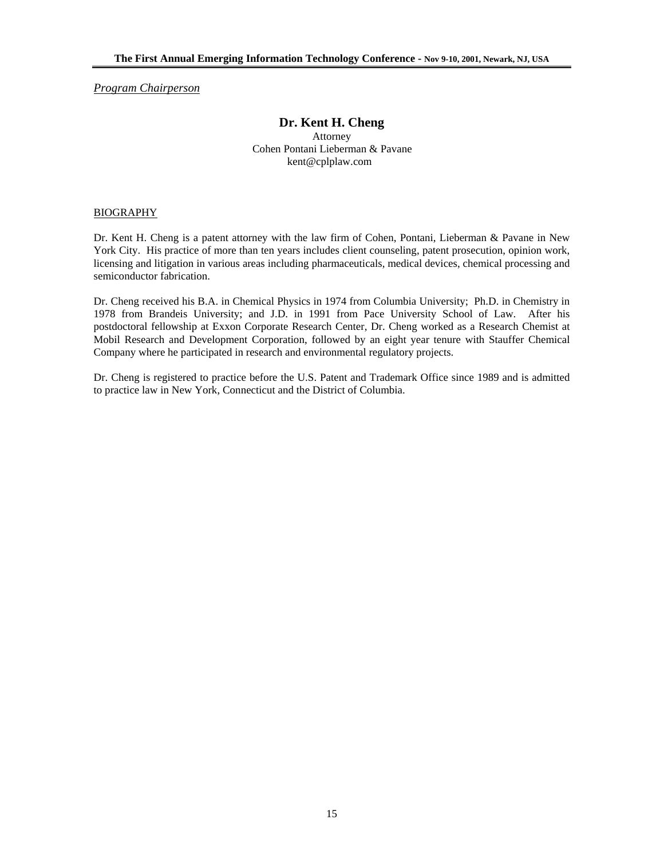*Program Chairperson*

# **Dr. Kent H. Cheng**

Attorney Cohen Pontani Lieberman & Pavane kent@cplplaw.com

#### BIOGRAPHY

Dr. Kent H. Cheng is a patent attorney with the law firm of Cohen, Pontani, Lieberman & Pavane in New York City. His practice of more than ten years includes client counseling, patent prosecution, opinion work, licensing and litigation in various areas including pharmaceuticals, medical devices, chemical processing and semiconductor fabrication.

Dr. Cheng received his B.A. in Chemical Physics in 1974 from Columbia University; Ph.D. in Chemistry in 1978 from Brandeis University; and J.D. in 1991 from Pace University School of Law. After his postdoctoral fellowship at Exxon Corporate Research Center, Dr. Cheng worked as a Research Chemist at Mobil Research and Development Corporation, followed by an eight year tenure with Stauffer Chemical Company where he participated in research and environmental regulatory projects.

Dr. Cheng is registered to practice before the U.S. Patent and Trademark Office since 1989 and is admitted to practice law in New York, Connecticut and the District of Columbia.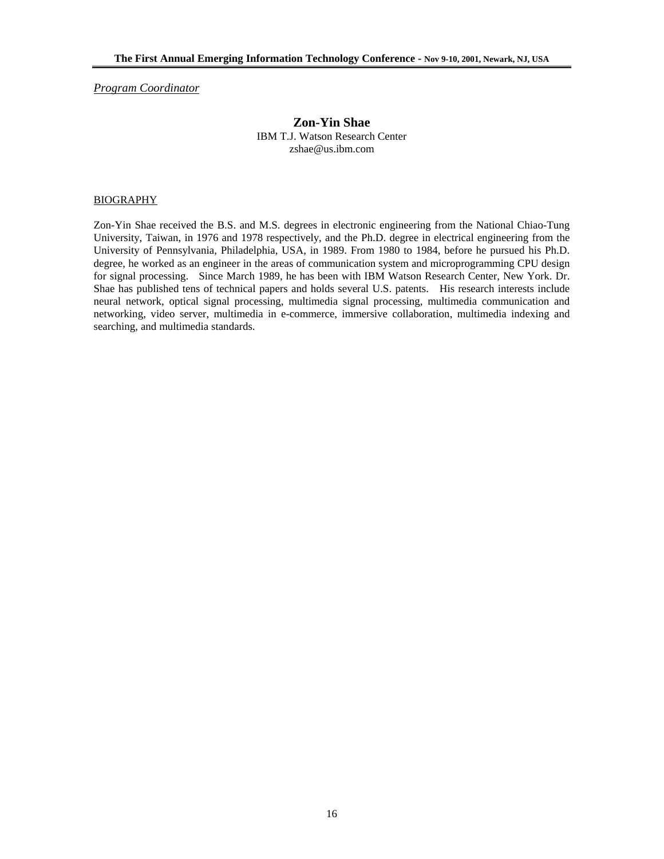*Program Coordinator*

#### **Zon-Yin Shae**  IBM T.J. Watson Research Center zshae@us.ibm.com

#### BIOGRAPHY

Zon-Yin Shae received the B.S. and M.S. degrees in electronic engineering from the National Chiao-Tung University, Taiwan, in 1976 and 1978 respectively, and the Ph.D. degree in electrical engineering from the University of Pennsylvania, Philadelphia, USA, in 1989. From 1980 to 1984, before he pursued his Ph.D. degree, he worked as an engineer in the areas of communication system and microprogramming CPU design for signal processing. Since March 1989, he has been with IBM Watson Research Center, New York. Dr. Shae has published tens of technical papers and holds several U.S. patents. His research interests include neural network, optical signal processing, multimedia signal processing, multimedia communication and networking, video server, multimedia in e-commerce, immersive collaboration, multimedia indexing and searching, and multimedia standards.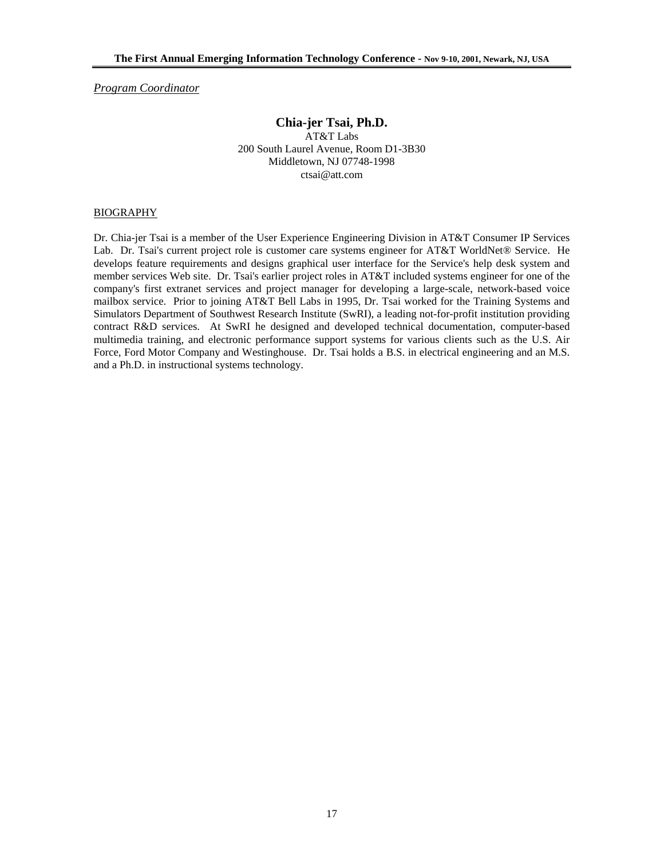*Program Coordinator*

# **Chia-jer Tsai, Ph.D.**

AT&T Labs 200 South Laurel Avenue, Room D1-3B30 Middletown, NJ 07748-1998 ctsai@att.com

#### BIOGRAPHY

Dr. Chia-jer Tsai is a member of the User Experience Engineering Division in AT&T Consumer IP Services Lab. Dr. Tsai's current project role is customer care systems engineer for AT&T WorldNet® Service. He develops feature requirements and designs graphical user interface for the Service's help desk system and member services Web site. Dr. Tsai's earlier project roles in AT&T included systems engineer for one of the company's first extranet services and project manager for developing a large-scale, network-based voice mailbox service. Prior to joining AT&T Bell Labs in 1995, Dr. Tsai worked for the Training Systems and Simulators Department of Southwest Research Institute (SwRI), a leading not-for-profit institution providing contract R&D services. At SwRI he designed and developed technical documentation, computer-based multimedia training, and electronic performance support systems for various clients such as the U.S. Air Force, Ford Motor Company and Westinghouse. Dr. Tsai holds a B.S. in electrical engineering and an M.S. and a Ph.D. in instructional systems technology.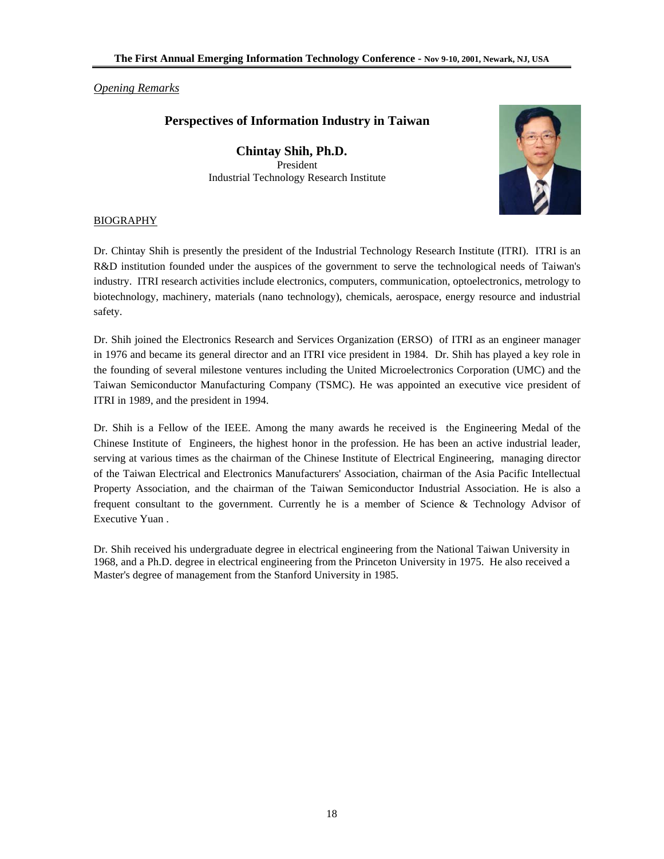## *Opening Remarks*

# **Perspectives of Information Industry in Taiwan**

**Chintay Shih, Ph.D.**  President Industrial Technology Research Institute



## BIOGRAPHY

Dr. Chintay Shih is presently the president of the Industrial Technology Research Institute (ITRI). ITRI is an R&D institution founded under the auspices of the government to serve the technological needs of Taiwan's industry. ITRI research activities include electronics, computers, communication, optoelectronics, metrology to biotechnology, machinery, materials (nano technology), chemicals, aerospace, energy resource and industrial safety.

Dr. Shih joined the Electronics Research and Services Organization (ERSO) of ITRI as an engineer manager in 1976 and became its general director and an ITRI vice president in 1984. Dr. Shih has played a key role in the founding of several milestone ventures including the United Microelectronics Corporation (UMC) and the Taiwan Semiconductor Manufacturing Company (TSMC). He was appointed an executive vice president of ITRI in 1989, and the president in 1994.

Dr. Shih is a Fellow of the IEEE. Among the many awards he received is the Engineering Medal of the Chinese Institute of Engineers, the highest honor in the profession. He has been an active industrial leader, serving at various times as the chairman of the Chinese Institute of Electrical Engineering, managing director of the Taiwan Electrical and Electronics Manufacturers' Association, chairman of the Asia Pacific Intellectual Property Association, and the chairman of the Taiwan Semiconductor Industrial Association. He is also a frequent consultant to the government. Currently he is a member of Science & Technology Advisor of Executive Yuan .

Dr. Shih received his undergraduate degree in electrical engineering from the National Taiwan University in 1968, and a Ph.D. degree in electrical engineering from the Princeton University in 1975. He also received a Master's degree of management from the Stanford University in 1985.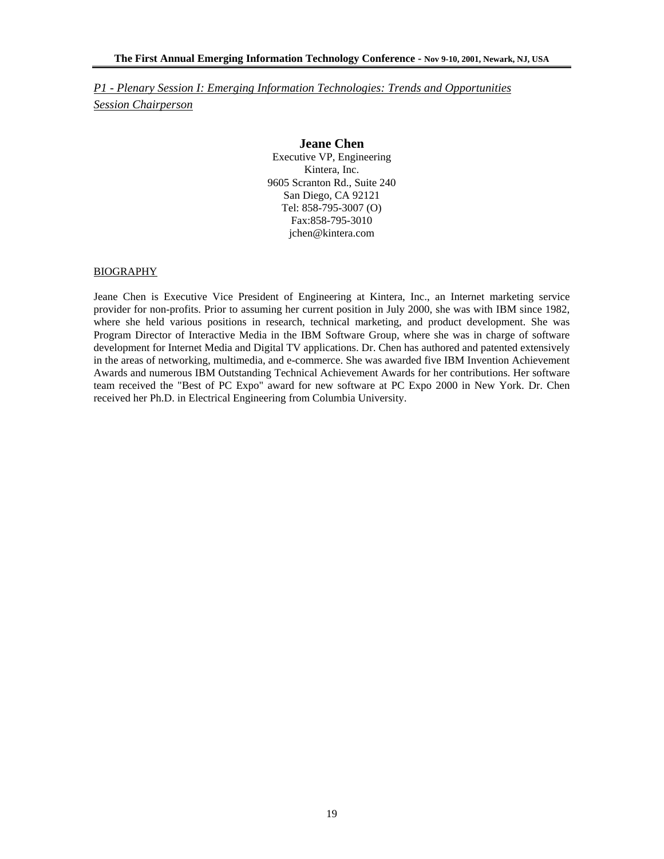*P1 - Plenary Session I: Emerging Information Technologies: Trends and Opportunities Session Chairperson*

#### **Jeane Chen**

Executive VP, Engineering Kintera, Inc. 9605 Scranton Rd., Suite 240 San Diego, CA 92121 Tel: 858-795-3007 (O) Fax:858-795-3010 jchen@kintera.com

#### BIOGRAPHY

Jeane Chen is Executive Vice President of Engineering at Kintera, Inc., an Internet marketing service provider for non-profits. Prior to assuming her current position in July 2000, she was with IBM since 1982, where she held various positions in research, technical marketing, and product development. She was Program Director of Interactive Media in the IBM Software Group, where she was in charge of software development for Internet Media and Digital TV applications. Dr. Chen has authored and patented extensively in the areas of networking, multimedia, and e-commerce. She was awarded five IBM Invention Achievement Awards and numerous IBM Outstanding Technical Achievement Awards for her contributions. Her software team received the "Best of PC Expo" award for new software at PC Expo 2000 in New York. Dr. Chen received her Ph.D. in Electrical Engineering from Columbia University.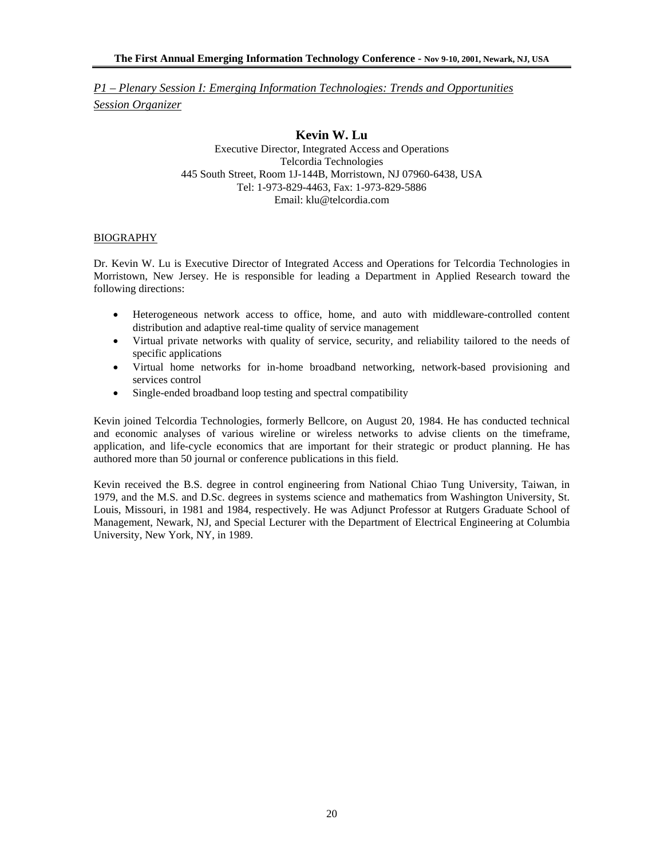*P1 – Plenary Session I: Emerging Information Technologies: Trends and Opportunities Session Organizer*

## **Kevin W. Lu**

Executive Director, Integrated Access and Operations Telcordia Technologies 445 South Street, Room 1J-144B, Morristown, NJ 07960-6438, USA Tel: 1-973-829-4463, Fax: 1-973-829-5886 Email: klu@telcordia.com

#### BIOGRAPHY

Dr. Kevin W. Lu is Executive Director of Integrated Access and Operations for Telcordia Technologies in Morristown, New Jersey. He is responsible for leading a Department in Applied Research toward the following directions:

- Heterogeneous network access to office, home, and auto with middleware-controlled content distribution and adaptive real-time quality of service management
- Virtual private networks with quality of service, security, and reliability tailored to the needs of specific applications
- Virtual home networks for in-home broadband networking, network-based provisioning and services control
- Single-ended broadband loop testing and spectral compatibility

Kevin joined Telcordia Technologies, formerly Bellcore, on August 20, 1984. He has conducted technical and economic analyses of various wireline or wireless networks to advise clients on the timeframe, application, and life-cycle economics that are important for their strategic or product planning. He has authored more than 50 journal or conference publications in this field.

Kevin received the B.S. degree in control engineering from National Chiao Tung University, Taiwan, in 1979, and the M.S. and D.Sc. degrees in systems science and mathematics from Washington University, St. Louis, Missouri, in 1981 and 1984, respectively. He was Adjunct Professor at Rutgers Graduate School of Management, Newark, NJ, and Special Lecturer with the Department of Electrical Engineering at Columbia University, New York, NY, in 1989.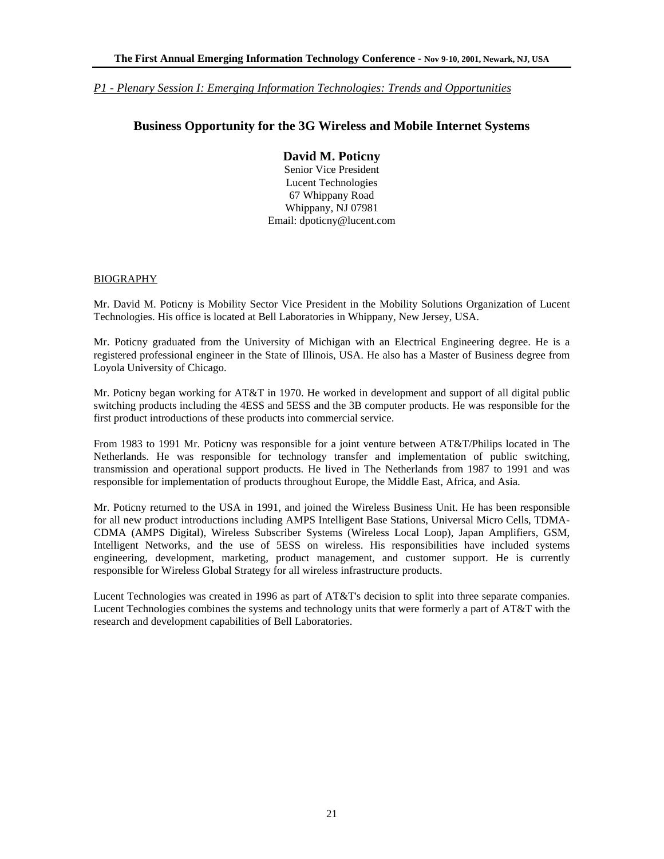## *P1 - Plenary Session I: Emerging Information Technologies: Trends and Opportunities*

# **Business Opportunity for the 3G Wireless and Mobile Internet Systems**

## **David M. Poticny**

Senior Vice President Lucent Technologies 67 Whippany Road Whippany, NJ 07981 Email: dpoticny@lucent.com

#### BIOGRAPHY

Mr. David M. Poticny is Mobility Sector Vice President in the Mobility Solutions Organization of Lucent Technologies. His office is located at Bell Laboratories in Whippany, New Jersey, USA.

Mr. Poticny graduated from the University of Michigan with an Electrical Engineering degree. He is a registered professional engineer in the State of Illinois, USA. He also has a Master of Business degree from Loyola University of Chicago.

Mr. Poticny began working for AT&T in 1970. He worked in development and support of all digital public switching products including the 4ESS and 5ESS and the 3B computer products. He was responsible for the first product introductions of these products into commercial service.

From 1983 to 1991 Mr. Poticny was responsible for a joint venture between AT&T/Philips located in The Netherlands. He was responsible for technology transfer and implementation of public switching, transmission and operational support products. He lived in The Netherlands from 1987 to 1991 and was responsible for implementation of products throughout Europe, the Middle East, Africa, and Asia.

Mr. Poticny returned to the USA in 1991, and joined the Wireless Business Unit. He has been responsible for all new product introductions including AMPS Intelligent Base Stations, Universal Micro Cells, TDMA-CDMA (AMPS Digital), Wireless Subscriber Systems (Wireless Local Loop), Japan Amplifiers, GSM, Intelligent Networks, and the use of 5ESS on wireless. His responsibilities have included systems engineering, development, marketing, product management, and customer support. He is currently responsible for Wireless Global Strategy for all wireless infrastructure products.

Lucent Technologies was created in 1996 as part of AT&T's decision to split into three separate companies. Lucent Technologies combines the systems and technology units that were formerly a part of AT&T with the research and development capabilities of Bell Laboratories.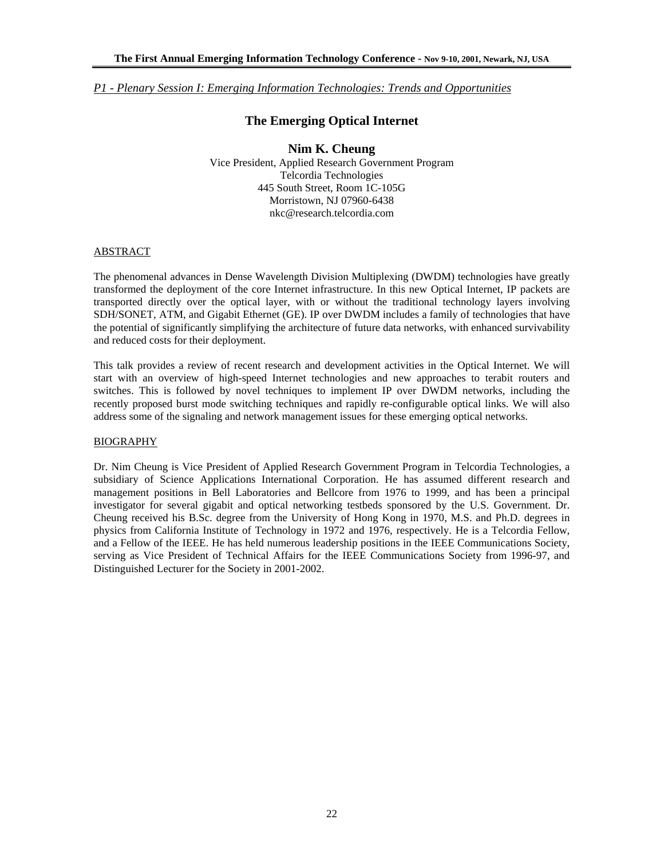*P1 - Plenary Session I: Emerging Information Technologies: Trends and Opportunities*

## **The Emerging Optical Internet**

## **Nim K. Cheung**

Vice President, Applied Research Government Program Telcordia Technologies 445 South Street, Room 1C-105G Morristown, NJ 07960-6438 nkc@research.telcordia.com

#### **ABSTRACT**

The phenomenal advances in Dense Wavelength Division Multiplexing (DWDM) technologies have greatly transformed the deployment of the core Internet infrastructure. In this new Optical Internet, IP packets are transported directly over the optical layer, with or without the traditional technology layers involving SDH/SONET, ATM, and Gigabit Ethernet (GE). IP over DWDM includes a family of technologies that have the potential of significantly simplifying the architecture of future data networks, with enhanced survivability and reduced costs for their deployment.

This talk provides a review of recent research and development activities in the Optical Internet. We will start with an overview of high-speed Internet technologies and new approaches to terabit routers and switches. This is followed by novel techniques to implement IP over DWDM networks, including the recently proposed burst mode switching techniques and rapidly re-configurable optical links. We will also address some of the signaling and network management issues for these emerging optical networks.

#### BIOGRAPHY

Dr. Nim Cheung is Vice President of Applied Research Government Program in Telcordia Technologies, a subsidiary of Science Applications International Corporation. He has assumed different research and management positions in Bell Laboratories and Bellcore from 1976 to 1999, and has been a principal investigator for several gigabit and optical networking testbeds sponsored by the U.S. Government. Dr. Cheung received his B.Sc. degree from the University of Hong Kong in 1970, M.S. and Ph.D. degrees in physics from California Institute of Technology in 1972 and 1976, respectively. He is a Telcordia Fellow, and a Fellow of the IEEE. He has held numerous leadership positions in the IEEE Communications Society, serving as Vice President of Technical Affairs for the IEEE Communications Society from 1996-97, and Distinguished Lecturer for the Society in 2001-2002.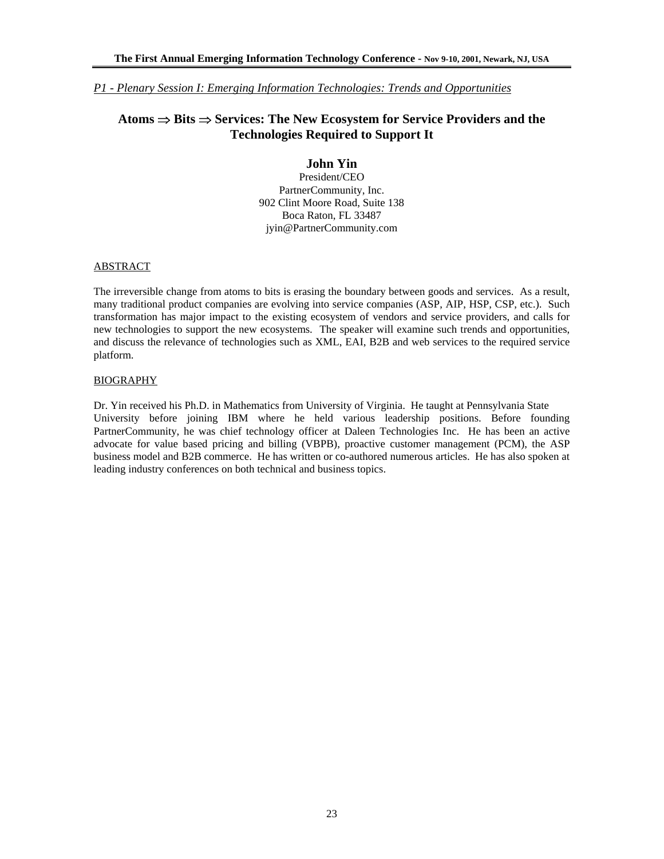## *P1 - Plenary Session I: Emerging Information Technologies: Trends and Opportunities*

# **Atoms** ⇒ **Bits** ⇒ **Services: The New Ecosystem for Service Providers and the Technologies Required to Support It**

# **John Yin**

President/CEO PartnerCommunity, Inc. 902 Clint Moore Road, Suite 138 Boca Raton, FL 33487 jyin@PartnerCommunity.com

#### ABSTRACT

The irreversible change from atoms to bits is erasing the boundary between goods and services. As a result, many traditional product companies are evolving into service companies (ASP, AIP, HSP, CSP, etc.). Such transformation has major impact to the existing ecosystem of vendors and service providers, and calls for new technologies to support the new ecosystems. The speaker will examine such trends and opportunities, and discuss the relevance of technologies such as XML, EAI, B2B and web services to the required service platform.

#### BIOGRAPHY

Dr. Yin received his Ph.D. in Mathematics from University of Virginia. He taught at Pennsylvania State University before joining IBM where he held various leadership positions. Before founding PartnerCommunity, he was chief technology officer at Daleen Technologies Inc. He has been an active advocate for value based pricing and billing (VBPB), proactive customer management (PCM), the ASP business model and B2B commerce. He has written or co-authored numerous articles. He has also spoken at leading industry conferences on both technical and business topics.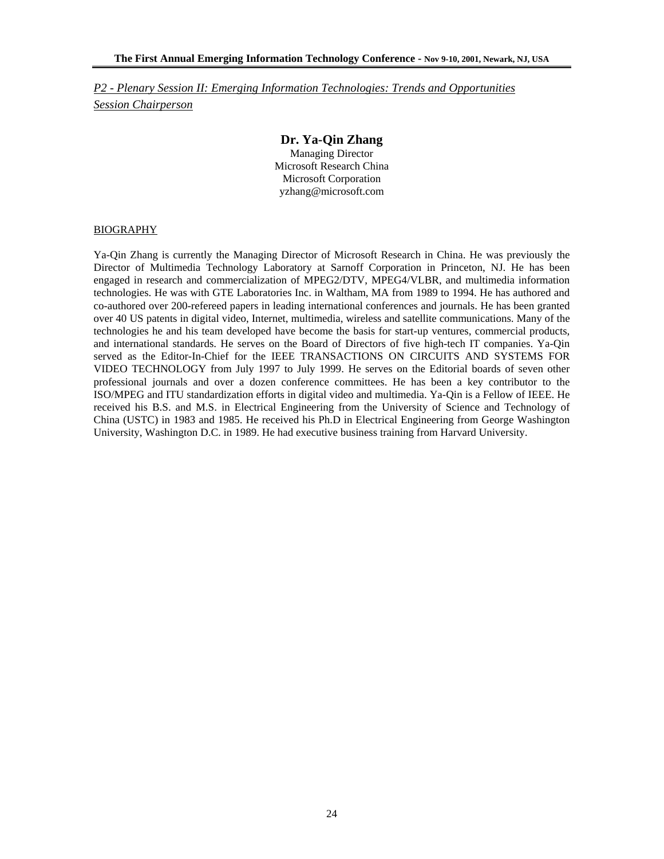*P2 - Plenary Session II: Emerging Information Technologies: Trends and Opportunities Session Chairperson*

## **Dr. Ya-Qin Zhang**

Managing Director Microsoft Research China Microsoft Corporation yzhang@microsoft.com

#### BIOGRAPHY

Ya-Qin Zhang is currently the Managing Director of Microsoft Research in China. He was previously the Director of Multimedia Technology Laboratory at Sarnoff Corporation in Princeton, NJ. He has been engaged in research and commercialization of MPEG2/DTV, MPEG4/VLBR, and multimedia information technologies. He was with GTE Laboratories Inc. in Waltham, MA from 1989 to 1994. He has authored and co-authored over 200-refereed papers in leading international conferences and journals. He has been granted over 40 US patents in digital video, Internet, multimedia, wireless and satellite communications. Many of the technologies he and his team developed have become the basis for start-up ventures, commercial products, and international standards. He serves on the Board of Directors of five high-tech IT companies. Ya-Qin served as the Editor-In-Chief for the IEEE TRANSACTIONS ON CIRCUITS AND SYSTEMS FOR VIDEO TECHNOLOGY from July 1997 to July 1999. He serves on the Editorial boards of seven other professional journals and over a dozen conference committees. He has been a key contributor to the ISO/MPEG and ITU standardization efforts in digital video and multimedia. Ya-Qin is a Fellow of IEEE. He received his B.S. and M.S. in Electrical Engineering from the University of Science and Technology of China (USTC) in 1983 and 1985. He received his Ph.D in Electrical Engineering from George Washington University, Washington D.C. in 1989. He had executive business training from Harvard University.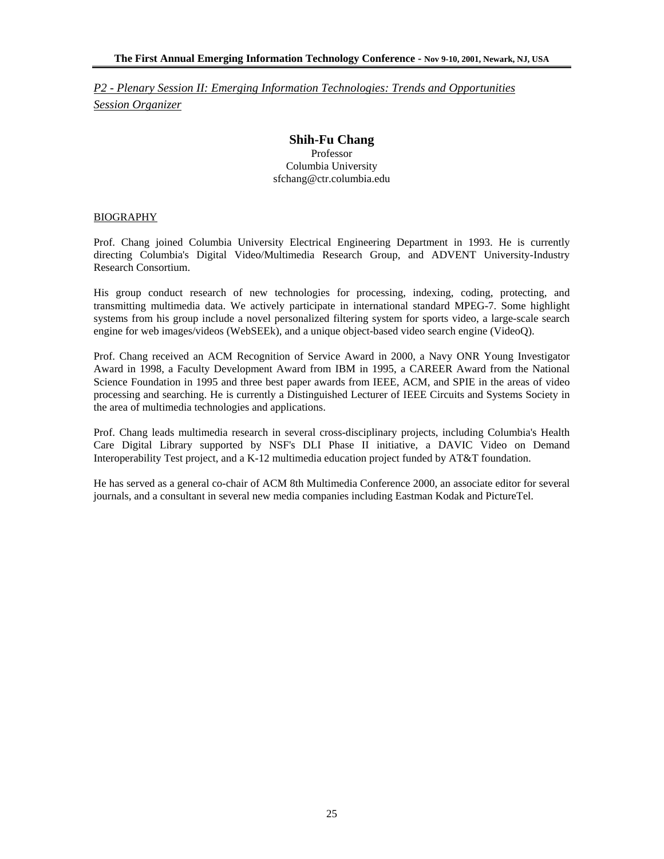*P2 - Plenary Session II: Emerging Information Technologies: Trends and Opportunities Session Organizer*

# **Shih-Fu Chang**

Professor Columbia University sfchang@ctr.columbia.edu

#### BIOGRAPHY

Prof. Chang joined Columbia University Electrical Engineering Department in 1993. He is currently directing Columbia's Digital Video/Multimedia Research Group, and ADVENT University-Industry Research Consortium.

His group conduct research of new technologies for processing, indexing, coding, protecting, and transmitting multimedia data. We actively participate in international standard MPEG-7. Some highlight systems from his group include a novel personalized filtering system for sports video, a large-scale search engine for web images/videos (WebSEEk), and a unique object-based video search engine (VideoQ).

Prof. Chang received an ACM Recognition of Service Award in 2000, a Navy ONR Young Investigator Award in 1998, a Faculty Development Award from IBM in 1995, a CAREER Award from the National Science Foundation in 1995 and three best paper awards from IEEE, ACM, and SPIE in the areas of video processing and searching. He is currently a Distinguished Lecturer of IEEE Circuits and Systems Society in the area of multimedia technologies and applications.

Prof. Chang leads multimedia research in several cross-disciplinary projects, including Columbia's Health Care Digital Library supported by NSF's DLI Phase II initiative, a DAVIC Video on Demand Interoperability Test project, and a K-12 multimedia education project funded by AT&T foundation.

He has served as a general co-chair of ACM 8th Multimedia Conference 2000, an associate editor for several journals, and a consultant in several new media companies including Eastman Kodak and PictureTel.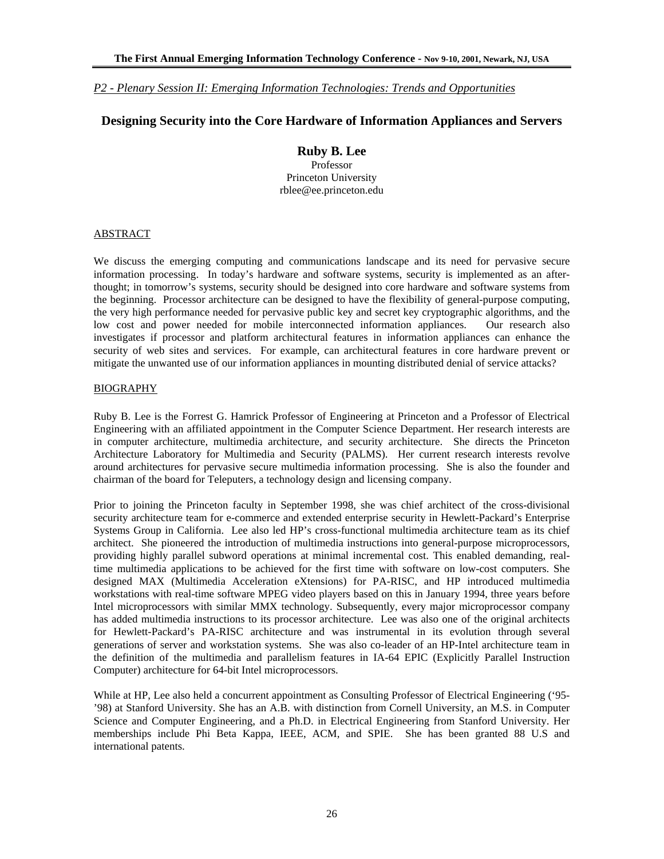*P2 - Plenary Session II: Emerging Information Technologies: Trends and Opportunities*

## **Designing Security into the Core Hardware of Information Appliances and Servers**

# **Ruby B. Lee**

Professor Princeton University rblee@ee.princeton.edu

#### ABSTRACT

We discuss the emerging computing and communications landscape and its need for pervasive secure information processing. In today's hardware and software systems, security is implemented as an afterthought; in tomorrow's systems, security should be designed into core hardware and software systems from the beginning. Processor architecture can be designed to have the flexibility of general-purpose computing, the very high performance needed for pervasive public key and secret key cryptographic algorithms, and the low cost and power needed for mobile interconnected information appliances. Our research also investigates if processor and platform architectural features in information appliances can enhance the security of web sites and services. For example, can architectural features in core hardware prevent or mitigate the unwanted use of our information appliances in mounting distributed denial of service attacks?

#### BIOGRAPHY

Ruby B. Lee is the Forrest G. Hamrick Professor of Engineering at Princeton and a Professor of Electrical Engineering with an affiliated appointment in the Computer Science Department. Her research interests are in computer architecture, multimedia architecture, and security architecture. She directs the Princeton Architecture Laboratory for Multimedia and Security (PALMS). Her current research interests revolve around architectures for pervasive secure multimedia information processing. She is also the founder and chairman of the board for Teleputers, a technology design and licensing company.

Prior to joining the Princeton faculty in September 1998, she was chief architect of the cross-divisional security architecture team for e-commerce and extended enterprise security in Hewlett-Packard's Enterprise Systems Group in California. Lee also led HP's cross-functional multimedia architecture team as its chief architect. She pioneered the introduction of multimedia instructions into general-purpose microprocessors, providing highly parallel subword operations at minimal incremental cost. This enabled demanding, realtime multimedia applications to be achieved for the first time with software on low-cost computers. She designed MAX (Multimedia Acceleration eXtensions) for PA-RISC, and HP introduced multimedia workstations with real-time software MPEG video players based on this in January 1994, three years before Intel microprocessors with similar MMX technology. Subsequently, every major microprocessor company has added multimedia instructions to its processor architecture. Lee was also one of the original architects for Hewlett-Packard's PA-RISC architecture and was instrumental in its evolution through several generations of server and workstation systems. She was also co-leader of an HP-Intel architecture team in the definition of the multimedia and parallelism features in IA-64 EPIC (Explicitly Parallel Instruction Computer) architecture for 64-bit Intel microprocessors.

While at HP, Lee also held a concurrent appointment as Consulting Professor of Electrical Engineering ('95- '98) at Stanford University. She has an A.B. with distinction from Cornell University, an M.S. in Computer Science and Computer Engineering, and a Ph.D. in Electrical Engineering from Stanford University. Her memberships include Phi Beta Kappa, IEEE, ACM, and SPIE. She has been granted 88 U.S and international patents.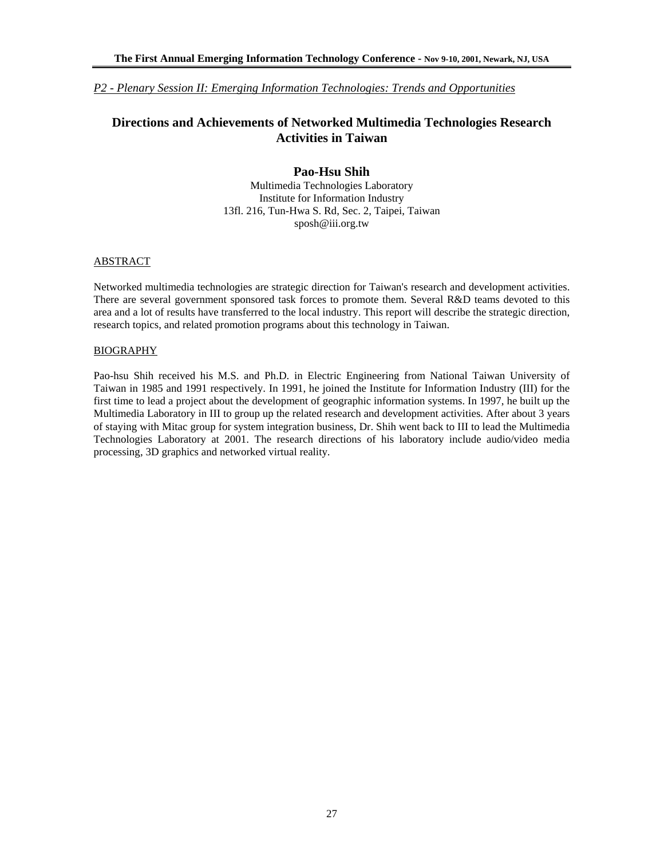## *P2 - Plenary Session II: Emerging Information Technologies: Trends and Opportunities*

# **Directions and Achievements of Networked Multimedia Technologies Research Activities in Taiwan**

## **Pao-Hsu Shih**

Multimedia Technologies Laboratory Institute for Information Industry 13fl. 216, Tun-Hwa S. Rd, Sec. 2, Taipei, Taiwan sposh@iii.org.tw

## ABSTRACT

Networked multimedia technologies are strategic direction for Taiwan's research and development activities. There are several government sponsored task forces to promote them. Several R&D teams devoted to this area and a lot of results have transferred to the local industry. This report will describe the strategic direction, research topics, and related promotion programs about this technology in Taiwan.

#### BIOGRAPHY

Pao-hsu Shih received his M.S. and Ph.D. in Electric Engineering from National Taiwan University of Taiwan in 1985 and 1991 respectively. In 1991, he joined the Institute for Information Industry (III) for the first time to lead a project about the development of geographic information systems. In 1997, he built up the Multimedia Laboratory in III to group up the related research and development activities. After about 3 years of staying with Mitac group for system integration business, Dr. Shih went back to III to lead the Multimedia Technologies Laboratory at 2001. The research directions of his laboratory include audio/video media processing, 3D graphics and networked virtual reality.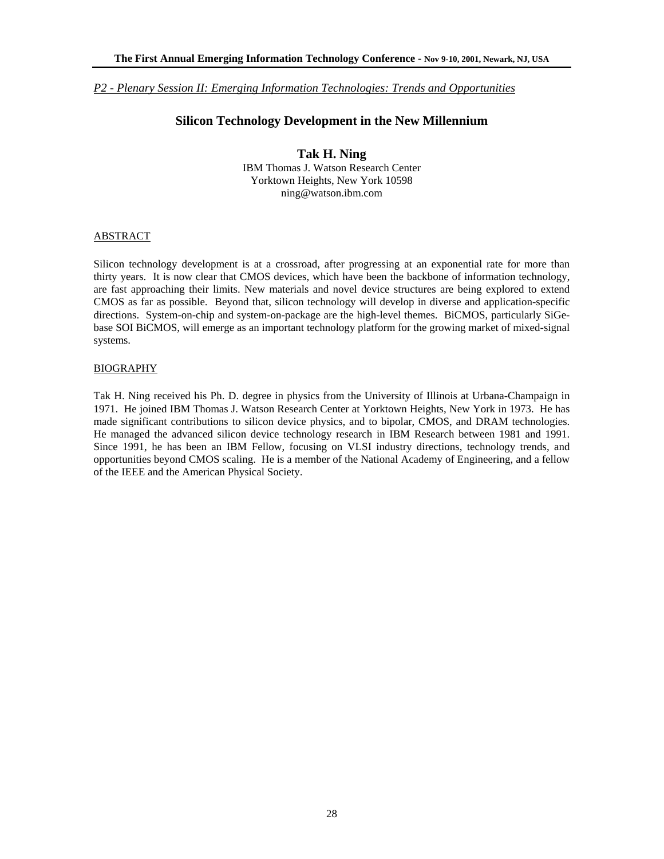*P2 - Plenary Session II: Emerging Information Technologies: Trends and Opportunities*

## **Silicon Technology Development in the New Millennium**

**Tak H. Ning**  IBM Thomas J. Watson Research Center Yorktown Heights, New York 10598 ning@watson.ibm.com

#### ABSTRACT

Silicon technology development is at a crossroad, after progressing at an exponential rate for more than thirty years. It is now clear that CMOS devices, which have been the backbone of information technology, are fast approaching their limits. New materials and novel device structures are being explored to extend CMOS as far as possible. Beyond that, silicon technology will develop in diverse and application-specific directions. System-on-chip and system-on-package are the high-level themes. BiCMOS, particularly SiGebase SOI BiCMOS, will emerge as an important technology platform for the growing market of mixed-signal systems.

#### BIOGRAPHY

Tak H. Ning received his Ph. D. degree in physics from the University of Illinois at Urbana-Champaign in 1971. He joined IBM Thomas J. Watson Research Center at Yorktown Heights, New York in 1973. He has made significant contributions to silicon device physics, and to bipolar, CMOS, and DRAM technologies. He managed the advanced silicon device technology research in IBM Research between 1981 and 1991. Since 1991, he has been an IBM Fellow, focusing on VLSI industry directions, technology trends, and opportunities beyond CMOS scaling. He is a member of the National Academy of Engineering, and a fellow of the IEEE and the American Physical Society.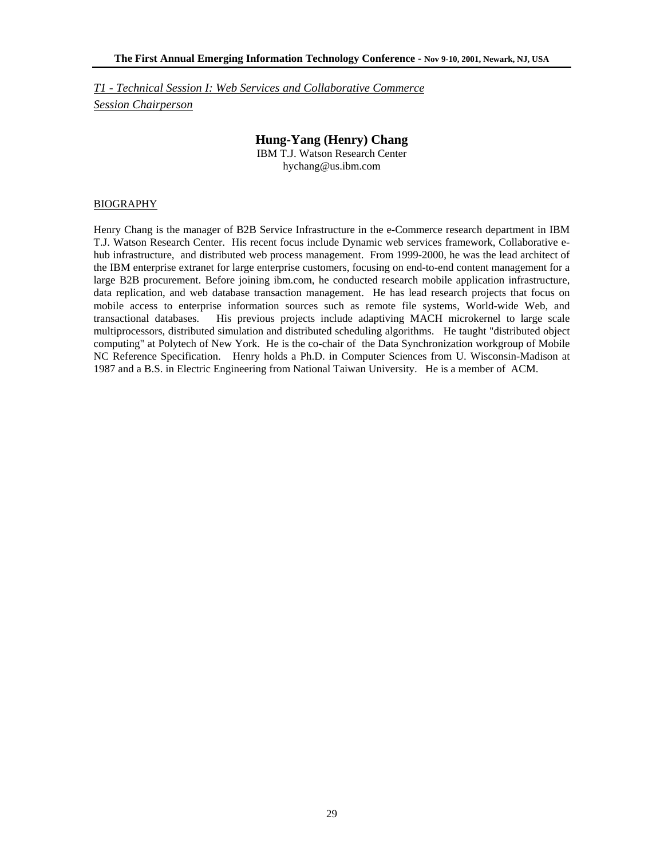*T1 - Technical Session I: Web Services and Collaborative Commerce Session Chairperson*

## **Hung-Yang (Henry) Chang**

IBM T.J. Watson Research Center hychang@us.ibm.com

#### BIOGRAPHY

Henry Chang is the manager of B2B Service Infrastructure in the e-Commerce research department in IBM T.J. Watson Research Center. His recent focus include Dynamic web services framework, Collaborative ehub infrastructure, and distributed web process management. From 1999-2000, he was the lead architect of the IBM enterprise extranet for large enterprise customers, focusing on end-to-end content management for a large B2B procurement. Before joining ibm.com, he conducted research mobile application infrastructure, data replication, and web database transaction management. He has lead research projects that focus on mobile access to enterprise information sources such as remote file systems, World-wide Web, and transactional databases. His previous projects include adaptiving MACH microkernel to large scale multiprocessors, distributed simulation and distributed scheduling algorithms. He taught "distributed object computing" at Polytech of New York. He is the co-chair of the Data Synchronization workgroup of Mobile NC Reference Specification. Henry holds a Ph.D. in Computer Sciences from U. Wisconsin-Madison at 1987 and a B.S. in Electric Engineering from National Taiwan University. He is a member of ACM.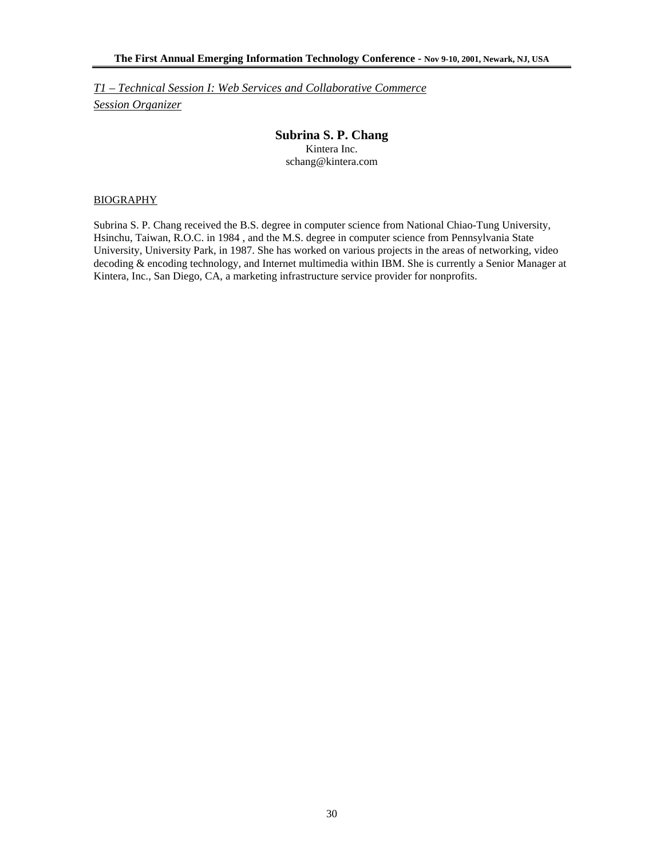*T1 – Technical Session I: Web Services and Collaborative Commerce Session Organizer*

## **Subrina S. P. Chang**

Kintera Inc. schang@kintera.com

#### BIOGRAPHY

Subrina S. P. Chang received the B.S. degree in computer science from National Chiao-Tung University, Hsinchu, Taiwan, R.O.C. in 1984 , and the M.S. degree in computer science from Pennsylvania State University, University Park, in 1987. She has worked on various projects in the areas of networking, video decoding & encoding technology, and Internet multimedia within IBM. She is currently a Senior Manager at Kintera, Inc., San Diego, CA, a marketing infrastructure service provider for nonprofits.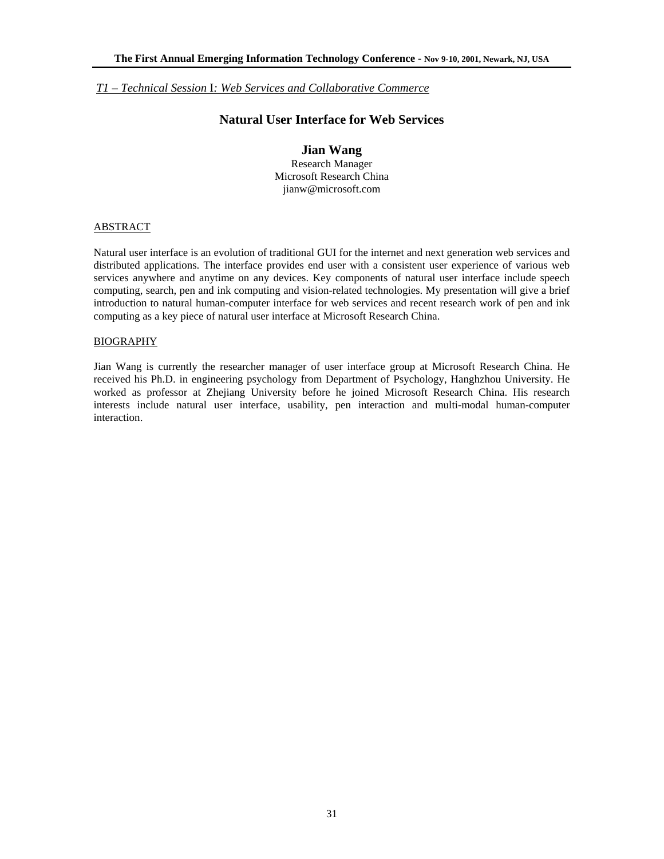# **Natural User Interface for Web Services**

## **Jian Wang**

Research Manager Microsoft Research China jianw@microsoft.com

#### **ABSTRACT**

Natural user interface is an evolution of traditional GUI for the internet and next generation web services and distributed applications. The interface provides end user with a consistent user experience of various web services anywhere and anytime on any devices. Key components of natural user interface include speech computing, search, pen and ink computing and vision-related technologies. My presentation will give a brief introduction to natural human-computer interface for web services and recent research work of pen and ink computing as a key piece of natural user interface at Microsoft Research China.

#### BIOGRAPHY

Jian Wang is currently the researcher manager of user interface group at Microsoft Research China. He received his Ph.D. in engineering psychology from Department of Psychology, Hanghzhou University. He worked as professor at Zhejiang University before he joined Microsoft Research China. His research interests include natural user interface, usability, pen interaction and multi-modal human-computer interaction.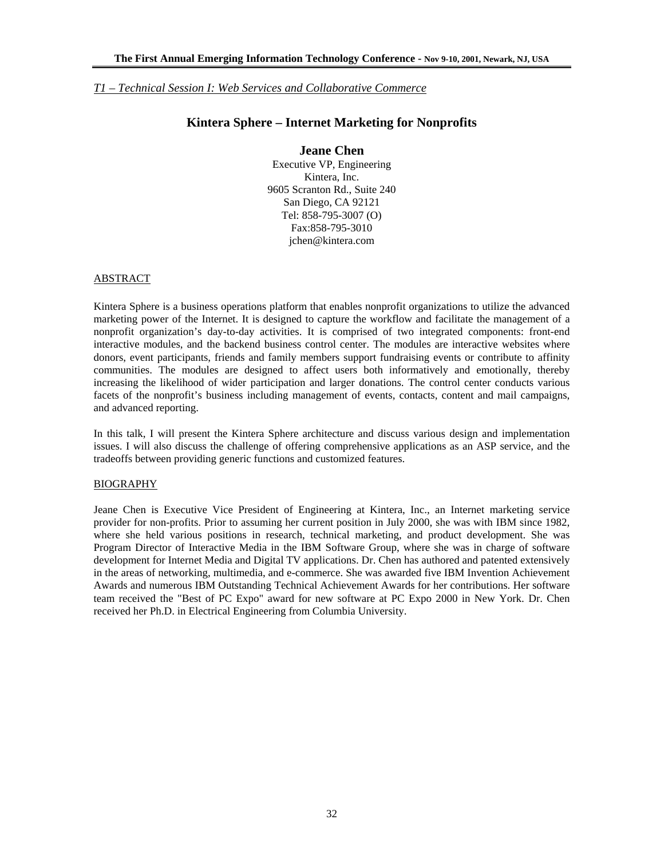## **Kintera Sphere – Internet Marketing for Nonprofits**

# **Jeane Chen**

Executive VP, Engineering Kintera, Inc. 9605 Scranton Rd., Suite 240 San Diego, CA 92121 Tel: 858-795-3007 (O) Fax:858-795-3010 jchen@kintera.com

#### **ABSTRACT**

Kintera Sphere is a business operations platform that enables nonprofit organizations to utilize the advanced marketing power of the Internet. It is designed to capture the workflow and facilitate the management of a nonprofit organization's day-to-day activities. It is comprised of two integrated components: front-end interactive modules, and the backend business control center. The modules are interactive websites where donors, event participants, friends and family members support fundraising events or contribute to affinity communities. The modules are designed to affect users both informatively and emotionally, thereby increasing the likelihood of wider participation and larger donations. The control center conducts various facets of the nonprofit's business including management of events, contacts, content and mail campaigns, and advanced reporting.

In this talk, I will present the Kintera Sphere architecture and discuss various design and implementation issues. I will also discuss the challenge of offering comprehensive applications as an ASP service, and the tradeoffs between providing generic functions and customized features.

#### BIOGRAPHY

Jeane Chen is Executive Vice President of Engineering at Kintera, Inc., an Internet marketing service provider for non-profits. Prior to assuming her current position in July 2000, she was with IBM since 1982, where she held various positions in research, technical marketing, and product development. She was Program Director of Interactive Media in the IBM Software Group, where she was in charge of software development for Internet Media and Digital TV applications. Dr. Chen has authored and patented extensively in the areas of networking, multimedia, and e-commerce. She was awarded five IBM Invention Achievement Awards and numerous IBM Outstanding Technical Achievement Awards for her contributions. Her software team received the "Best of PC Expo" award for new software at PC Expo 2000 in New York. Dr. Chen received her Ph.D. in Electrical Engineering from Columbia University.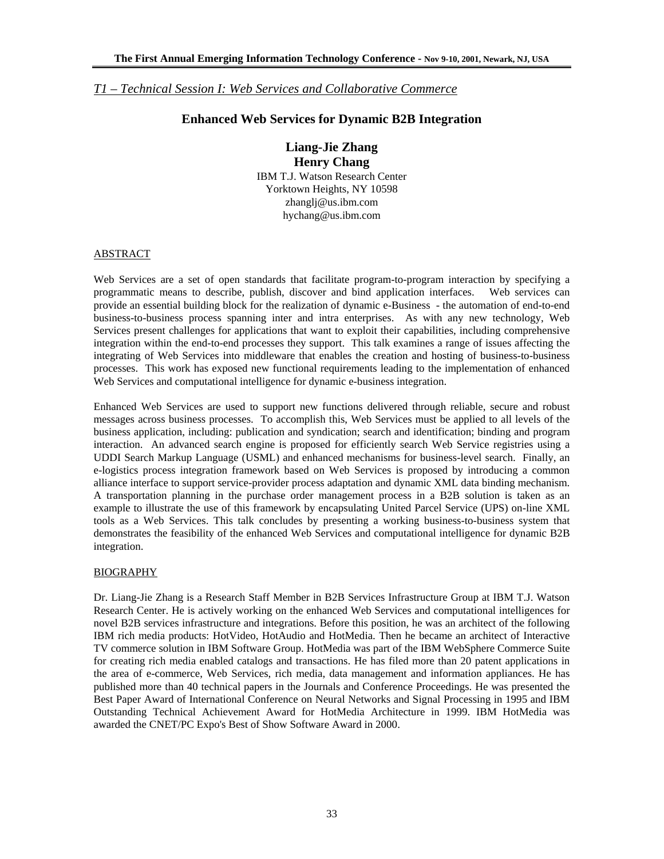## **Enhanced Web Services for Dynamic B2B Integration**

**Liang-Jie Zhang Henry Chang**  IBM T.J. Watson Research Center Yorktown Heights, NY 10598 zhanglj@us.ibm.com hychang@us.ibm.com

#### ABSTRACT

Web Services are a set of open standards that facilitate program-to-program interaction by specifying a programmatic means to describe, publish, discover and bind application interfaces. Web services can provide an essential building block for the realization of dynamic e-Business - the automation of end-to-end business-to-business process spanning inter and intra enterprises. As with any new technology, Web Services present challenges for applications that want to exploit their capabilities, including comprehensive integration within the end-to-end processes they support. This talk examines a range of issues affecting the integrating of Web Services into middleware that enables the creation and hosting of business-to-business processes. This work has exposed new functional requirements leading to the implementation of enhanced Web Services and computational intelligence for dynamic e-business integration.

Enhanced Web Services are used to support new functions delivered through reliable, secure and robust messages across business processes. To accomplish this, Web Services must be applied to all levels of the business application, including: publication and syndication; search and identification; binding and program interaction. An advanced search engine is proposed for efficiently search Web Service registries using a UDDI Search Markup Language (USML) and enhanced mechanisms for business-level search. Finally, an e-logistics process integration framework based on Web Services is proposed by introducing a common alliance interface to support service-provider process adaptation and dynamic XML data binding mechanism. A transportation planning in the purchase order management process in a B2B solution is taken as an example to illustrate the use of this framework by encapsulating United Parcel Service (UPS) on-line XML tools as a Web Services. This talk concludes by presenting a working business-to-business system that demonstrates the feasibility of the enhanced Web Services and computational intelligence for dynamic B2B integration.

## BIOGRAPHY

Dr. Liang-Jie Zhang is a Research Staff Member in B2B Services Infrastructure Group at IBM T.J. Watson Research Center. He is actively working on the enhanced Web Services and computational intelligences for novel B2B services infrastructure and integrations. Before this position, he was an architect of the following IBM rich media products: HotVideo, HotAudio and HotMedia. Then he became an architect of Interactive TV commerce solution in IBM Software Group. HotMedia was part of the IBM WebSphere Commerce Suite for creating rich media enabled catalogs and transactions. He has filed more than 20 patent applications in the area of e-commerce, Web Services, rich media, data management and information appliances. He has published more than 40 technical papers in the Journals and Conference Proceedings. He was presented the Best Paper Award of International Conference on Neural Networks and Signal Processing in 1995 and IBM Outstanding Technical Achievement Award for HotMedia Architecture in 1999. IBM HotMedia was awarded the CNET/PC Expo's Best of Show Software Award in 2000.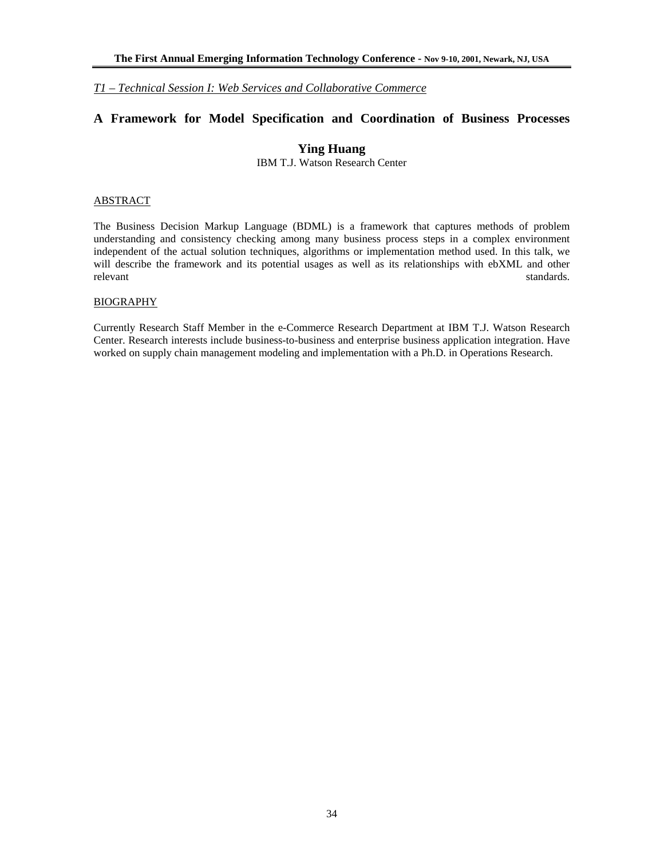# **A Framework for Model Specification and Coordination of Business Processes**

# **Ying Huang**

IBM T.J. Watson Research Center

#### ABSTRACT

The Business Decision Markup Language (BDML) is a framework that captures methods of problem understanding and consistency checking among many business process steps in a complex environment independent of the actual solution techniques, algorithms or implementation method used. In this talk, we will describe the framework and its potential usages as well as its relationships with ebXML and other relevant standards. The standards of the standards of the standards standards standards.

#### BIOGRAPHY

Currently Research Staff Member in the e-Commerce Research Department at IBM T.J. Watson Research Center. Research interests include business-to-business and enterprise business application integration. Have worked on supply chain management modeling and implementation with a Ph.D. in Operations Research.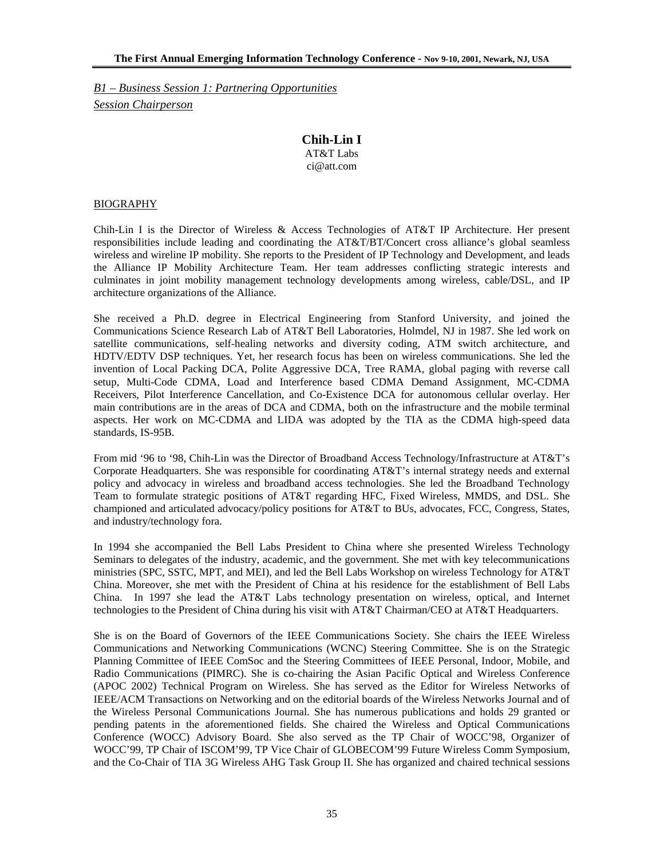*B1 – Business Session 1: Partnering Opportunities Session Chairperson*

# **Chih-Lin I**

AT&T Labs ci@att.com

## BIOGRAPHY

Chih-Lin I is the Director of Wireless & Access Technologies of AT&T IP Architecture. Her present responsibilities include leading and coordinating the AT&T/BT/Concert cross alliance's global seamless wireless and wireline IP mobility. She reports to the President of IP Technology and Development, and leads the Alliance IP Mobility Architecture Team. Her team addresses conflicting strategic interests and culminates in joint mobility management technology developments among wireless, cable/DSL, and IP architecture organizations of the Alliance.

She received a Ph.D. degree in Electrical Engineering from Stanford University, and joined the Communications Science Research Lab of AT&T Bell Laboratories, Holmdel, NJ in 1987. She led work on satellite communications, self-healing networks and diversity coding, ATM switch architecture, and HDTV/EDTV DSP techniques. Yet, her research focus has been on wireless communications. She led the invention of Local Packing DCA, Polite Aggressive DCA, Tree RAMA, global paging with reverse call setup, Multi-Code CDMA, Load and Interference based CDMA Demand Assignment, MC-CDMA Receivers, Pilot Interference Cancellation, and Co-Existence DCA for autonomous cellular overlay. Her main contributions are in the areas of DCA and CDMA, both on the infrastructure and the mobile terminal aspects. Her work on MC-CDMA and LIDA was adopted by the TIA as the CDMA high-speed data standards, IS-95B.

From mid '96 to '98, Chih-Lin was the Director of Broadband Access Technology/Infrastructure at AT&T's Corporate Headquarters. She was responsible for coordinating AT&T's internal strategy needs and external policy and advocacy in wireless and broadband access technologies. She led the Broadband Technology Team to formulate strategic positions of AT&T regarding HFC, Fixed Wireless, MMDS, and DSL. She championed and articulated advocacy/policy positions for AT&T to BUs, advocates, FCC, Congress, States, and industry/technology fora.

In 1994 she accompanied the Bell Labs President to China where she presented Wireless Technology Seminars to delegates of the industry, academic, and the government. She met with key telecommunications ministries (SPC, SSTC, MPT, and MEI), and led the Bell Labs Workshop on wireless Technology for AT&T China. Moreover, she met with the President of China at his residence for the establishment of Bell Labs China. In 1997 she lead the AT&T Labs technology presentation on wireless, optical, and Internet technologies to the President of China during his visit with AT&T Chairman/CEO at AT&T Headquarters.

She is on the Board of Governors of the IEEE Communications Society. She chairs the IEEE Wireless Communications and Networking Communications (WCNC) Steering Committee. She is on the Strategic Planning Committee of IEEE ComSoc and the Steering Committees of IEEE Personal, Indoor, Mobile, and Radio Communications (PIMRC). She is co-chairing the Asian Pacific Optical and Wireless Conference (APOC 2002) Technical Program on Wireless. She has served as the Editor for Wireless Networks of IEEE/ACM Transactions on Networking and on the editorial boards of the Wireless Networks Journal and of the Wireless Personal Communications Journal. She has numerous publications and holds 29 granted or pending patents in the aforementioned fields. She chaired the Wireless and Optical Communications Conference (WOCC) Advisory Board. She also served as the TP Chair of WOCC'98, Organizer of WOCC'99, TP Chair of ISCOM'99, TP Vice Chair of GLOBECOM'99 Future Wireless Comm Symposium, and the Co-Chair of TIA 3G Wireless AHG Task Group II. She has organized and chaired technical sessions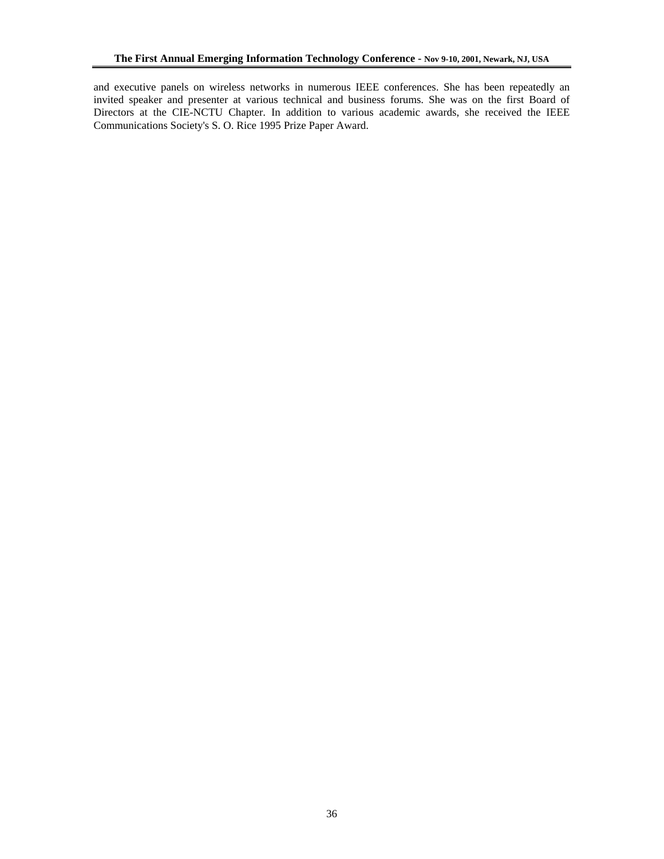and executive panels on wireless networks in numerous IEEE conferences. She has been repeatedly an invited speaker and presenter at various technical and business forums. She was on the first Board of Directors at the CIE-NCTU Chapter. In addition to various academic awards, she received the IEEE Communications Society's S. O. Rice 1995 Prize Paper Award.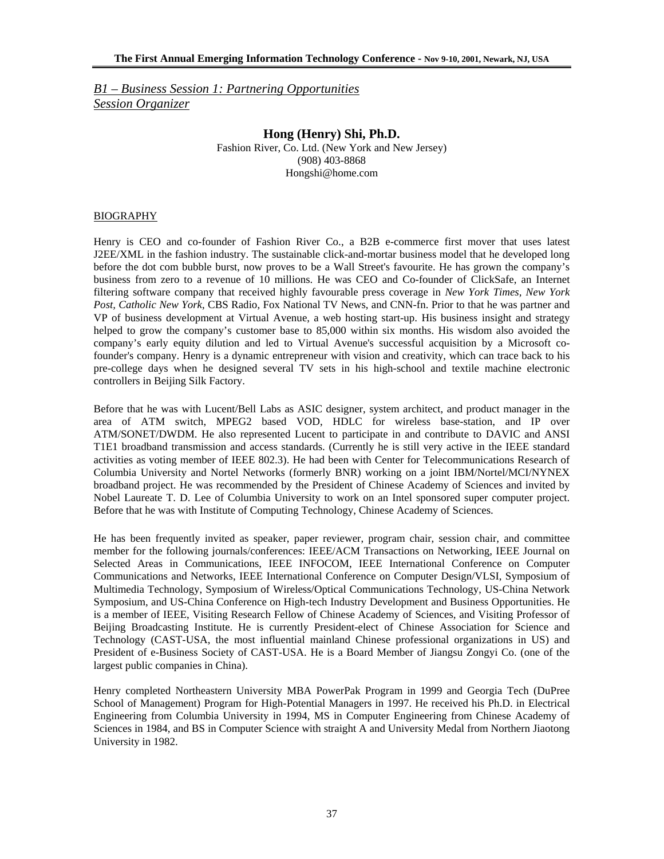*B1 – Business Session 1: Partnering Opportunities Session Organizer*

# **Hong (Henry) Shi, Ph.D.**

Fashion River, Co. Ltd. (New York and New Jersey) (908) 403-8868 Hongshi@home.com

### BIOGRAPHY

Henry is CEO and co-founder of Fashion River Co., a B2B e-commerce first mover that uses latest J2EE/XML in the fashion industry. The sustainable click-and-mortar business model that he developed long before the dot com bubble burst, now proves to be a Wall Street's favourite. He has grown the company's business from zero to a revenue of 10 millions. He was CEO and Co-founder of ClickSafe, an Internet filtering software company that received highly favourable press coverage in *New York Times, New York Post, Catholic New York*, CBS Radio, Fox National TV News, and CNN-fn. Prior to that he was partner and VP of business development at Virtual Avenue, a web hosting start-up. His business insight and strategy helped to grow the company's customer base to 85,000 within six months. His wisdom also avoided the company's early equity dilution and led to Virtual Avenue's successful acquisition by a Microsoft cofounder's company. Henry is a dynamic entrepreneur with vision and creativity, which can trace back to his pre-college days when he designed several TV sets in his high-school and textile machine electronic controllers in Beijing Silk Factory.

Before that he was with Lucent/Bell Labs as ASIC designer, system architect, and product manager in the area of ATM switch, MPEG2 based VOD, HDLC for wireless base-station, and IP over ATM/SONET/DWDM. He also represented Lucent to participate in and contribute to DAVIC and ANSI T1E1 broadband transmission and access standards. (Currently he is still very active in the IEEE standard activities as voting member of IEEE 802.3). He had been with Center for Telecommunications Research of Columbia University and Nortel Networks (formerly BNR) working on a joint IBM/Nortel/MCI/NYNEX broadband project. He was recommended by the President of Chinese Academy of Sciences and invited by Nobel Laureate T. D. Lee of Columbia University to work on an Intel sponsored super computer project. Before that he was with Institute of Computing Technology, Chinese Academy of Sciences.

He has been frequently invited as speaker, paper reviewer, program chair, session chair, and committee member for the following journals/conferences: IEEE/ACM Transactions on Networking, IEEE Journal on Selected Areas in Communications, IEEE INFOCOM, IEEE International Conference on Computer Communications and Networks, IEEE International Conference on Computer Design/VLSI, Symposium of Multimedia Technology, Symposium of Wireless/Optical Communications Technology, US-China Network Symposium, and US-China Conference on High-tech Industry Development and Business Opportunities. He is a member of IEEE, Visiting Research Fellow of Chinese Academy of Sciences, and Visiting Professor of Beijing Broadcasting Institute. He is currently President-elect of Chinese Association for Science and Technology (CAST-USA, the most influential mainland Chinese professional organizations in US) and President of e-Business Society of CAST-USA. He is a Board Member of Jiangsu Zongyi Co. (one of the largest public companies in China).

Henry completed Northeastern University MBA PowerPak Program in 1999 and Georgia Tech (DuPree School of Management) Program for High-Potential Managers in 1997. He received his Ph.D. in Electrical Engineering from Columbia University in 1994, MS in Computer Engineering from Chinese Academy of Sciences in 1984, and BS in Computer Science with straight A and University Medal from Northern Jiaotong University in 1982.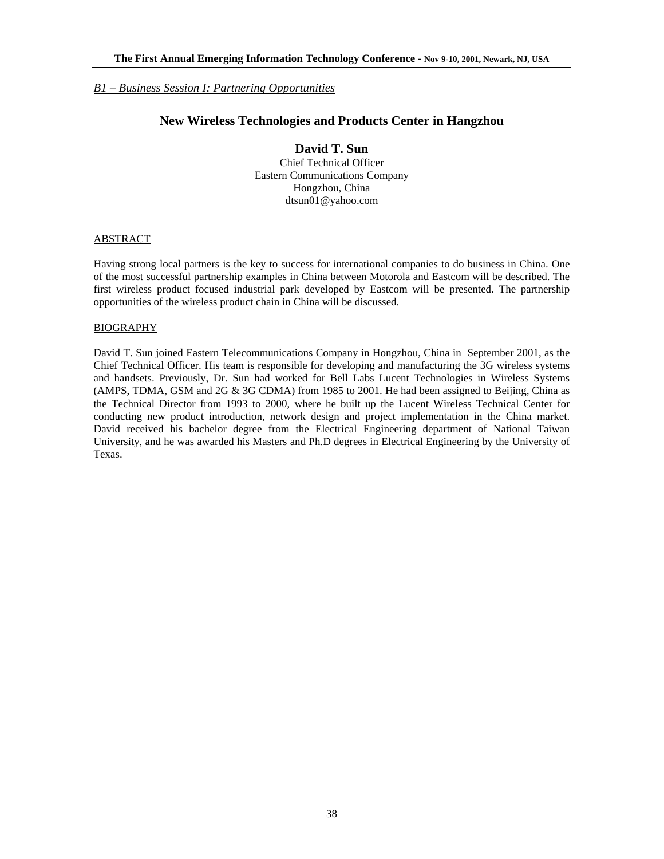### *B1 – Business Session I: Partnering Opportunities*

# **New Wireless Technologies and Products Center in Hangzhou**

# **David T. Sun**

Chief Technical Officer Eastern Communications Company Hongzhou, China dtsun01@yahoo.com

### ABSTRACT

Having strong local partners is the key to success for international companies to do business in China. One of the most successful partnership examples in China between Motorola and Eastcom will be described. The first wireless product focused industrial park developed by Eastcom will be presented. The partnership opportunities of the wireless product chain in China will be discussed.

#### BIOGRAPHY

David T. Sun joined Eastern Telecommunications Company in Hongzhou, China in September 2001, as the Chief Technical Officer. His team is responsible for developing and manufacturing the 3G wireless systems and handsets. Previously, Dr. Sun had worked for Bell Labs Lucent Technologies in Wireless Systems (AMPS, TDMA, GSM and 2G & 3G CDMA) from 1985 to 2001. He had been assigned to Beijing, China as the Technical Director from 1993 to 2000, where he built up the Lucent Wireless Technical Center for conducting new product introduction, network design and project implementation in the China market. David received his bachelor degree from the Electrical Engineering department of National Taiwan University, and he was awarded his Masters and Ph.D degrees in Electrical Engineering by the University of Texas.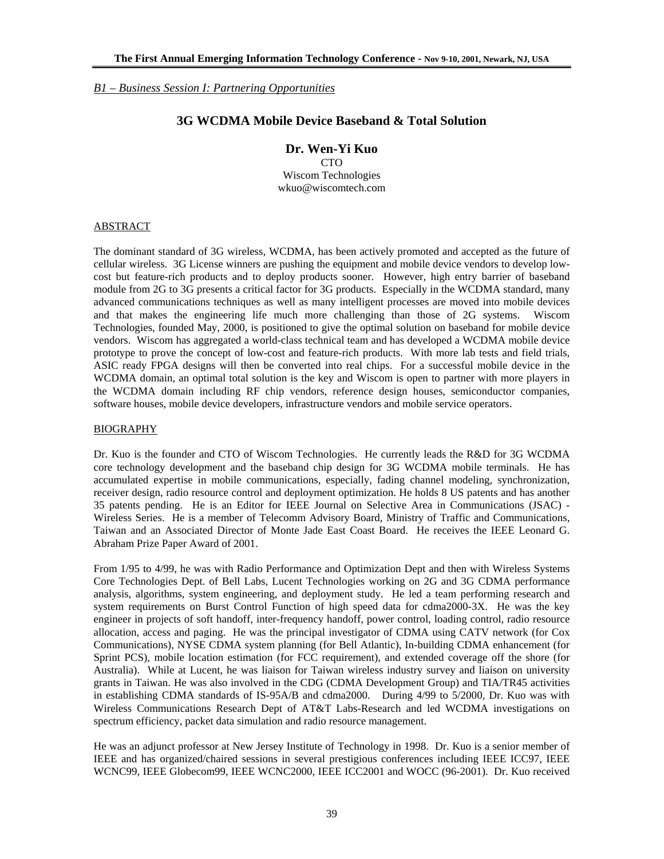*B1 – Business Session I: Partnering Opportunities*

### **3G WCDMA Mobile Device Baseband & Total Solution**

**Dr. Wen-Yi Kuo** 

CTO Wiscom Technologies wkuo@wiscomtech.com

### ABSTRACT

The dominant standard of 3G wireless, WCDMA, has been actively promoted and accepted as the future of cellular wireless. 3G License winners are pushing the equipment and mobile device vendors to develop lowcost but feature-rich products and to deploy products sooner. However, high entry barrier of baseband module from 2G to 3G presents a critical factor for 3G products. Especially in the WCDMA standard, many advanced communications techniques as well as many intelligent processes are moved into mobile devices and that makes the engineering life much more challenging than those of 2G systems. Wiscom Technologies, founded May, 2000, is positioned to give the optimal solution on baseband for mobile device vendors. Wiscom has aggregated a world-class technical team and has developed a WCDMA mobile device prototype to prove the concept of low-cost and feature-rich products. With more lab tests and field trials, ASIC ready FPGA designs will then be converted into real chips. For a successful mobile device in the WCDMA domain, an optimal total solution is the key and Wiscom is open to partner with more players in the WCDMA domain including RF chip vendors, reference design houses, semiconductor companies, software houses, mobile device developers, infrastructure vendors and mobile service operators.

### BIOGRAPHY

Dr. Kuo is the founder and CTO of Wiscom Technologies. He currently leads the R&D for 3G WCDMA core technology development and the baseband chip design for 3G WCDMA mobile terminals. He has accumulated expertise in mobile communications, especially, fading channel modeling, synchronization, receiver design, radio resource control and deployment optimization. He holds 8 US patents and has another 35 patents pending. He is an Editor for IEEE Journal on Selective Area in Communications (JSAC) - Wireless Series. He is a member of Telecomm Advisory Board, Ministry of Traffic and Communications, Taiwan and an Associated Director of Monte Jade East Coast Board. He receives the IEEE Leonard G. Abraham Prize Paper Award of 2001.

From 1/95 to 4/99, he was with Radio Performance and Optimization Dept and then with Wireless Systems Core Technologies Dept. of Bell Labs, Lucent Technologies working on 2G and 3G CDMA performance analysis, algorithms, system engineering, and deployment study. He led a team performing research and system requirements on Burst Control Function of high speed data for cdma2000-3X. He was the key engineer in projects of soft handoff, inter-frequency handoff, power control, loading control, radio resource allocation, access and paging. He was the principal investigator of CDMA using CATV network (for Cox Communications), NYSE CDMA system planning (for Bell Atlantic), In-building CDMA enhancement (for Sprint PCS), mobile location estimation (for FCC requirement), and extended coverage off the shore (for Australia). While at Lucent, he was liaison for Taiwan wireless industry survey and liaison on university grants in Taiwan. He was also involved in the CDG (CDMA Development Group) and TIA/TR45 activities in establishing CDMA standards of IS-95A/B and cdma2000. During 4/99 to 5/2000, Dr. Kuo was with Wireless Communications Research Dept of AT&T Labs-Research and led WCDMA investigations on spectrum efficiency, packet data simulation and radio resource management.

He was an adjunct professor at New Jersey Institute of Technology in 1998. Dr. Kuo is a senior member of IEEE and has organized/chaired sessions in several prestigious conferences including IEEE ICC97, IEEE WCNC99, IEEE Globecom99, IEEE WCNC2000, IEEE ICC2001 and WOCC (96-2001). Dr. Kuo received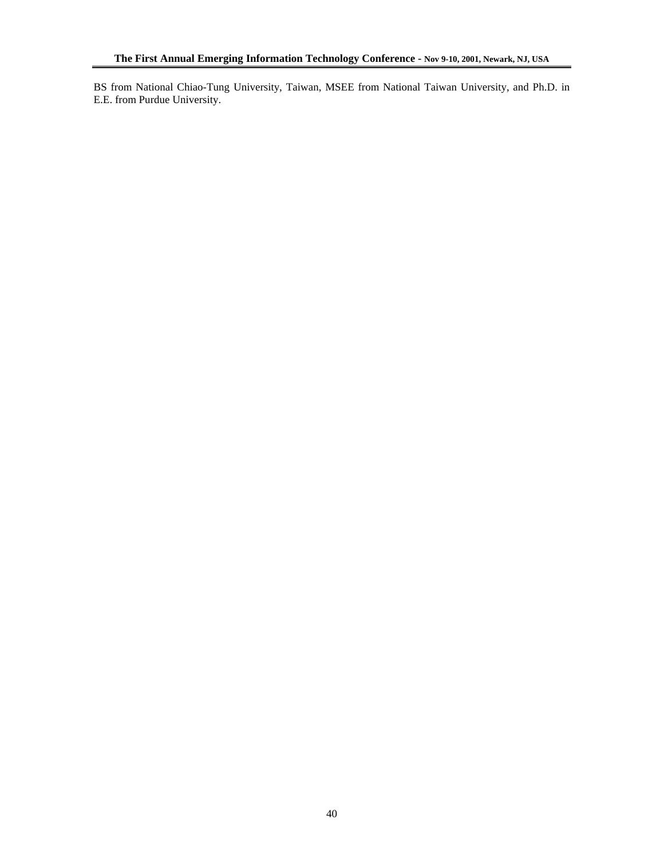BS from National Chiao-Tung University, Taiwan, MSEE from National Taiwan University, and Ph.D. in E.E. from Purdue University.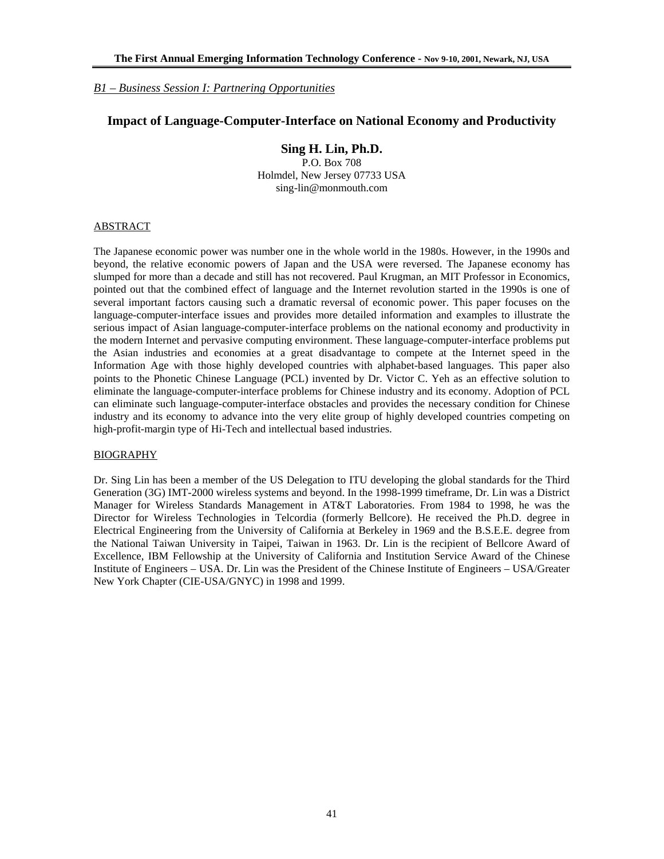### *B1 – Business Session I: Partnering Opportunities*

### **Impact of Language-Computer-Interface on National Economy and Productivity**

### **Sing H. Lin, Ph.D.**

P.O. Box 708 Holmdel, New Jersey 07733 USA sing-lin@monmouth.com

#### ABSTRACT

The Japanese economic power was number one in the whole world in the 1980s. However, in the 1990s and beyond, the relative economic powers of Japan and the USA were reversed. The Japanese economy has slumped for more than a decade and still has not recovered. Paul Krugman, an MIT Professor in Economics, pointed out that the combined effect of language and the Internet revolution started in the 1990s is one of several important factors causing such a dramatic reversal of economic power. This paper focuses on the language-computer-interface issues and provides more detailed information and examples to illustrate the serious impact of Asian language-computer-interface problems on the national economy and productivity in the modern Internet and pervasive computing environment. These language-computer-interface problems put the Asian industries and economies at a great disadvantage to compete at the Internet speed in the Information Age with those highly developed countries with alphabet-based languages. This paper also points to the Phonetic Chinese Language (PCL) invented by Dr. Victor C. Yeh as an effective solution to eliminate the language-computer-interface problems for Chinese industry and its economy. Adoption of PCL can eliminate such language-computer-interface obstacles and provides the necessary condition for Chinese industry and its economy to advance into the very elite group of highly developed countries competing on high-profit-margin type of Hi-Tech and intellectual based industries.

#### BIOGRAPHY

Dr. Sing Lin has been a member of the US Delegation to ITU developing the global standards for the Third Generation (3G) IMT-2000 wireless systems and beyond. In the 1998-1999 timeframe, Dr. Lin was a District Manager for Wireless Standards Management in AT&T Laboratories. From 1984 to 1998, he was the Director for Wireless Technologies in Telcordia (formerly Bellcore). He received the Ph.D. degree in Electrical Engineering from the University of California at Berkeley in 1969 and the B.S.E.E. degree from the National Taiwan University in Taipei, Taiwan in 1963. Dr. Lin is the recipient of Bellcore Award of Excellence, IBM Fellowship at the University of California and Institution Service Award of the Chinese Institute of Engineers – USA. Dr. Lin was the President of the Chinese Institute of Engineers – USA/Greater New York Chapter (CIE-USA/GNYC) in 1998 and 1999.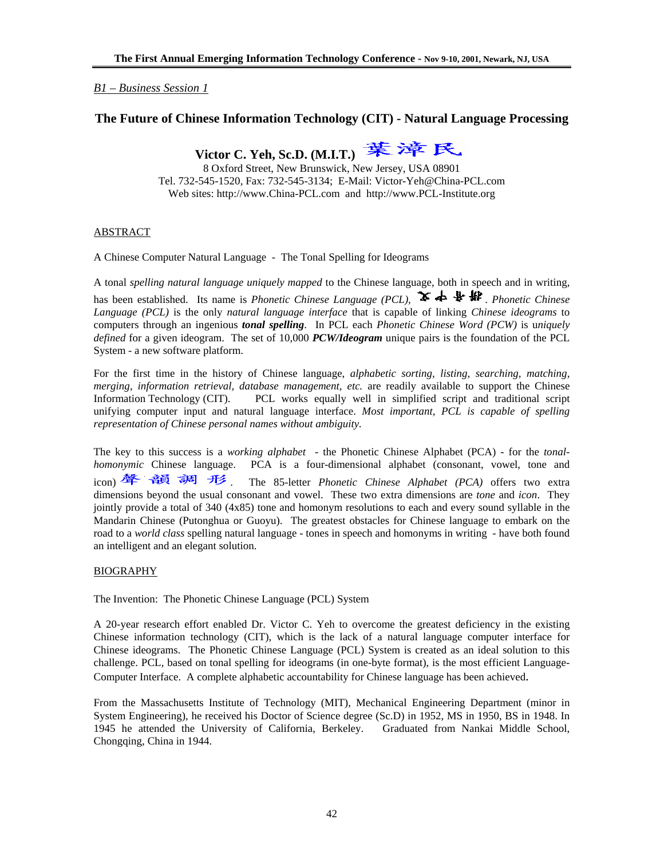### *B1 – Business Session 1*

### **The Future of Chinese Information Technology (CIT) - Natural Language Processing**

Victor C. Yeh, Sc.D. (M.I.T.) **葉漳民** 

8 Oxford Street, New Brunswick, New Jersey, USA 08901 Tel. 732-545-1520, Fax: 732-545-3134;E-Mail: Victor-Yeh@China-PCL.com Web sites: http://www.China-PCL.com and http://www.PCL-Institute.org

#### ABSTRACT

A Chinese Computer Natural Language - The Tonal Spelling for Ideograms

A tonal *spelling natural language uniquely mapped* to the Chinese language, both in speech and in writing, has been established. Its name is *Phonetic Chinese Language (PCL)*,  $\blacktriangleright$   $\blacklozenge$   $\blacklozenge$  *Phonetic Chinese Language (PCL)* is the only *natural language interface* that is capable of linking *Chinese ideograms* to computers through an ingenious *tonal spelling*. In PCL each *Phonetic Chinese Word (PCW)* is u*niquely defined* for a given ideogram.The set of 10,000 *PCW/Ideogram* unique pairs is the foundation of the PCL System - a new software platform.

For the first time in the history of Chinese language, *alphabetic sorting, listing, searching, matching, merging, information retrieval, database management, etc.* are readily available to support the Chinese Information Technology (CIT). PCL works equally well in simplified script and traditional script unifying computer input and natural language interface. *Most important, PCL is capable of spelling representation of Chinese personal names without ambiguity.*

The key to this success is a *working alphabet* - the Phonetic Chinese Alphabet (PCA) - for the *tonalhomonymic* Chinese language. PCA is a four-dimensional alphabet (consonant, vowel, tone and icon) **聲 韻 調 形**. The 85-letter *Phonetic Chinese Alphabet (PCA)* offers two extra dimensions beyond the usual consonant and vowel. These two extra dimensions are *tone* and *icon*. They jointly provide a total of 340 (4x85) tone and homonym resolutions to each and every sound syllable in the Mandarin Chinese (Putonghua or Guoyu). The greatest obstacles for Chinese language to embark on the road to a *world class* spelling natural language - tones in speech and homonyms in writing - have both found an intelligent and an elegant solution.

#### BIOGRAPHY

The Invention: The Phonetic Chinese Language (PCL) System

A 20-year research effort enabled Dr. Victor C. Yeh to overcome the greatest deficiency in the existing Chinese information technology (CIT), which is the lack of a natural language computer interface for Chinese ideograms. The Phonetic Chinese Language (PCL) System is created as an ideal solution to this challenge. PCL, based on tonal spelling for ideograms (in one-byte format), is the most efficient Language-Computer Interface. A complete alphabetic accountability for Chinese language has been achieved.

From the Massachusetts Institute of Technology (MIT), Mechanical Engineering Department (minor in System Engineering), he received his Doctor of Science degree (Sc.D) in 1952, MS in 1950, BS in 1948. In 1945 he attended the University of California, Berkeley. Graduated from Nankai Middle School, Chongqing, China in 1944.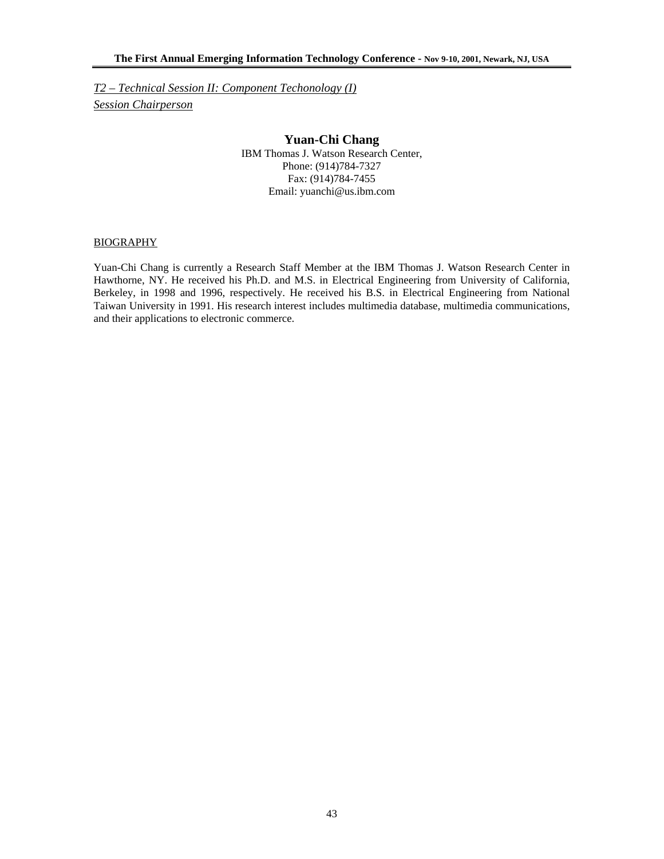*T2 – Technical Session II: Component Techonology (I) Session Chairperson*

# **Yuan-Chi Chang**

IBM Thomas J. Watson Research Center, Phone: (914)784-7327 Fax: (914)784-7455 Email: yuanchi@us.ibm.com

### BIOGRAPHY

Yuan-Chi Chang is currently a Research Staff Member at the IBM Thomas J. Watson Research Center in Hawthorne, NY. He received his Ph.D. and M.S. in Electrical Engineering from University of California, Berkeley, in 1998 and 1996, respectively. He received his B.S. in Electrical Engineering from National Taiwan University in 1991. His research interest includes multimedia database, multimedia communications, and their applications to electronic commerce.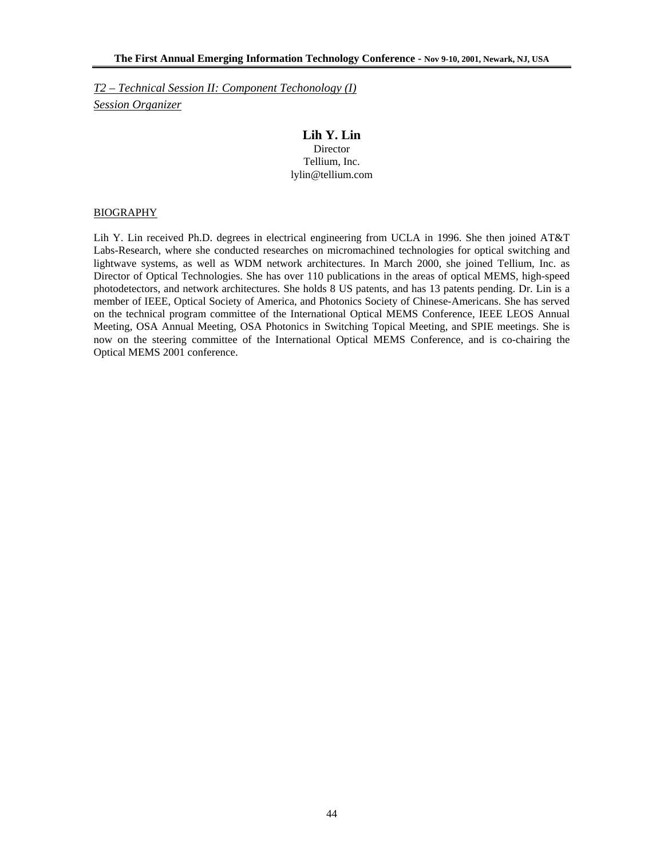*T2 – Technical Session II: Component Techonology (I) Session Organizer*

### **Lih Y. Lin**

Director Tellium, Inc. lylin@tellium.com

#### **BIOGRAPHY**

Lih Y. Lin received Ph.D. degrees in electrical engineering from UCLA in 1996. She then joined AT&T Labs-Research, where she conducted researches on micromachined technologies for optical switching and lightwave systems, as well as WDM network architectures. In March 2000, she joined Tellium, Inc. as Director of Optical Technologies. She has over 110 publications in the areas of optical MEMS, high-speed photodetectors, and network architectures. She holds 8 US patents, and has 13 patents pending. Dr. Lin is a member of IEEE, Optical Society of America, and Photonics Society of Chinese-Americans. She has served on the technical program committee of the International Optical MEMS Conference, IEEE LEOS Annual Meeting, OSA Annual Meeting, OSA Photonics in Switching Topical Meeting, and SPIE meetings. She is now on the steering committee of the International Optical MEMS Conference, and is co-chairing the Optical MEMS 2001 conference.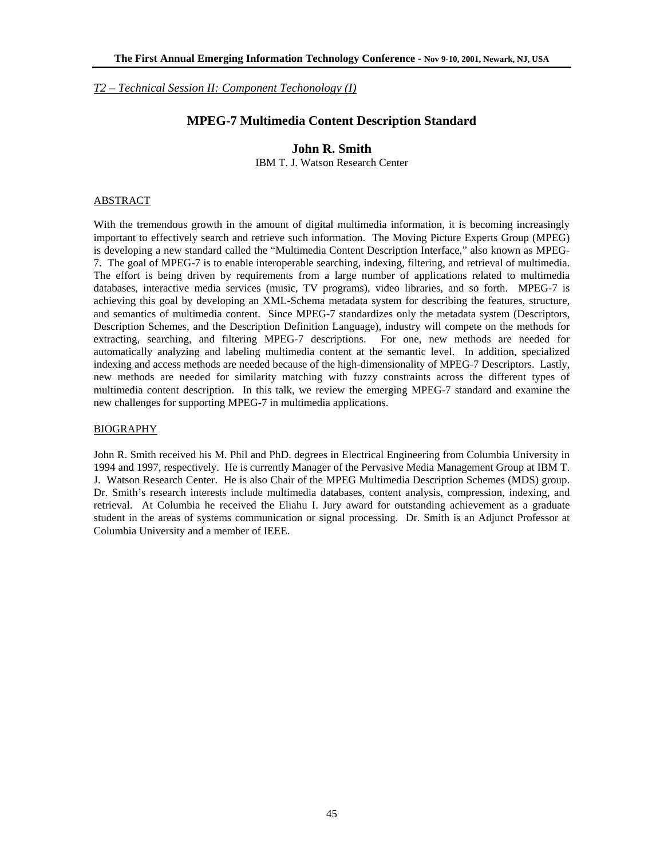*T2 – Technical Session II: Component Techonology (I)*

### **MPEG-7 Multimedia Content Description Standard**

### **John R. Smith**

IBM T. J. Watson Research Center

#### ABSTRACT

With the tremendous growth in the amount of digital multimedia information, it is becoming increasingly important to effectively search and retrieve such information. The Moving Picture Experts Group (MPEG) is developing a new standard called the "Multimedia Content Description Interface," also known as MPEG-7. The goal of MPEG-7 is to enable interoperable searching, indexing, filtering, and retrieval of multimedia. The effort is being driven by requirements from a large number of applications related to multimedia databases, interactive media services (music, TV programs), video libraries, and so forth. MPEG-7 is achieving this goal by developing an XML-Schema metadata system for describing the features, structure, and semantics of multimedia content. Since MPEG-7 standardizes only the metadata system (Descriptors, Description Schemes, and the Description Definition Language), industry will compete on the methods for extracting, searching, and filtering MPEG-7 descriptions. For one, new methods are needed for automatically analyzing and labeling multimedia content at the semantic level. In addition, specialized indexing and access methods are needed because of the high-dimensionality of MPEG-7 Descriptors. Lastly, new methods are needed for similarity matching with fuzzy constraints across the different types of multimedia content description. In this talk, we review the emerging MPEG-7 standard and examine the new challenges for supporting MPEG-7 in multimedia applications.

### BIOGRAPHY

John R. Smith received his M. Phil and PhD. degrees in Electrical Engineering from Columbia University in 1994 and 1997, respectively. He is currently Manager of the Pervasive Media Management Group at IBM T. J. Watson Research Center. He is also Chair of the MPEG Multimedia Description Schemes (MDS) group. Dr. Smith's research interests include multimedia databases, content analysis, compression, indexing, and retrieval. At Columbia he received the Eliahu I. Jury award for outstanding achievement as a graduate student in the areas of systems communication or signal processing. Dr. Smith is an Adjunct Professor at Columbia University and a member of IEEE.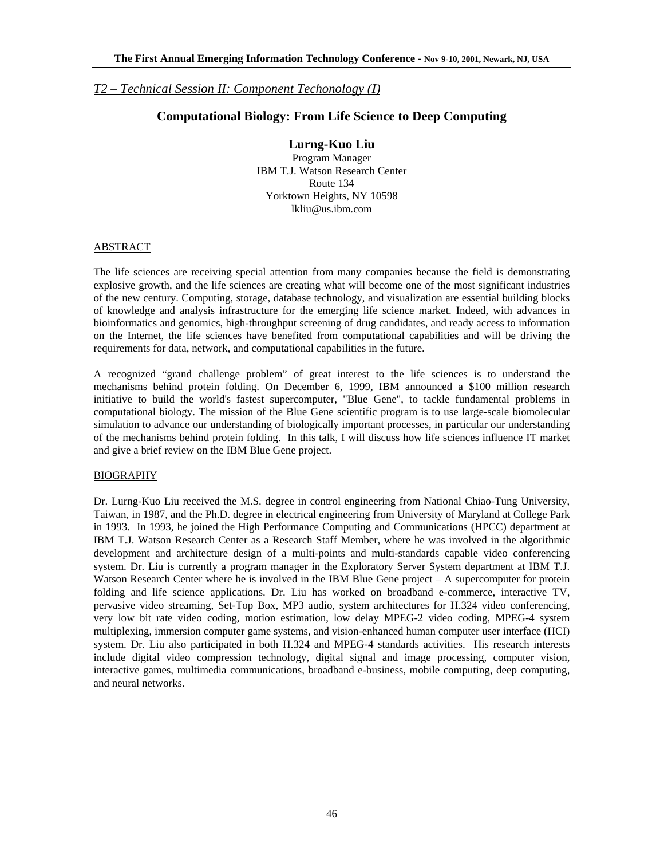# *T2 – Technical Session II: Component Techonology (I)*

# **Computational Biology: From Life Science to Deep Computing**

### **Lurng-Kuo Liu**

Program Manager IBM T.J. Watson Research Center Route 134 Yorktown Heights, NY 10598 lkliu@us.ibm.com

### ABSTRACT

The life sciences are receiving special attention from many companies because the field is demonstrating explosive growth, and the life sciences are creating what will become one of the most significant industries of the new century. Computing, storage, database technology, and visualization are essential building blocks of knowledge and analysis infrastructure for the emerging life science market. Indeed, with advances in bioinformatics and genomics, high-throughput screening of drug candidates, and ready access to information on the Internet, the life sciences have benefited from computational capabilities and will be driving the requirements for data, network, and computational capabilities in the future.

A recognized "grand challenge problem" of great interest to the life sciences is to understand the mechanisms behind protein folding. On December 6, 1999, IBM announced a \$100 million research initiative to build the world's fastest supercomputer, "Blue Gene", to tackle fundamental problems in computational biology. The mission of the Blue Gene scientific program is to use large-scale biomolecular simulation to advance our understanding of biologically important processes, in particular our understanding of the mechanisms behind protein folding. In this talk, I will discuss how life sciences influence IT market and give a brief review on the IBM Blue Gene project.

#### BIOGRAPHY

Dr. Lurng-Kuo Liu received the M.S. degree in control engineering from National Chiao-Tung University, Taiwan, in 1987, and the Ph.D. degree in electrical engineering from University of Maryland at College Park in 1993. In 1993, he joined the High Performance Computing and Communications (HPCC) department at IBM T.J. Watson Research Center as a Research Staff Member, where he was involved in the algorithmic development and architecture design of a multi-points and multi-standards capable video conferencing system. Dr. Liu is currently a program manager in the Exploratory Server System department at IBM T.J. Watson Research Center where he is involved in the IBM Blue Gene project – A supercomputer for protein folding and life science applications. Dr. Liu has worked on broadband e-commerce, interactive TV, pervasive video streaming, Set-Top Box, MP3 audio, system architectures for H.324 video conferencing, very low bit rate video coding, motion estimation, low delay MPEG-2 video coding, MPEG-4 system multiplexing, immersion computer game systems, and vision-enhanced human computer user interface (HCI) system. Dr. Liu also participated in both H.324 and MPEG-4 standards activities. His research interests include digital video compression technology, digital signal and image processing, computer vision, interactive games, multimedia communications, broadband e-business, mobile computing, deep computing, and neural networks.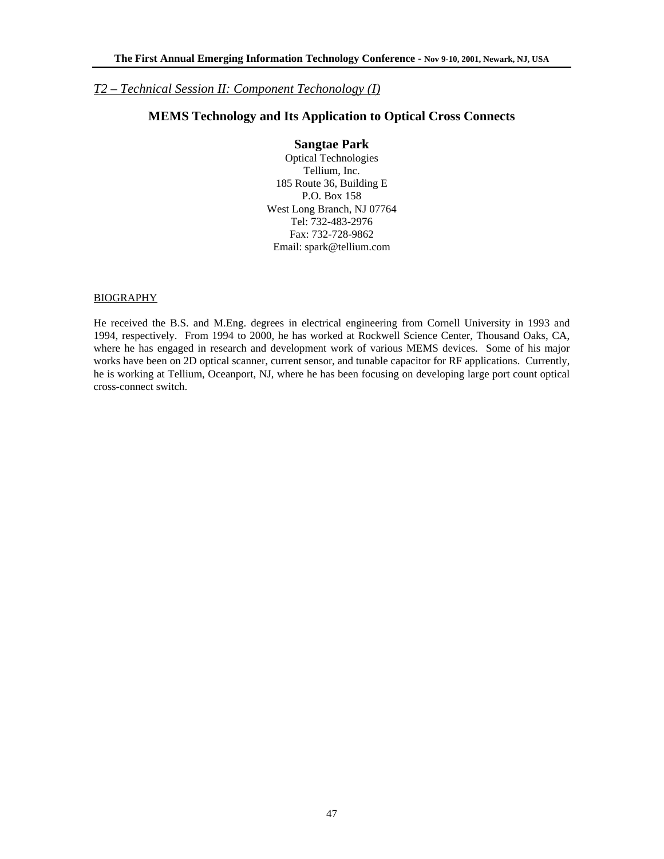# *T2 – Technical Session II: Component Techonology (I)*

# **MEMS Technology and Its Application to Optical Cross Connects**

#### **Sangtae Park**

Optical Technologies Tellium, Inc. 185 Route 36, Building E P.O. Box 158 West Long Branch, NJ 07764 Tel: 732-483-2976 Fax: 732-728-9862 Email: spark@tellium.com

### **BIOGRAPHY**

He received the B.S. and M.Eng. degrees in electrical engineering from Cornell University in 1993 and 1994, respectively. From 1994 to 2000, he has worked at Rockwell Science Center, Thousand Oaks, CA, where he has engaged in research and development work of various MEMS devices. Some of his major works have been on 2D optical scanner, current sensor, and tunable capacitor for RF applications. Currently, he is working at Tellium, Oceanport, NJ, where he has been focusing on developing large port count optical cross-connect switch.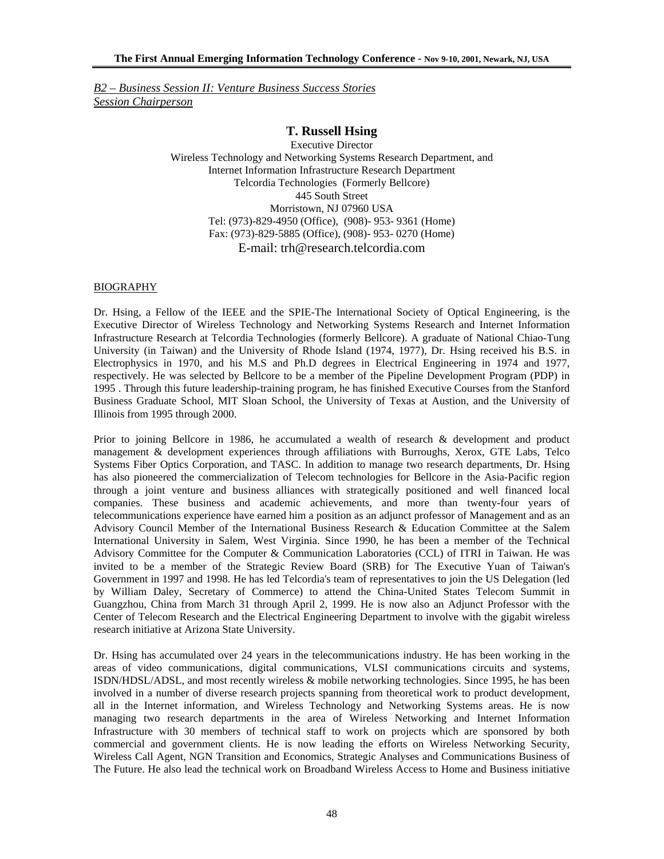*B2 – Business Session II: Venture Business Success Stories Session Chairperson*

# **T. Russell Hsing**

Executive Director Wireless Technology and Networking Systems Research Department, and Internet Information Infrastructure Research Department Telcordia Technologies (Formerly Bellcore) 445 South Street Morristown, NJ 07960 USA Tel: (973)-829-4950 (Office), (908)- 953- 9361 (Home) Fax: (973)-829-5885 (Office), (908)- 953- 0270 (Home) E-mail: trh@research.telcordia.com

### **BIOGRAPHY**

Dr. Hsing, a Fellow of the IEEE and the SPIE-The International Society of Optical Engineering, is the Executive Director of Wireless Technology and Networking Systems Research and Internet Information Infrastructure Research at Telcordia Technologies (formerly Bellcore). A graduate of National Chiao-Tung University (in Taiwan) and the University of Rhode Island (1974, 1977), Dr. Hsing received his B.S. in Electrophysics in 1970, and his M.S and Ph.D degrees in Electrical Engineering in 1974 and 1977, respectively. He was selected by Bellcore to be a member of the Pipeline Development Program (PDP) in 1995 . Through this future leadership-training program, he has finished Executive Courses from the Stanford Business Graduate School, MIT Sloan School, the University of Texas at Austion, and the University of Illinois from 1995 through 2000.

Prior to joining Bellcore in 1986, he accumulated a wealth of research & development and product management & development experiences through affiliations with Burroughs, Xerox, GTE Labs, Telco Systems Fiber Optics Corporation, and TASC. In addition to manage two research departments, Dr. Hsing has also pioneered the commercialization of Telecom technologies for Bellcore in the Asia-Pacific region through a joint venture and business alliances with strategically positioned and well financed local companies. These business and academic achievements, and more than twenty-four years of telecommunications experience have earned him a position as an adjunct professor of Management and as an Advisory Council Member of the International Business Research & Education Committee at the Salem International University in Salem, West Virginia. Since 1990, he has been a member of the Technical Advisory Committee for the Computer & Communication Laboratories (CCL) of ITRI in Taiwan. He was invited to be a member of the Strategic Review Board (SRB) for The Executive Yuan of Taiwan's Government in 1997 and 1998. He has led Telcordia's team of representatives to join the US Delegation (led by William Daley, Secretary of Commerce) to attend the China-United States Telecom Summit in Guangzhou, China from March 31 through April 2, 1999. He is now also an Adjunct Professor with the Center of Telecom Research and the Electrical Engineering Department to involve with the gigabit wireless research initiative at Arizona State University.

Dr. Hsing has accumulated over 24 years in the telecommunications industry. He has been working in the areas of video communications, digital communications, VLSI communications circuits and systems, ISDN/HDSL/ADSL, and most recently wireless & mobile networking technologies. Since 1995, he has been involved in a number of diverse research projects spanning from theoretical work to product development, all in the Internet information, and Wireless Technology and Networking Systems areas. He is now managing two research departments in the area of Wireless Networking and Internet Information Infrastructure with 30 members of technical staff to work on projects which are sponsored by both commercial and government clients. He is now leading the efforts on Wireless Networking Security, Wireless Call Agent, NGN Transition and Economics, Strategic Analyses and Communications Business of The Future. He also lead the technical work on Broadband Wireless Access to Home and Business initiative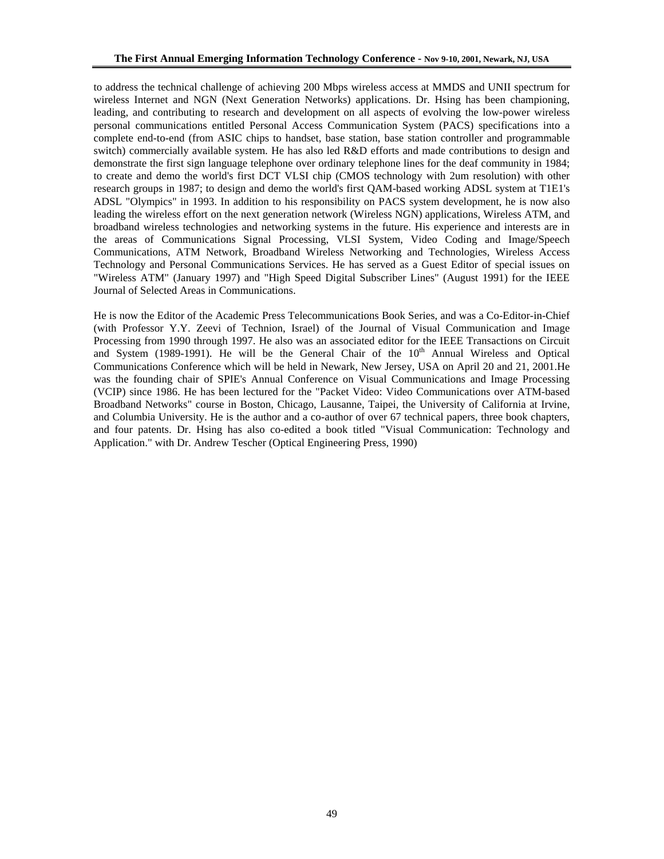to address the technical challenge of achieving 200 Mbps wireless access at MMDS and UNII spectrum for wireless Internet and NGN (Next Generation Networks) applications. Dr. Hsing has been championing, leading, and contributing to research and development on all aspects of evolving the low-power wireless personal communications entitled Personal Access Communication System (PACS) specifications into a complete end-to-end (from ASIC chips to handset, base station, base station controller and programmable switch) commercially available system. He has also led R&D efforts and made contributions to design and demonstrate the first sign language telephone over ordinary telephone lines for the deaf community in 1984; to create and demo the world's first DCT VLSI chip (CMOS technology with 2um resolution) with other research groups in 1987; to design and demo the world's first QAM-based working ADSL system at T1E1's ADSL "Olympics" in 1993. In addition to his responsibility on PACS system development, he is now also leading the wireless effort on the next generation network (Wireless NGN) applications, Wireless ATM, and broadband wireless technologies and networking systems in the future. His experience and interests are in the areas of Communications Signal Processing, VLSI System, Video Coding and Image/Speech Communications, ATM Network, Broadband Wireless Networking and Technologies, Wireless Access Technology and Personal Communications Services. He has served as a Guest Editor of special issues on "Wireless ATM" (January 1997) and "High Speed Digital Subscriber Lines" (August 1991) for the IEEE Journal of Selected Areas in Communications.

He is now the Editor of the Academic Press Telecommunications Book Series, and was a Co-Editor-in-Chief (with Professor Y.Y. Zeevi of Technion, Israel) of the Journal of Visual Communication and Image Processing from 1990 through 1997. He also was an associated editor for the IEEE Transactions on Circuit and System (1989-1991). He will be the General Chair of the  $10<sup>th</sup>$  Annual Wireless and Optical Communications Conference which will be held in Newark, New Jersey, USA on April 20 and 21, 2001.He was the founding chair of SPIE's Annual Conference on Visual Communications and Image Processing (VCIP) since 1986. He has been lectured for the "Packet Video: Video Communications over ATM-based Broadband Networks" course in Boston, Chicago, Lausanne, Taipei, the University of California at Irvine, and Columbia University. He is the author and a co-author of over 67 technical papers, three book chapters, and four patents. Dr. Hsing has also co-edited a book titled "Visual Communication: Technology and Application." with Dr. Andrew Tescher (Optical Engineering Press, 1990)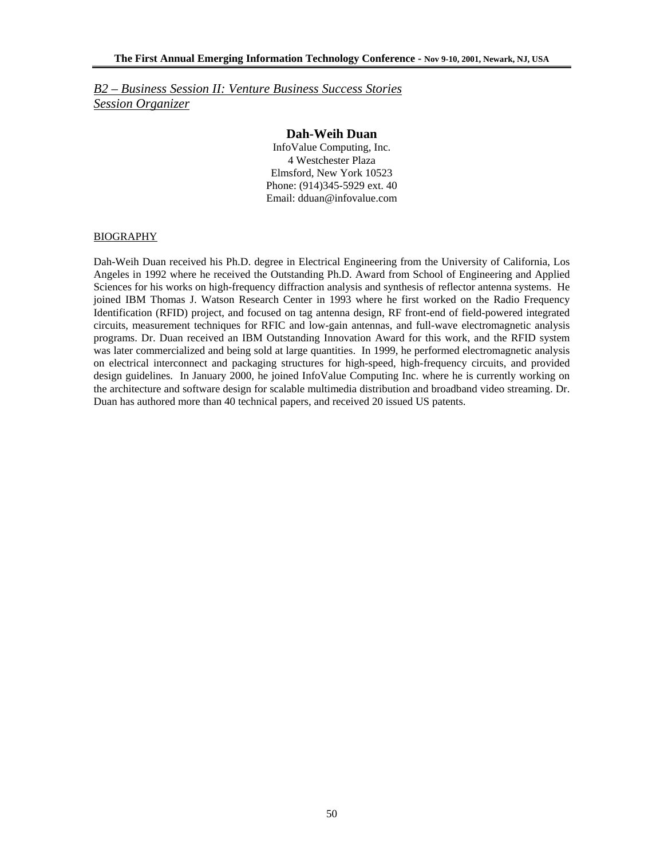*B2 – Business Session II: Venture Business Success Stories Session Organizer*

### **Dah-Weih Duan**

InfoValue Computing, Inc. 4 Westchester Plaza Elmsford, New York 10523 Phone: (914)345-5929 ext. 40 Email: dduan@infovalue.com

#### BIOGRAPHY

Dah-Weih Duan received his Ph.D. degree in Electrical Engineering from the University of California, Los Angeles in 1992 where he received the Outstanding Ph.D. Award from School of Engineering and Applied Sciences for his works on high-frequency diffraction analysis and synthesis of reflector antenna systems. He joined IBM Thomas J. Watson Research Center in 1993 where he first worked on the Radio Frequency Identification (RFID) project, and focused on tag antenna design, RF front-end of field-powered integrated circuits, measurement techniques for RFIC and low-gain antennas, and full-wave electromagnetic analysis programs. Dr. Duan received an IBM Outstanding Innovation Award for this work, and the RFID system was later commercialized and being sold at large quantities. In 1999, he performed electromagnetic analysis on electrical interconnect and packaging structures for high-speed, high-frequency circuits, and provided design guidelines. In January 2000, he joined InfoValue Computing Inc. where he is currently working on the architecture and software design for scalable multimedia distribution and broadband video streaming. Dr. Duan has authored more than 40 technical papers, and received 20 issued US patents.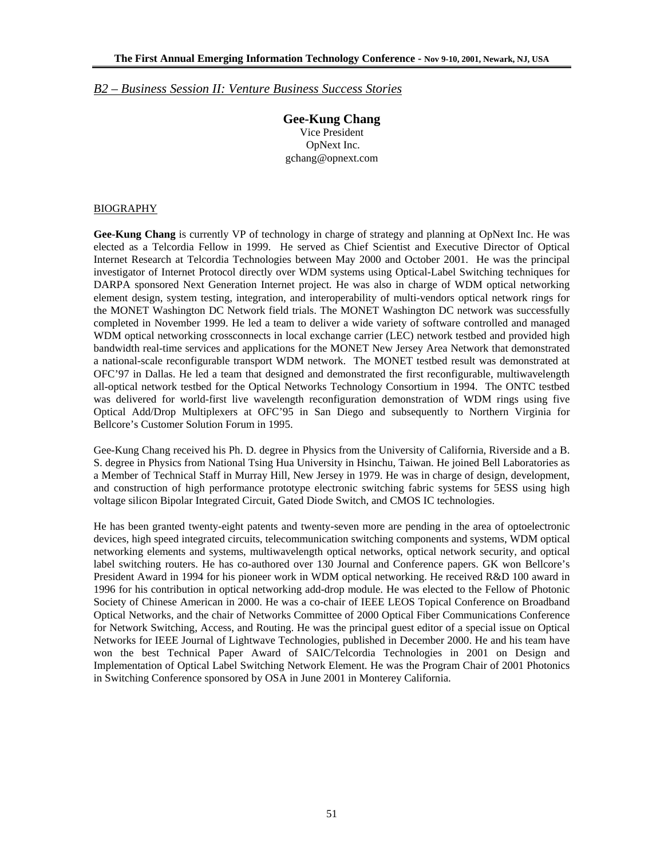### *B2 – Business Session II: Venture Business Success Stories*

**Gee-Kung Chang**  Vice President OpNext Inc. gchang@opnext.com

### BIOGRAPHY

**Gee-Kung Chang** is currently VP of technology in charge of strategy and planning at OpNext Inc. He was elected as a Telcordia Fellow in 1999. He served as Chief Scientist and Executive Director of Optical Internet Research at Telcordia Technologies between May 2000 and October 2001. He was the principal investigator of Internet Protocol directly over WDM systems using Optical-Label Switching techniques for DARPA sponsored Next Generation Internet project. He was also in charge of WDM optical networking element design, system testing, integration, and interoperability of multi-vendors optical network rings for the MONET Washington DC Network field trials. The MONET Washington DC network was successfully completed in November 1999. He led a team to deliver a wide variety of software controlled and managed WDM optical networking crossconnects in local exchange carrier (LEC) network testbed and provided high bandwidth real-time services and applications for the MONET New Jersey Area Network that demonstrated a national-scale reconfigurable transport WDM network. The MONET testbed result was demonstrated at OFC'97 in Dallas. He led a team that designed and demonstrated the first reconfigurable, multiwavelength all-optical network testbed for the Optical Networks Technology Consortium in 1994. The ONTC testbed was delivered for world-first live wavelength reconfiguration demonstration of WDM rings using five Optical Add/Drop Multiplexers at OFC'95 in San Diego and subsequently to Northern Virginia for Bellcore's Customer Solution Forum in 1995.

Gee-Kung Chang received his Ph. D. degree in Physics from the University of California, Riverside and a B. S. degree in Physics from National Tsing Hua University in Hsinchu, Taiwan. He joined Bell Laboratories as a Member of Technical Staff in Murray Hill, New Jersey in 1979. He was in charge of design, development, and construction of high performance prototype electronic switching fabric systems for 5ESS using high voltage silicon Bipolar Integrated Circuit, Gated Diode Switch, and CMOS IC technologies.

He has been granted twenty-eight patents and twenty-seven more are pending in the area of optoelectronic devices, high speed integrated circuits, telecommunication switching components and systems, WDM optical networking elements and systems, multiwavelength optical networks, optical network security, and optical label switching routers. He has co-authored over 130 Journal and Conference papers. GK won Bellcore's President Award in 1994 for his pioneer work in WDM optical networking. He received R&D 100 award in 1996 for his contribution in optical networking add-drop module. He was elected to the Fellow of Photonic Society of Chinese American in 2000. He was a co-chair of IEEE LEOS Topical Conference on Broadband Optical Networks, and the chair of Networks Committee of 2000 Optical Fiber Communications Conference for Network Switching, Access, and Routing. He was the principal guest editor of a special issue on Optical Networks for IEEE Journal of Lightwave Technologies, published in December 2000. He and his team have won the best Technical Paper Award of SAIC/Telcordia Technologies in 2001 on Design and Implementation of Optical Label Switching Network Element. He was the Program Chair of 2001 Photonics in Switching Conference sponsored by OSA in June 2001 in Monterey California.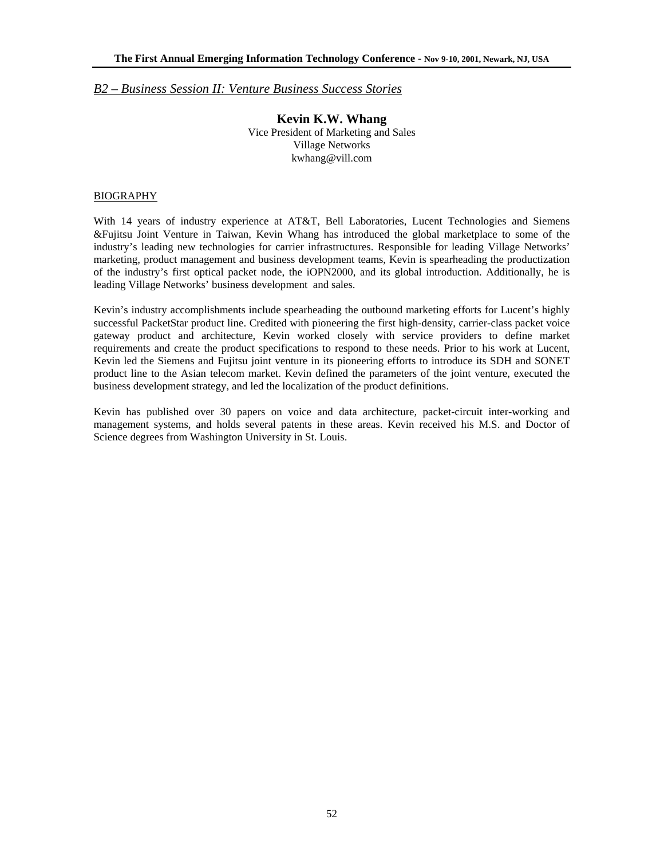### *B2 – Business Session II: Venture Business Success Stories*

**Kevin K.W. Whang**  Vice President of Marketing and Sales Village Networks kwhang@vill.com

### **BIOGRAPHY**

With 14 years of industry experience at AT&T, Bell Laboratories, Lucent Technologies and Siemens &Fujitsu Joint Venture in Taiwan, Kevin Whang has introduced the global marketplace to some of the industry's leading new technologies for carrier infrastructures. Responsible for leading Village Networks' marketing, product management and business development teams, Kevin is spearheading the productization of the industry's first optical packet node, the iOPN2000, and its global introduction. Additionally, he is leading Village Networks' business development and sales.

Kevin's industry accomplishments include spearheading the outbound marketing efforts for Lucent's highly successful PacketStar product line. Credited with pioneering the first high-density, carrier-class packet voice gateway product and architecture, Kevin worked closely with service providers to define market requirements and create the product specifications to respond to these needs. Prior to his work at Lucent, Kevin led the Siemens and Fujitsu joint venture in its pioneering efforts to introduce its SDH and SONET product line to the Asian telecom market. Kevin defined the parameters of the joint venture, executed the business development strategy, and led the localization of the product definitions.

Kevin has published over 30 papers on voice and data architecture, packet-circuit inter-working and management systems, and holds several patents in these areas. Kevin received his M.S. and Doctor of Science degrees from Washington University in St. Louis.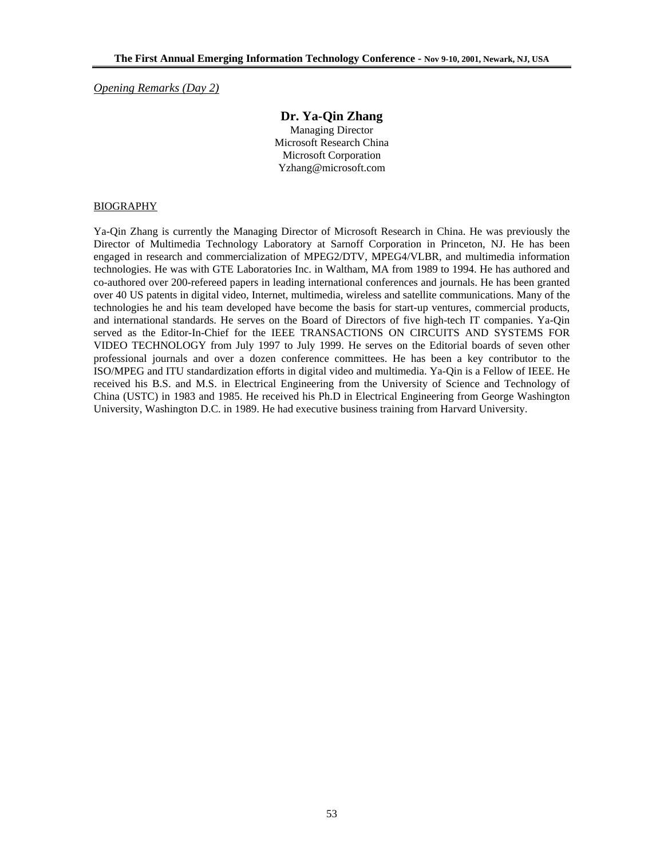*Opening Remarks (Day 2)*

### **Dr. Ya-Qin Zhang**

Managing Director Microsoft Research China Microsoft Corporation Yzhang@microsoft.com

#### BIOGRAPHY

Ya-Qin Zhang is currently the Managing Director of Microsoft Research in China. He was previously the Director of Multimedia Technology Laboratory at Sarnoff Corporation in Princeton, NJ. He has been engaged in research and commercialization of MPEG2/DTV, MPEG4/VLBR, and multimedia information technologies. He was with GTE Laboratories Inc. in Waltham, MA from 1989 to 1994. He has authored and co-authored over 200-refereed papers in leading international conferences and journals. He has been granted over 40 US patents in digital video, Internet, multimedia, wireless and satellite communications. Many of the technologies he and his team developed have become the basis for start-up ventures, commercial products, and international standards. He serves on the Board of Directors of five high-tech IT companies. Ya-Qin served as the Editor-In-Chief for the IEEE TRANSACTIONS ON CIRCUITS AND SYSTEMS FOR VIDEO TECHNOLOGY from July 1997 to July 1999. He serves on the Editorial boards of seven other professional journals and over a dozen conference committees. He has been a key contributor to the ISO/MPEG and ITU standardization efforts in digital video and multimedia. Ya-Qin is a Fellow of IEEE. He received his B.S. and M.S. in Electrical Engineering from the University of Science and Technology of China (USTC) in 1983 and 1985. He received his Ph.D in Electrical Engineering from George Washington University, Washington D.C. in 1989. He had executive business training from Harvard University.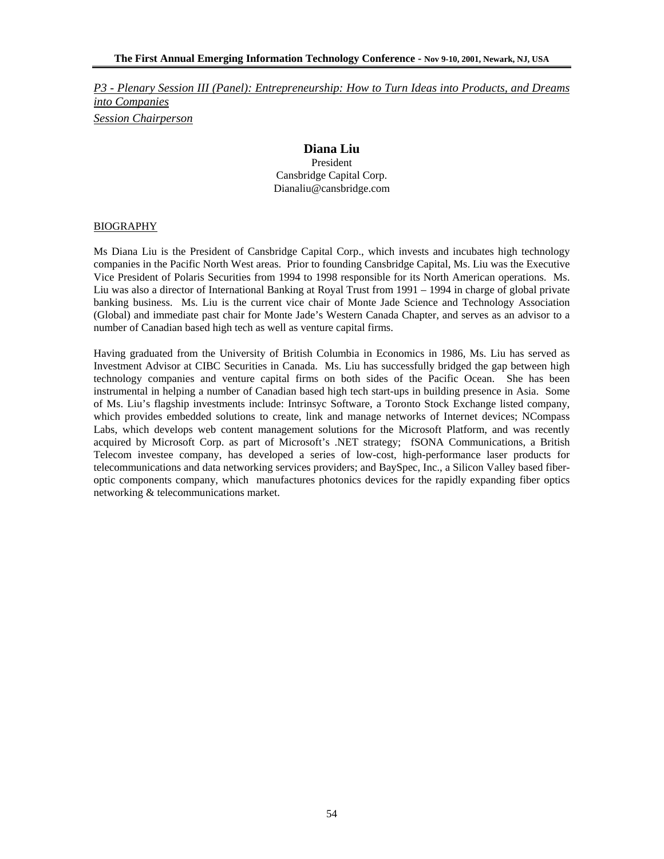# **Diana Liu**

President Cansbridge Capital Corp. Dianaliu@cansbridge.com

### BIOGRAPHY

Ms Diana Liu is the President of Cansbridge Capital Corp., which invests and incubates high technology companies in the Pacific North West areas. Prior to founding Cansbridge Capital, Ms. Liu was the Executive Vice President of Polaris Securities from 1994 to 1998 responsible for its North American operations. Ms. Liu was also a director of International Banking at Royal Trust from 1991 – 1994 in charge of global private banking business. Ms. Liu is the current vice chair of Monte Jade Science and Technology Association (Global) and immediate past chair for Monte Jade's Western Canada Chapter, and serves as an advisor to a number of Canadian based high tech as well as venture capital firms.

Having graduated from the University of British Columbia in Economics in 1986, Ms. Liu has served as Investment Advisor at CIBC Securities in Canada. Ms. Liu has successfully bridged the gap between high technology companies and venture capital firms on both sides of the Pacific Ocean. She has been instrumental in helping a number of Canadian based high tech start-ups in building presence in Asia. Some of Ms. Liu's flagship investments include: Intrinsyc Software, a Toronto Stock Exchange listed company, which provides embedded solutions to create, link and manage networks of Internet devices; NCompass Labs, which develops web content management solutions for the Microsoft Platform, and was recently acquired by Microsoft Corp. as part of Microsoft's .NET strategy; fSONA Communications, a British Telecom investee company, has developed a series of low-cost, high-performance laser products for telecommunications and data networking services providers; and BaySpec, Inc., a Silicon Valley based fiberoptic components company, which manufactures photonics devices for the rapidly expanding fiber optics networking & telecommunications market.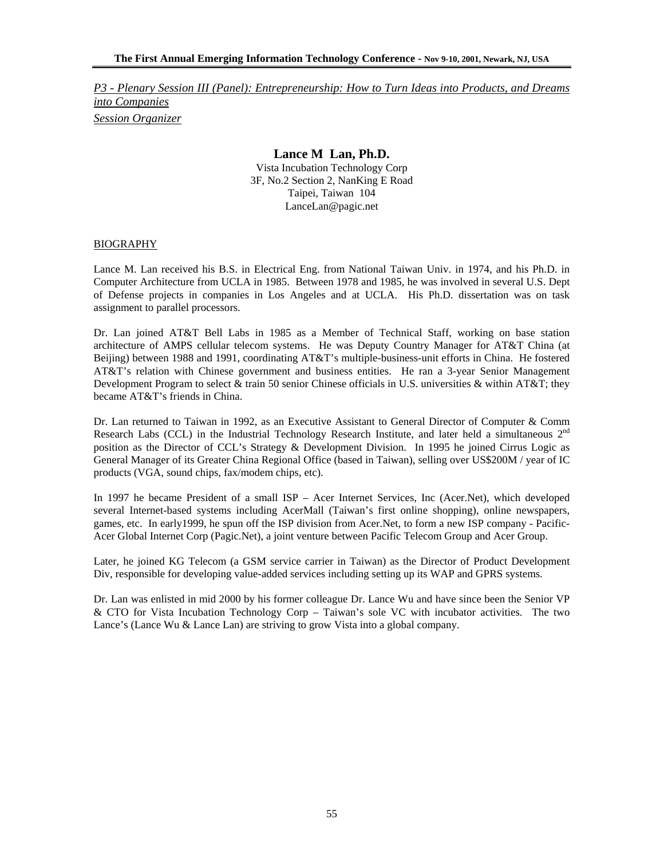### **Lance M Lan, Ph.D.**

Vista Incubation Technology Corp 3F, No.2 Section 2, NanKing E Road Taipei, Taiwan 104 LanceLan@pagic.net

#### BIOGRAPHY

Lance M. Lan received his B.S. in Electrical Eng. from National Taiwan Univ. in 1974, and his Ph.D. in Computer Architecture from UCLA in 1985. Between 1978 and 1985, he was involved in several U.S. Dept of Defense projects in companies in Los Angeles and at UCLA. His Ph.D. dissertation was on task assignment to parallel processors.

Dr. Lan joined AT&T Bell Labs in 1985 as a Member of Technical Staff, working on base station architecture of AMPS cellular telecom systems. He was Deputy Country Manager for AT&T China (at Beijing) between 1988 and 1991, coordinating AT&T's multiple-business-unit efforts in China. He fostered AT&T's relation with Chinese government and business entities. He ran a 3-year Senior Management Development Program to select  $\&$  train 50 senior Chinese officials in U.S. universities  $\&$  within AT $\&$ T; they became AT&T's friends in China.

Dr. Lan returned to Taiwan in 1992, as an Executive Assistant to General Director of Computer & Comm Research Labs (CCL) in the Industrial Technology Research Institute, and later held a simultaneous 2<sup>nd</sup> position as the Director of CCL's Strategy & Development Division. In 1995 he joined Cirrus Logic as General Manager of its Greater China Regional Office (based in Taiwan), selling over US\$200M / year of IC products (VGA, sound chips, fax/modem chips, etc).

In 1997 he became President of a small ISP – Acer Internet Services, Inc (Acer.Net), which developed several Internet-based systems including AcerMall (Taiwan's first online shopping), online newspapers, games, etc. In early1999, he spun off the ISP division from Acer.Net, to form a new ISP company - Pacific-Acer Global Internet Corp (Pagic.Net), a joint venture between Pacific Telecom Group and Acer Group.

Later, he joined KG Telecom (a GSM service carrier in Taiwan) as the Director of Product Development Div, responsible for developing value-added services including setting up its WAP and GPRS systems.

Dr. Lan was enlisted in mid 2000 by his former colleague Dr. Lance Wu and have since been the Senior VP & CTO for Vista Incubation Technology Corp – Taiwan's sole VC with incubator activities. The two Lance's (Lance Wu & Lance Lan) are striving to grow Vista into a global company.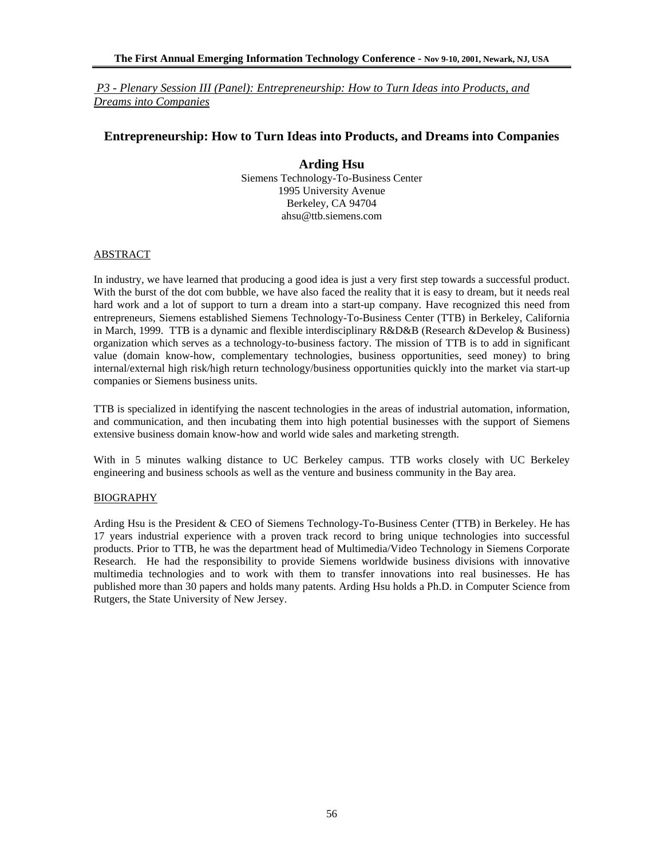### **Entrepreneurship: How to Turn Ideas into Products, and Dreams into Companies**

**Arding Hsu**  Siemens Technology-To-Business Center 1995 University Avenue Berkeley, CA 94704 ahsu@ttb.siemens.com

#### ABSTRACT

In industry, we have learned that producing a good idea is just a very first step towards a successful product. With the burst of the dot com bubble, we have also faced the reality that it is easy to dream, but it needs real hard work and a lot of support to turn a dream into a start-up company. Have recognized this need from entrepreneurs, Siemens established Siemens Technology-To-Business Center (TTB) in Berkeley, California in March, 1999. TTB is a dynamic and flexible interdisciplinary R&D&B (Research &Develop & Business) organization which serves as a technology-to-business factory. The mission of TTB is to add in significant value (domain know-how, complementary technologies, business opportunities, seed money) to bring internal/external high risk/high return technology/business opportunities quickly into the market via start-up companies or Siemens business units.

TTB is specialized in identifying the nascent technologies in the areas of industrial automation, information, and communication, and then incubating them into high potential businesses with the support of Siemens extensive business domain know-how and world wide sales and marketing strength.

With in 5 minutes walking distance to UC Berkeley campus. TTB works closely with UC Berkeley engineering and business schools as well as the venture and business community in the Bay area.

### **BIOGRAPHY**

Arding Hsu is the President & CEO of Siemens Technology-To-Business Center (TTB) in Berkeley. He has 17 years industrial experience with a proven track record to bring unique technologies into successful products. Prior to TTB, he was the department head of Multimedia/Video Technology in Siemens Corporate Research. He had the responsibility to provide Siemens worldwide business divisions with innovative multimedia technologies and to work with them to transfer innovations into real businesses. He has published more than 30 papers and holds many patents. Arding Hsu holds a Ph.D. in Computer Science from Rutgers, the State University of New Jersey.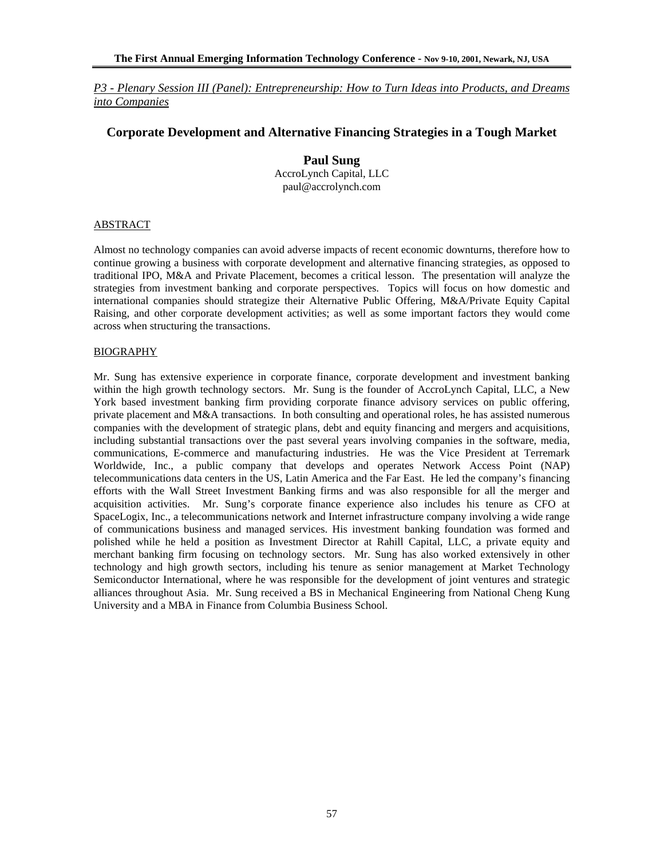### **Corporate Development and Alternative Financing Strategies in a Tough Market**

### **Paul Sung**

AccroLynch Capital, LLC paul@accrolynch.com

#### ABSTRACT

Almost no technology companies can avoid adverse impacts of recent economic downturns, therefore how to continue growing a business with corporate development and alternative financing strategies, as opposed to traditional IPO, M&A and Private Placement, becomes a critical lesson. The presentation will analyze the strategies from investment banking and corporate perspectives. Topics will focus on how domestic and international companies should strategize their Alternative Public Offering, M&A/Private Equity Capital Raising, and other corporate development activities; as well as some important factors they would come across when structuring the transactions.

### BIOGRAPHY

Mr. Sung has extensive experience in corporate finance, corporate development and investment banking within the high growth technology sectors. Mr. Sung is the founder of AccroLynch Capital, LLC, a New York based investment banking firm providing corporate finance advisory services on public offering, private placement and M&A transactions. In both consulting and operational roles, he has assisted numerous companies with the development of strategic plans, debt and equity financing and mergers and acquisitions, including substantial transactions over the past several years involving companies in the software, media, communications, E-commerce and manufacturing industries. He was the Vice President at Terremark Worldwide, Inc., a public company that develops and operates Network Access Point (NAP) telecommunications data centers in the US, Latin America and the Far East. He led the company's financing efforts with the Wall Street Investment Banking firms and was also responsible for all the merger and acquisition activities. Mr. Sung's corporate finance experience also includes his tenure as CFO at SpaceLogix, Inc., a telecommunications network and Internet infrastructure company involving a wide range of communications business and managed services. His investment banking foundation was formed and polished while he held a position as Investment Director at Rahill Capital, LLC, a private equity and merchant banking firm focusing on technology sectors. Mr. Sung has also worked extensively in other technology and high growth sectors, including his tenure as senior management at Market Technology Semiconductor International, where he was responsible for the development of joint ventures and strategic alliances throughout Asia. Mr. Sung received a BS in Mechanical Engineering from National Cheng Kung University and a MBA in Finance from Columbia Business School.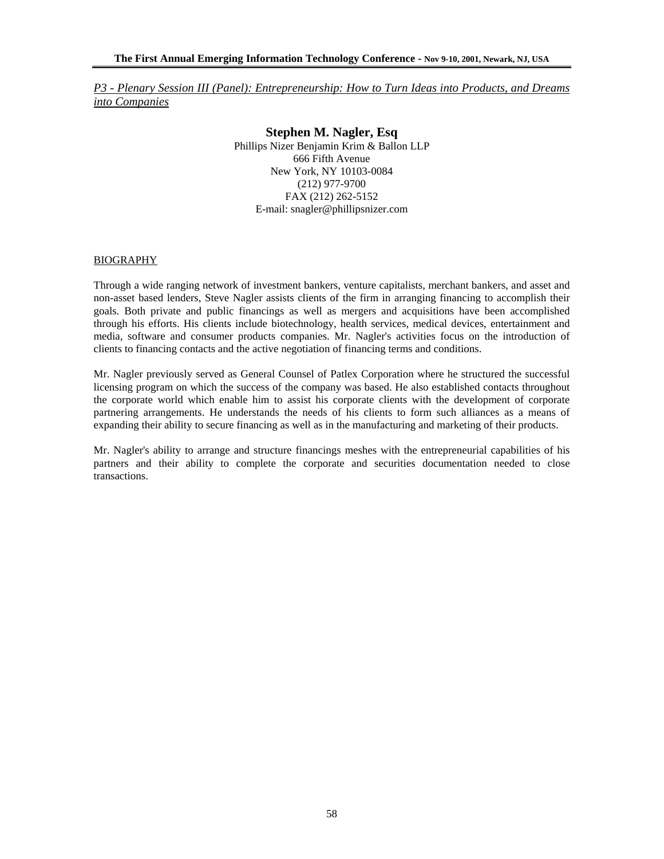> **Stephen M. Nagler, Esq**  Phillips Nizer Benjamin Krim & Ballon LLP 666 Fifth Avenue New York, NY 10103-0084 (212) 977-9700 FAX (212) 262-5152 E-mail: snagler@phillipsnizer.com

#### BIOGRAPHY

Through a wide ranging network of investment bankers, venture capitalists, merchant bankers, and asset and non-asset based lenders, Steve Nagler assists clients of the firm in arranging financing to accomplish their goals. Both private and public financings as well as mergers and acquisitions have been accomplished through his efforts. His clients include biotechnology, health services, medical devices, entertainment and media, software and consumer products companies. Mr. Nagler's activities focus on the introduction of clients to financing contacts and the active negotiation of financing terms and conditions.

Mr. Nagler previously served as General Counsel of Patlex Corporation where he structured the successful licensing program on which the success of the company was based. He also established contacts throughout the corporate world which enable him to assist his corporate clients with the development of corporate partnering arrangements. He understands the needs of his clients to form such alliances as a means of expanding their ability to secure financing as well as in the manufacturing and marketing of their products.

Mr. Nagler's ability to arrange and structure financings meshes with the entrepreneurial capabilities of his partners and their ability to complete the corporate and securities documentation needed to close transactions.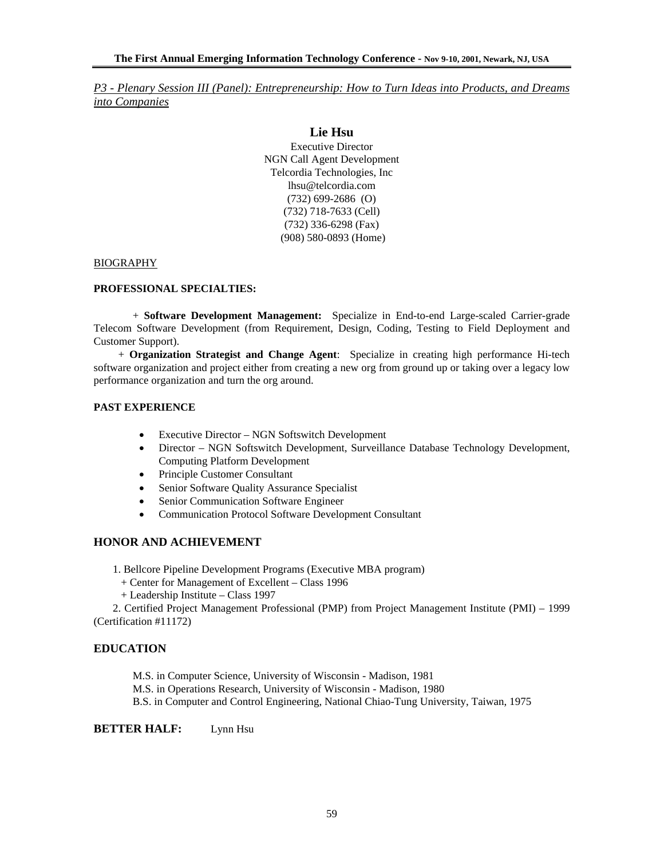### **Lie Hsu**

Executive Director NGN Call Agent Development Telcordia Technologies, Inc lhsu@telcordia.com (732) 699-2686 (O) (732) 718-7633 (Cell) (732) 336-6298 (Fax) (908) 580-0893 (Home)

#### BIOGRAPHY

#### **PROFESSIONAL SPECIALTIES:**

 + **Software Development Management:** Specialize in End-to-end Large-scaled Carrier-grade Telecom Software Development (from Requirement, Design, Coding, Testing to Field Deployment and Customer Support).

 + **Organization Strategist and Change Agent**: Specialize in creating high performance Hi-tech software organization and project either from creating a new org from ground up or taking over a legacy low performance organization and turn the org around.

### **PAST EXPERIENCE**

- Executive Director NGN Softswitch Development
- Director NGN Softswitch Development, Surveillance Database Technology Development, Computing Platform Development
- Principle Customer Consultant
- Senior Software Quality Assurance Specialist
- Senior Communication Software Engineer
- Communication Protocol Software Development Consultant

#### **HONOR AND ACHIEVEMENT**

- 1. Bellcore Pipeline Development Programs (Executive MBA program)
	- + Center for Management of Excellent Class 1996
- + Leadership Institute Class 1997

 2. Certified Project Management Professional (PMP) from Project Management Institute (PMI) – 1999 (Certification #11172)

### **EDUCATION**

M.S. in Computer Science, University of Wisconsin - Madison, 1981

M.S. in Operations Research, University of Wisconsin - Madison, 1980

B.S. in Computer and Control Engineering, National Chiao-Tung University, Taiwan, 1975

**BETTER HALF:** Lynn Hsu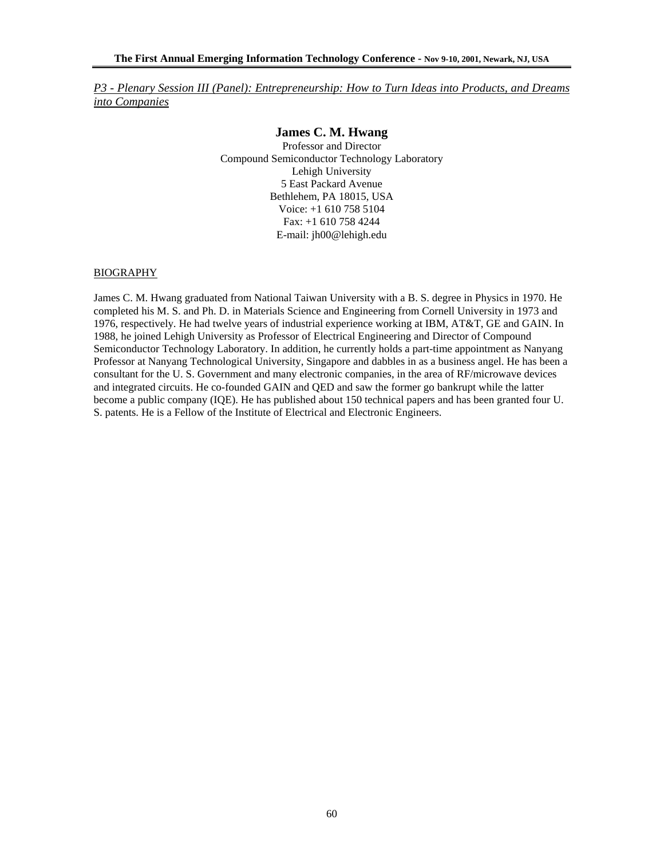### **James C. M. Hwang**

Professor and Director Compound Semiconductor Technology Laboratory Lehigh University 5 East Packard Avenue Bethlehem, PA 18015, USA Voice: +1 610 758 5104 Fax: +1 610 758 4244 E-mail: jh00@lehigh.edu

#### **BIOGRAPHY**

James C. M. Hwang graduated from National Taiwan University with a B. S. degree in Physics in 1970. He completed his M. S. and Ph. D. in Materials Science and Engineering from Cornell University in 1973 and 1976, respectively. He had twelve years of industrial experience working at IBM, AT&T, GE and GAIN. In 1988, he joined Lehigh University as Professor of Electrical Engineering and Director of Compound Semiconductor Technology Laboratory. In addition, he currently holds a part-time appointment as Nanyang Professor at Nanyang Technological University, Singapore and dabbles in as a business angel. He has been a consultant for the U. S. Government and many electronic companies, in the area of RF/microwave devices and integrated circuits. He co-founded GAIN and QED and saw the former go bankrupt while the latter become a public company (IQE). He has published about 150 technical papers and has been granted four U. S. patents. He is a Fellow of the Institute of Electrical and Electronic Engineers.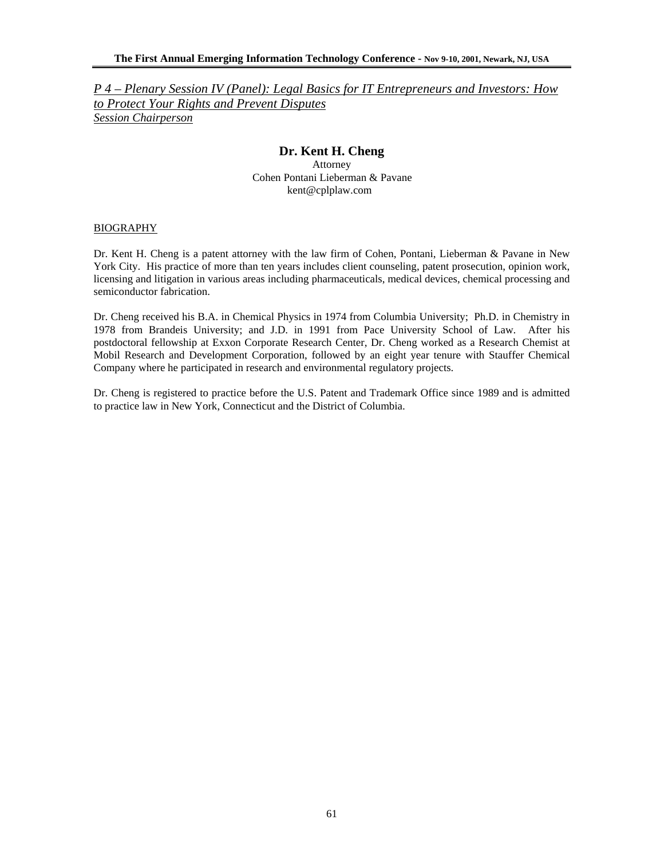# **Dr. Kent H. Cheng**

Attorney Cohen Pontani Lieberman & Pavane kent@cplplaw.com

#### BIOGRAPHY

Dr. Kent H. Cheng is a patent attorney with the law firm of Cohen, Pontani, Lieberman & Pavane in New York City. His practice of more than ten years includes client counseling, patent prosecution, opinion work, licensing and litigation in various areas including pharmaceuticals, medical devices, chemical processing and semiconductor fabrication.

Dr. Cheng received his B.A. in Chemical Physics in 1974 from Columbia University; Ph.D. in Chemistry in 1978 from Brandeis University; and J.D. in 1991 from Pace University School of Law. After his postdoctoral fellowship at Exxon Corporate Research Center, Dr. Cheng worked as a Research Chemist at Mobil Research and Development Corporation, followed by an eight year tenure with Stauffer Chemical Company where he participated in research and environmental regulatory projects.

Dr. Cheng is registered to practice before the U.S. Patent and Trademark Office since 1989 and is admitted to practice law in New York, Connecticut and the District of Columbia.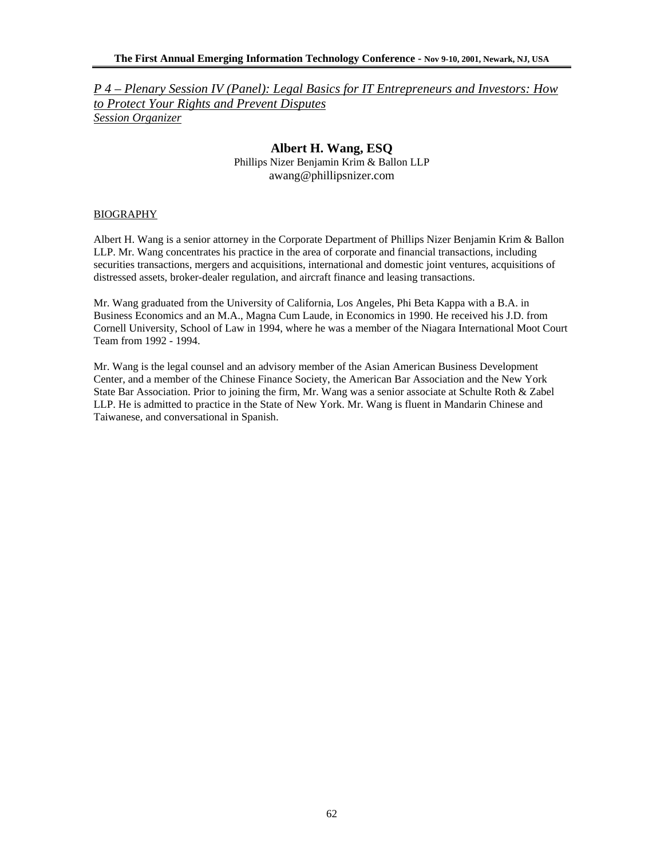### **Albert H. Wang, ESQ**

Phillips Nizer Benjamin Krim & Ballon LLP awang@phillipsnizer.com

#### BIOGRAPHY

Albert H. Wang is a senior attorney in the Corporate Department of Phillips Nizer Benjamin Krim & Ballon LLP. Mr. Wang concentrates his practice in the area of corporate and financial transactions, including securities transactions, mergers and acquisitions, international and domestic joint ventures, acquisitions of distressed assets, broker-dealer regulation, and aircraft finance and leasing transactions.

Mr. Wang graduated from the University of California, Los Angeles, Phi Beta Kappa with a B.A. in Business Economics and an M.A., Magna Cum Laude, in Economics in 1990. He received his J.D. from Cornell University, School of Law in 1994, where he was a member of the Niagara International Moot Court Team from 1992 - 1994.

Mr. Wang is the legal counsel and an advisory member of the Asian American Business Development Center, and a member of the Chinese Finance Society, the American Bar Association and the New York State Bar Association. Prior to joining the firm, Mr. Wang was a senior associate at Schulte Roth & Zabel LLP. He is admitted to practice in the State of New York. Mr. Wang is fluent in Mandarin Chinese and Taiwanese, and conversational in Spanish.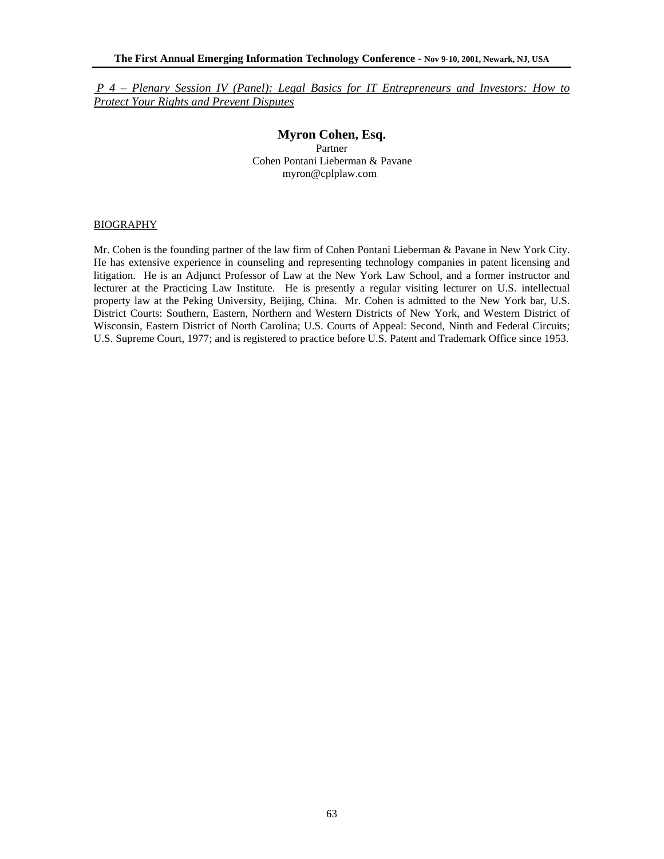### **Myron Cohen, Esq.**  Partner Cohen Pontani Lieberman & Pavane myron@cplplaw.com

### BIOGRAPHY

Mr. Cohen is the founding partner of the law firm of Cohen Pontani Lieberman & Pavane in New York City. He has extensive experience in counseling and representing technology companies in patent licensing and litigation. He is an Adjunct Professor of Law at the New York Law School, and a former instructor and lecturer at the Practicing Law Institute. He is presently a regular visiting lecturer on U.S. intellectual property law at the Peking University, Beijing, China. Mr. Cohen is admitted to the New York bar, U.S. District Courts: Southern, Eastern, Northern and Western Districts of New York, and Western District of Wisconsin, Eastern District of North Carolina; U.S. Courts of Appeal: Second, Ninth and Federal Circuits; U.S. Supreme Court, 1977; and is registered to practice before U.S. Patent and Trademark Office since 1953.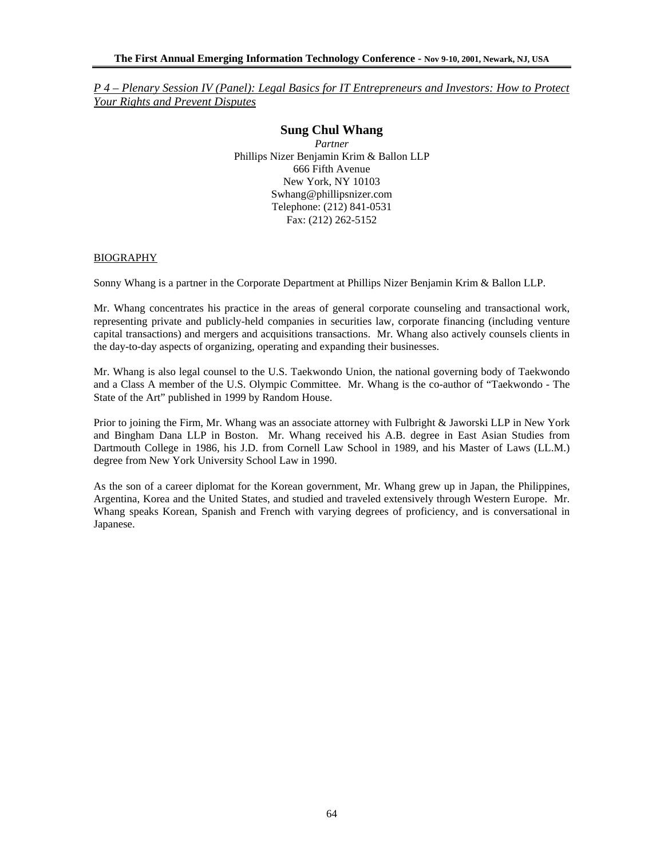### **Sung Chul Whang**

*Partner*  Phillips Nizer Benjamin Krim & Ballon LLP 666 Fifth Avenue New York, NY 10103 Swhang@phillipsnizer.com Telephone: (212) 841-0531 Fax: (212) 262-5152

#### BIOGRAPHY

Sonny Whang is a partner in the Corporate Department at Phillips Nizer Benjamin Krim & Ballon LLP.

Mr. Whang concentrates his practice in the areas of general corporate counseling and transactional work, representing private and publicly-held companies in securities law, corporate financing (including venture capital transactions) and mergers and acquisitions transactions. Mr. Whang also actively counsels clients in the day-to-day aspects of organizing, operating and expanding their businesses.

Mr. Whang is also legal counsel to the U.S. Taekwondo Union, the national governing body of Taekwondo and a Class A member of the U.S. Olympic Committee. Mr. Whang is the co-author of "Taekwondo - The State of the Art" published in 1999 by Random House.

Prior to joining the Firm, Mr. Whang was an associate attorney with Fulbright & Jaworski LLP in New York and Bingham Dana LLP in Boston. Mr. Whang received his A.B. degree in East Asian Studies from Dartmouth College in 1986, his J.D. from Cornell Law School in 1989, and his Master of Laws (LL.M.) degree from New York University School Law in 1990.

As the son of a career diplomat for the Korean government, Mr. Whang grew up in Japan, the Philippines, Argentina, Korea and the United States, and studied and traveled extensively through Western Europe. Mr. Whang speaks Korean, Spanish and French with varying degrees of proficiency, and is conversational in Japanese.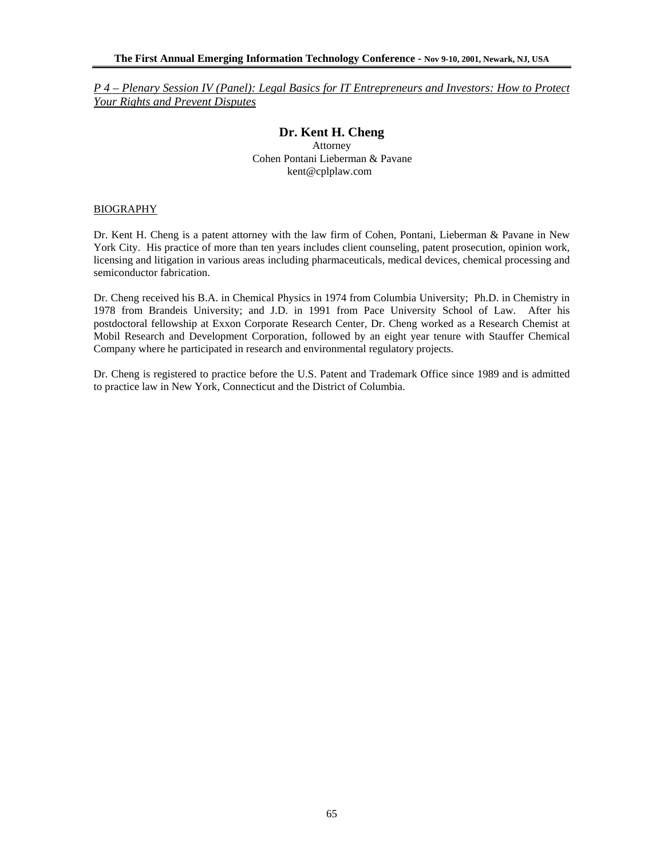# **Dr. Kent H. Cheng**

Attorney Cohen Pontani Lieberman & Pavane kent@cplplaw.com

#### BIOGRAPHY

Dr. Kent H. Cheng is a patent attorney with the law firm of Cohen, Pontani, Lieberman & Pavane in New York City. His practice of more than ten years includes client counseling, patent prosecution, opinion work, licensing and litigation in various areas including pharmaceuticals, medical devices, chemical processing and semiconductor fabrication.

Dr. Cheng received his B.A. in Chemical Physics in 1974 from Columbia University; Ph.D. in Chemistry in 1978 from Brandeis University; and J.D. in 1991 from Pace University School of Law. After his postdoctoral fellowship at Exxon Corporate Research Center, Dr. Cheng worked as a Research Chemist at Mobil Research and Development Corporation, followed by an eight year tenure with Stauffer Chemical Company where he participated in research and environmental regulatory projects.

Dr. Cheng is registered to practice before the U.S. Patent and Trademark Office since 1989 and is admitted to practice law in New York, Connecticut and the District of Columbia.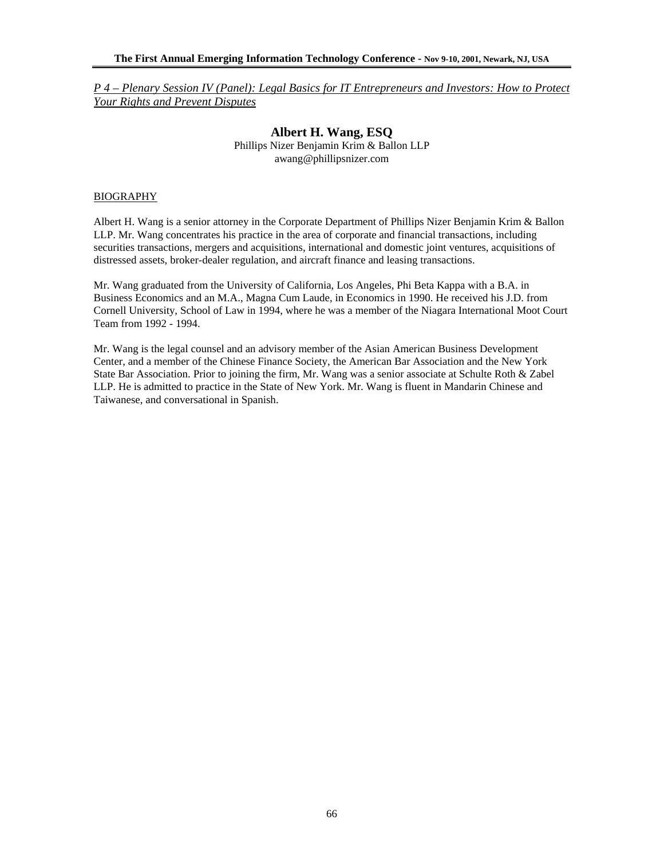> **Albert H. Wang, ESQ**  Phillips Nizer Benjamin Krim & Ballon LLP awang@phillipsnizer.com

### BIOGRAPHY

Albert H. Wang is a senior attorney in the Corporate Department of Phillips Nizer Benjamin Krim & Ballon LLP. Mr. Wang concentrates his practice in the area of corporate and financial transactions, including securities transactions, mergers and acquisitions, international and domestic joint ventures, acquisitions of distressed assets, broker-dealer regulation, and aircraft finance and leasing transactions.

Mr. Wang graduated from the University of California, Los Angeles, Phi Beta Kappa with a B.A. in Business Economics and an M.A., Magna Cum Laude, in Economics in 1990. He received his J.D. from Cornell University, School of Law in 1994, where he was a member of the Niagara International Moot Court Team from 1992 - 1994.

Mr. Wang is the legal counsel and an advisory member of the Asian American Business Development Center, and a member of the Chinese Finance Society, the American Bar Association and the New York State Bar Association. Prior to joining the firm, Mr. Wang was a senior associate at Schulte Roth & Zabel LLP. He is admitted to practice in the State of New York. Mr. Wang is fluent in Mandarin Chinese and Taiwanese, and conversational in Spanish.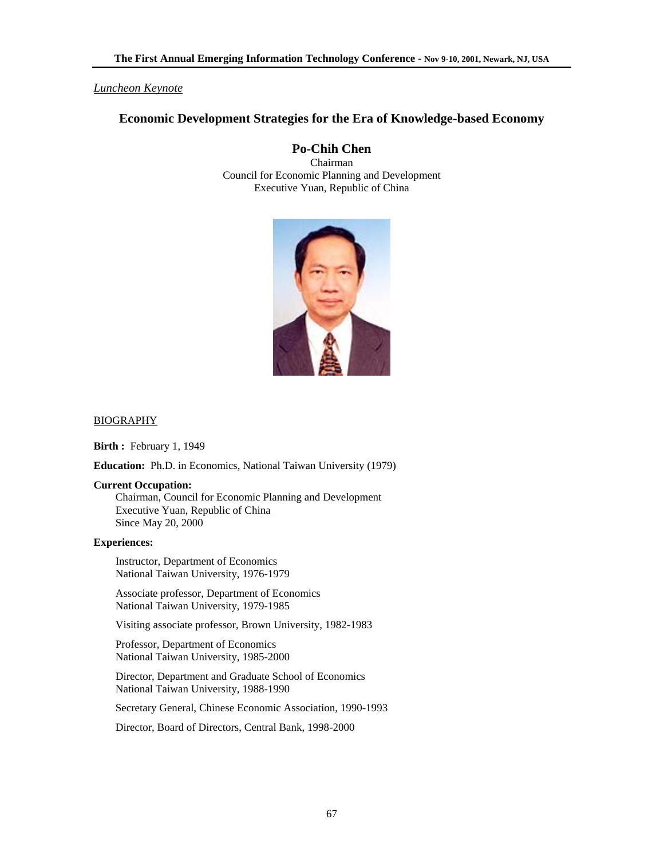### *Luncheon Keynote*

# **Economic Development Strategies for the Era of Knowledge-based Economy**

# **Po-Chih Chen**

Chairman Council for Economic Planning and Development Executive Yuan, Republic of China



#### BIOGRAPHY

**Birth :** February 1, 1949

**Education:** Ph.D. in Economics, National Taiwan University (1979)

#### **Current Occupation:**

Chairman, Council for Economic Planning and Development Executive Yuan, Republic of China Since May 20, 2000

### **Experiences:**

Instructor, Department of Economics National Taiwan University, 1976-1979

 Associate professor, Department of Economics National Taiwan University, 1979-1985

Visiting associate professor, Brown University, 1982-1983

 Professor, Department of Economics National Taiwan University, 1985-2000

 Director, Department and Graduate School of Economics National Taiwan University, 1988-1990

Secretary General, Chinese Economic Association, 1990-1993

Director, Board of Directors, Central Bank, 1998-2000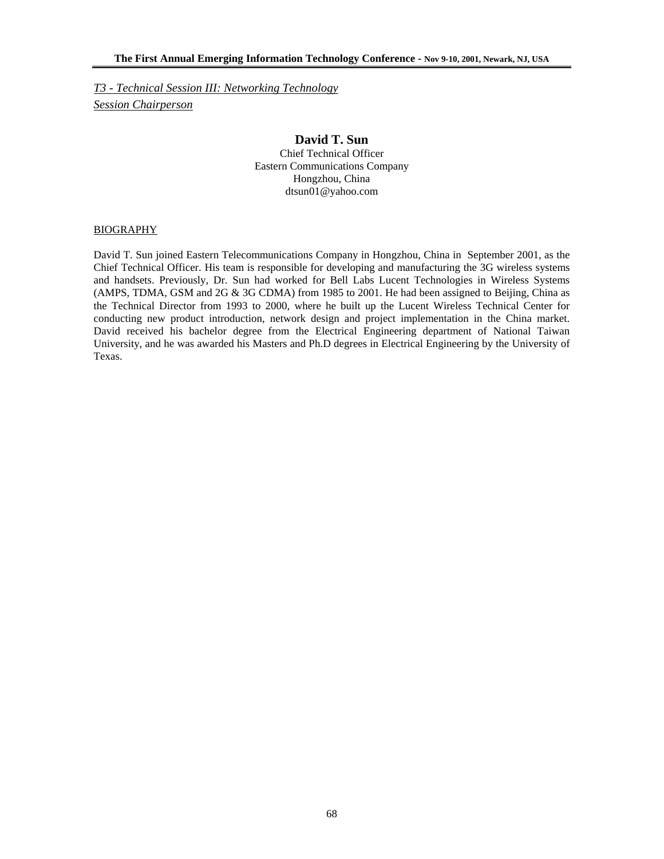*T3 - Technical Session III: Networking Technology Session Chairperson*

### **David T. Sun**  Chief Technical Officer Eastern Communications Company Hongzhou, China dtsun01@yahoo.com

#### BIOGRAPHY

David T. Sun joined Eastern Telecommunications Company in Hongzhou, China in September 2001, as the Chief Technical Officer. His team is responsible for developing and manufacturing the 3G wireless systems and handsets. Previously, Dr. Sun had worked for Bell Labs Lucent Technologies in Wireless Systems (AMPS, TDMA, GSM and 2G & 3G CDMA) from 1985 to 2001. He had been assigned to Beijing, China as the Technical Director from 1993 to 2000, where he built up the Lucent Wireless Technical Center for conducting new product introduction, network design and project implementation in the China market. David received his bachelor degree from the Electrical Engineering department of National Taiwan University, and he was awarded his Masters and Ph.D degrees in Electrical Engineering by the University of Texas.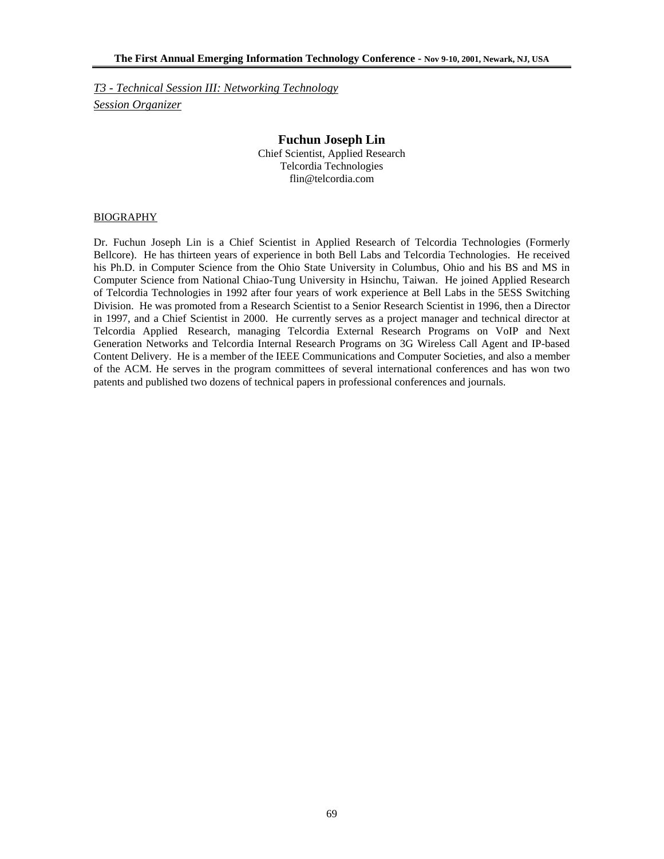*T3 - Technical Session III: Networking Technology Session Organizer*

### **Fuchun Joseph Lin**  Chief Scientist, Applied Research Telcordia Technologies flin@telcordia.com

#### BIOGRAPHY

Dr. Fuchun Joseph Lin is a Chief Scientist in Applied Research of Telcordia Technologies (Formerly Bellcore). He has thirteen years of experience in both Bell Labs and Telcordia Technologies. He received his Ph.D. in Computer Science from the Ohio State University in Columbus, Ohio and his BS and MS in Computer Science from National Chiao-Tung University in Hsinchu, Taiwan. He joined Applied Research of Telcordia Technologies in 1992 after four years of work experience at Bell Labs in the 5ESS Switching Division. He was promoted from a Research Scientist to a Senior Research Scientist in 1996, then a Director in 1997, and a Chief Scientist in 2000. He currently serves as a project manager and technical director at Telcordia Applied Research, managing Telcordia External Research Programs on VoIP and Next Generation Networks and Telcordia Internal Research Programs on 3G Wireless Call Agent and IP-based Content Delivery. He is a member of the IEEE Communications and Computer Societies, and also a member of the ACM. He serves in the program committees of several international conferences and has won two patents and published two dozens of technical papers in professional conferences and journals.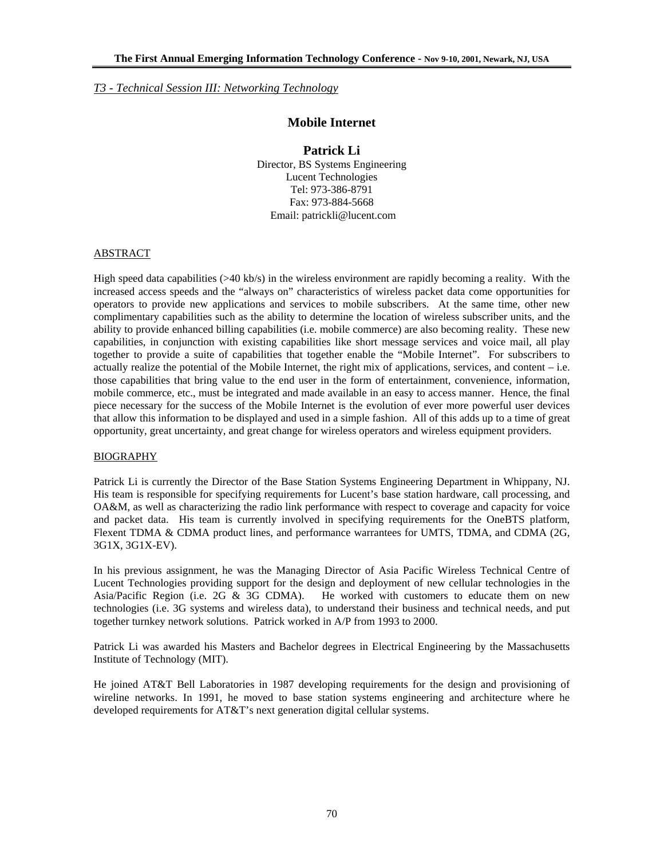*T3 - Technical Session III: Networking Technology* 

# **Mobile Internet**

# **Patrick Li**

Director, BS Systems Engineering Lucent Technologies Tel: 973-386-8791 Fax: 973-884-5668 Email: patrickli@lucent.com

### ABSTRACT

High speed data capabilities (>40 kb/s) in the wireless environment are rapidly becoming a reality. With the increased access speeds and the "always on" characteristics of wireless packet data come opportunities for operators to provide new applications and services to mobile subscribers. At the same time, other new complimentary capabilities such as the ability to determine the location of wireless subscriber units, and the ability to provide enhanced billing capabilities (i.e. mobile commerce) are also becoming reality. These new capabilities, in conjunction with existing capabilities like short message services and voice mail, all play together to provide a suite of capabilities that together enable the "Mobile Internet". For subscribers to actually realize the potential of the Mobile Internet, the right mix of applications, services, and content – i.e. those capabilities that bring value to the end user in the form of entertainment, convenience, information, mobile commerce, etc., must be integrated and made available in an easy to access manner. Hence, the final piece necessary for the success of the Mobile Internet is the evolution of ever more powerful user devices that allow this information to be displayed and used in a simple fashion. All of this adds up to a time of great opportunity, great uncertainty, and great change for wireless operators and wireless equipment providers.

### BIOGRAPHY

Patrick Li is currently the Director of the Base Station Systems Engineering Department in Whippany, NJ. His team is responsible for specifying requirements for Lucent's base station hardware, call processing, and OA&M, as well as characterizing the radio link performance with respect to coverage and capacity for voice and packet data. His team is currently involved in specifying requirements for the OneBTS platform, Flexent TDMA & CDMA product lines, and performance warrantees for UMTS, TDMA, and CDMA (2G, 3G1X, 3G1X-EV).

In his previous assignment, he was the Managing Director of Asia Pacific Wireless Technical Centre of Lucent Technologies providing support for the design and deployment of new cellular technologies in the Asia/Pacific Region (i.e. 2G & 3G CDMA). He worked with customers to educate them on new technologies (i.e. 3G systems and wireless data), to understand their business and technical needs, and put together turnkey network solutions. Patrick worked in A/P from 1993 to 2000.

Patrick Li was awarded his Masters and Bachelor degrees in Electrical Engineering by the Massachusetts Institute of Technology (MIT).

He joined AT&T Bell Laboratories in 1987 developing requirements for the design and provisioning of wireline networks. In 1991, he moved to base station systems engineering and architecture where he developed requirements for AT&T's next generation digital cellular systems.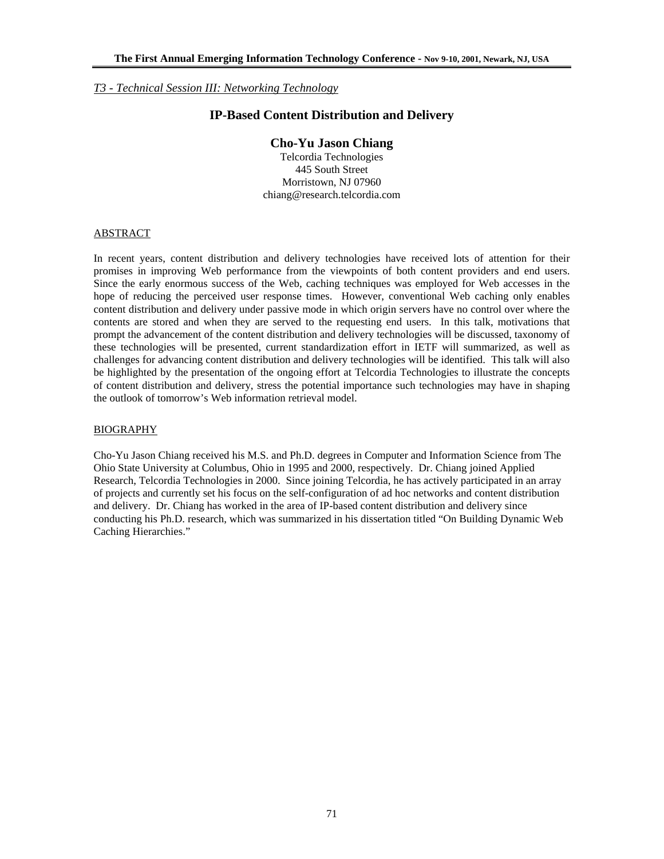*T3 - Technical Session III: Networking Technology*

# **IP-Based Content Distribution and Delivery**

### **Cho-Yu Jason Chiang**

Telcordia Technologies 445 South Street Morristown, NJ 07960 chiang@research.telcordia.com

### **ABSTRACT**

In recent years, content distribution and delivery technologies have received lots of attention for their promises in improving Web performance from the viewpoints of both content providers and end users. Since the early enormous success of the Web, caching techniques was employed for Web accesses in the hope of reducing the perceived user response times. However, conventional Web caching only enables content distribution and delivery under passive mode in which origin servers have no control over where the contents are stored and when they are served to the requesting end users. In this talk, motivations that prompt the advancement of the content distribution and delivery technologies will be discussed, taxonomy of these technologies will be presented, current standardization effort in IETF will summarized, as well as challenges for advancing content distribution and delivery technologies will be identified. This talk will also be highlighted by the presentation of the ongoing effort at Telcordia Technologies to illustrate the concepts of content distribution and delivery, stress the potential importance such technologies may have in shaping the outlook of tomorrow's Web information retrieval model.

### BIOGRAPHY

Cho-Yu Jason Chiang received his M.S. and Ph.D. degrees in Computer and Information Science from The Ohio State University at Columbus, Ohio in 1995 and 2000, respectively. Dr. Chiang joined Applied Research, Telcordia Technologies in 2000. Since joining Telcordia, he has actively participated in an array of projects and currently set his focus on the self-configuration of ad hoc networks and content distribution and delivery. Dr. Chiang has worked in the area of IP-based content distribution and delivery since conducting his Ph.D. research, which was summarized in his dissertation titled "On Building Dynamic Web Caching Hierarchies."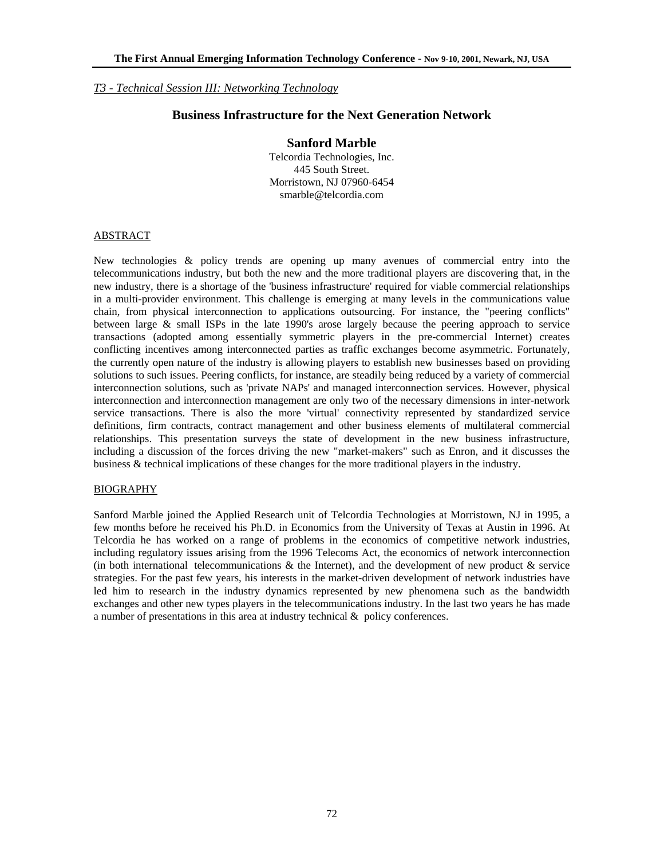### *T3 - Technical Session III: Networking Technology*

### **Business Infrastructure for the Next Generation Network**

### **Sanford Marble**

Telcordia Technologies, Inc. 445 South Street. Morristown, NJ 07960-6454 smarble@telcordia.com

### ABSTRACT

New technologies & policy trends are opening up many avenues of commercial entry into the telecommunications industry, but both the new and the more traditional players are discovering that, in the new industry, there is a shortage of the 'business infrastructure' required for viable commercial relationships in a multi-provider environment. This challenge is emerging at many levels in the communications value chain, from physical interconnection to applications outsourcing. For instance, the "peering conflicts" between large & small ISPs in the late 1990's arose largely because the peering approach to service transactions (adopted among essentially symmetric players in the pre-commercial Internet) creates conflicting incentives among interconnected parties as traffic exchanges become asymmetric. Fortunately, the currently open nature of the industry is allowing players to establish new businesses based on providing solutions to such issues. Peering conflicts, for instance, are steadily being reduced by a variety of commercial interconnection solutions, such as 'private NAPs' and managed interconnection services. However, physical interconnection and interconnection management are only two of the necessary dimensions in inter-network service transactions. There is also the more 'virtual' connectivity represented by standardized service definitions, firm contracts, contract management and other business elements of multilateral commercial relationships. This presentation surveys the state of development in the new business infrastructure, including a discussion of the forces driving the new "market-makers" such as Enron, and it discusses the business & technical implications of these changes for the more traditional players in the industry.

### BIOGRAPHY

Sanford Marble joined the Applied Research unit of Telcordia Technologies at Morristown, NJ in 1995, a few months before he received his Ph.D. in Economics from the University of Texas at Austin in 1996. At Telcordia he has worked on a range of problems in the economics of competitive network industries, including regulatory issues arising from the 1996 Telecoms Act, the economics of network interconnection (in both international telecommunications  $\&$  the Internet), and the development of new product  $\&$  service strategies. For the past few years, his interests in the market-driven development of network industries have led him to research in the industry dynamics represented by new phenomena such as the bandwidth exchanges and other new types players in the telecommunications industry. In the last two years he has made a number of presentations in this area at industry technical & policy conferences.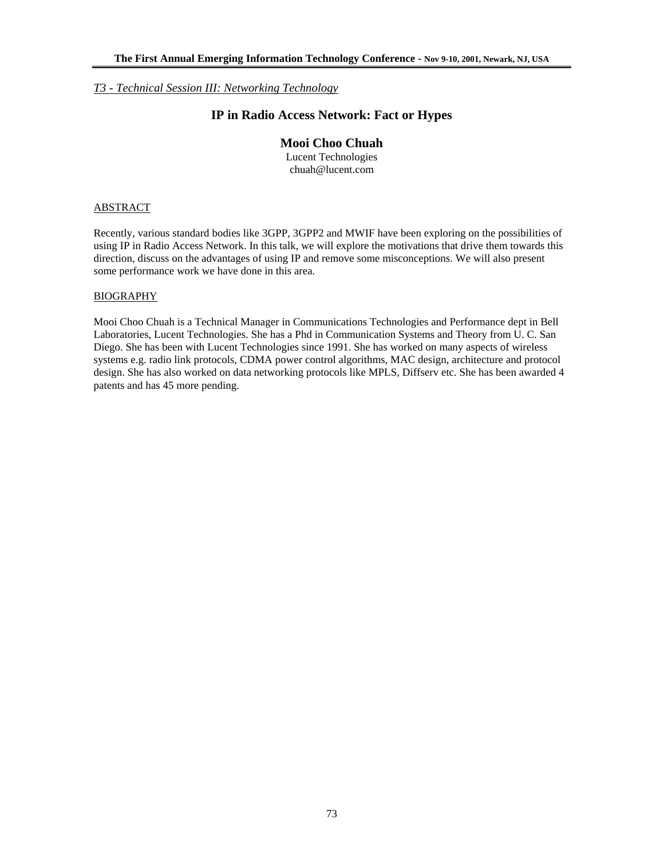## *T3 - Technical Session III: Networking Technology*

# **IP in Radio Access Network: Fact or Hypes**

# **Mooi Choo Chuah**

Lucent Technologies chuah@lucent.com

## ABSTRACT

Recently, various standard bodies like 3GPP, 3GPP2 and MWIF have been exploring on the possibilities of using IP in Radio Access Network. In this talk, we will explore the motivations that drive them towards this direction, discuss on the advantages of using IP and remove some misconceptions. We will also present some performance work we have done in this area.

### BIOGRAPHY

Mooi Choo Chuah is a Technical Manager in Communications Technologies and Performance dept in Bell Laboratories, Lucent Technologies. She has a Phd in Communication Systems and Theory from U. C. San Diego. She has been with Lucent Technologies since 1991. She has worked on many aspects of wireless systems e.g. radio link protocols, CDMA power control algorithms, MAC design, architecture and protocol design. She has also worked on data networking protocols like MPLS, Diffserv etc. She has been awarded 4 patents and has 45 more pending.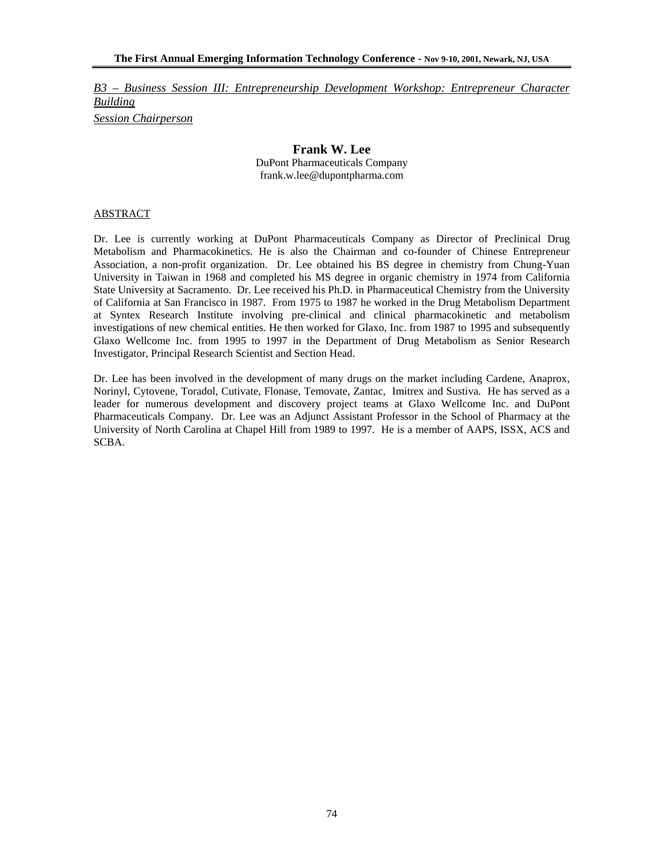*B3 – Business Session III: Entrepreneurship Development Workshop: Entrepreneur Character Building Session Chairperson*

# **Frank W. Lee**

DuPont Pharmaceuticals Company frank.w.lee@dupontpharma.com

## ABSTRACT

Dr. Lee is currently working at DuPont Pharmaceuticals Company as Director of Preclinical Drug Metabolism and Pharmacokinetics. He is also the Chairman and co-founder of Chinese Entrepreneur Association, a non-profit organization. Dr. Lee obtained his BS degree in chemistry from Chung-Yuan University in Taiwan in 1968 and completed his MS degree in organic chemistry in 1974 from California State University at Sacramento. Dr. Lee received his Ph.D. in Pharmaceutical Chemistry from the University of California at San Francisco in 1987. From 1975 to 1987 he worked in the Drug Metabolism Department at Syntex Research Institute involving pre-clinical and clinical pharmacokinetic and metabolism investigations of new chemical entities. He then worked for Glaxo, Inc. from 1987 to 1995 and subsequently Glaxo Wellcome Inc. from 1995 to 1997 in the Department of Drug Metabolism as Senior Research Investigator, Principal Research Scientist and Section Head.

Dr. Lee has been involved in the development of many drugs on the market including Cardene, Anaprox, Norinyl, Cytovene, Toradol, Cutivate, Flonase, Temovate, Zantac, Imitrex and Sustiva. He has served as a leader for numerous development and discovery project teams at Glaxo Wellcome Inc. and DuPont Pharmaceuticals Company. Dr. Lee was an Adjunct Assistant Professor in the School of Pharmacy at the University of North Carolina at Chapel Hill from 1989 to 1997. He is a member of AAPS, ISSX, ACS and SCBA.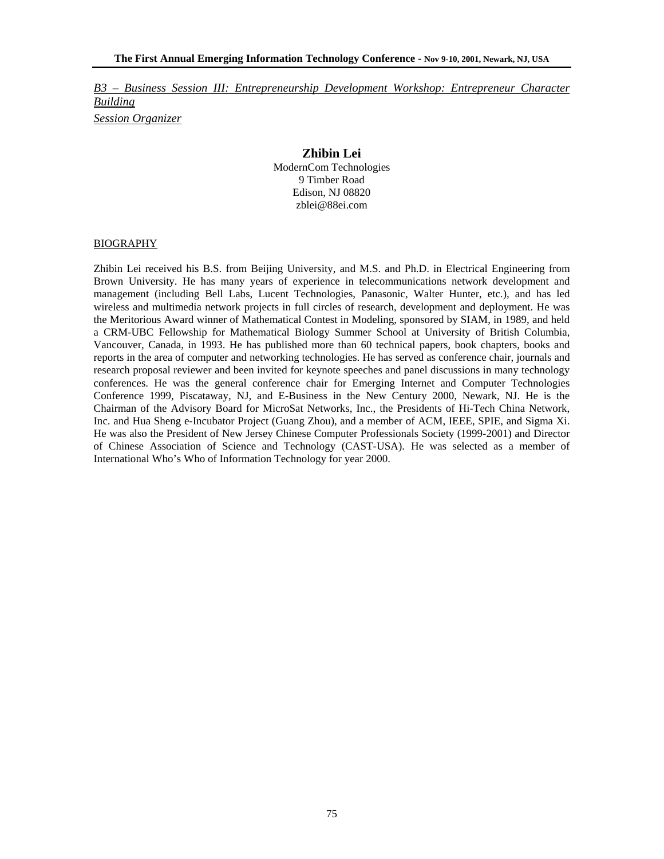*B3 – Business Session III: Entrepreneurship Development Workshop: Entrepreneur Character Building Session Organizer*

## **Zhibin Lei**

ModernCom Technologies 9 Timber Road Edison, NJ 08820 zblei@88ei.com

### BIOGRAPHY

Zhibin Lei received his B.S. from Beijing University, and M.S. and Ph.D. in Electrical Engineering from Brown University. He has many years of experience in telecommunications network development and management (including Bell Labs, Lucent Technologies, Panasonic, Walter Hunter, etc.), and has led wireless and multimedia network projects in full circles of research, development and deployment. He was the Meritorious Award winner of Mathematical Contest in Modeling, sponsored by SIAM, in 1989, and held a CRM-UBC Fellowship for Mathematical Biology Summer School at University of British Columbia, Vancouver, Canada, in 1993. He has published more than 60 technical papers, book chapters, books and reports in the area of computer and networking technologies. He has served as conference chair, journals and research proposal reviewer and been invited for keynote speeches and panel discussions in many technology conferences. He was the general conference chair for Emerging Internet and Computer Technologies Conference 1999, Piscataway, NJ, and E-Business in the New Century 2000, Newark, NJ. He is the Chairman of the Advisory Board for MicroSat Networks, Inc., the Presidents of Hi-Tech China Network, Inc. and Hua Sheng e-Incubator Project (Guang Zhou), and a member of ACM, IEEE, SPIE, and Sigma Xi. He was also the President of New Jersey Chinese Computer Professionals Society (1999-2001) and Director of Chinese Association of Science and Technology (CAST-USA). He was selected as a member of International Who's Who of Information Technology for year 2000.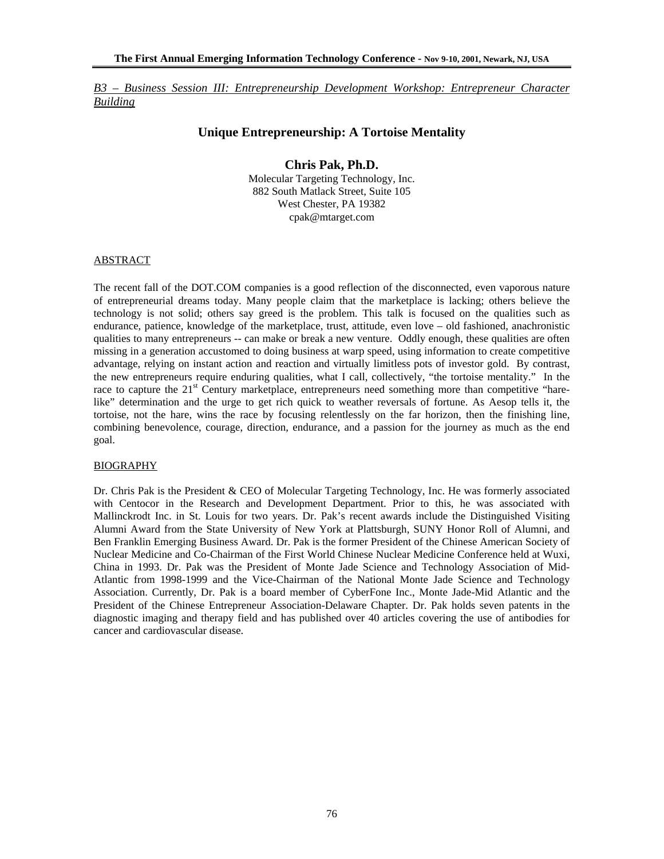*B3 – Business Session III: Entrepreneurship Development Workshop: Entrepreneur Character Building*

# **Unique Entrepreneurship: A Tortoise Mentality**

# **Chris Pak, Ph.D.**

Molecular Targeting Technology, Inc. 882 South Matlack Street, Suite 105 West Chester, PA 19382 cpak@mtarget.com

## ABSTRACT

The recent fall of the DOT.COM companies is a good reflection of the disconnected, even vaporous nature of entrepreneurial dreams today. Many people claim that the marketplace is lacking; others believe the technology is not solid; others say greed is the problem. This talk is focused on the qualities such as endurance, patience, knowledge of the marketplace, trust, attitude, even love – old fashioned, anachronistic qualities to many entrepreneurs -- can make or break a new venture. Oddly enough, these qualities are often missing in a generation accustomed to doing business at warp speed, using information to create competitive advantage, relying on instant action and reaction and virtually limitless pots of investor gold. By contrast, the new entrepreneurs require enduring qualities, what I call, collectively, "the tortoise mentality." In the race to capture the 21<sup>st</sup> Century marketplace, entrepreneurs need something more than competitive "harelike" determination and the urge to get rich quick to weather reversals of fortune. As Aesop tells it, the tortoise, not the hare, wins the race by focusing relentlessly on the far horizon, then the finishing line, combining benevolence, courage, direction, endurance, and a passion for the journey as much as the end goal.

### BIOGRAPHY

Dr. Chris Pak is the President & CEO of Molecular Targeting Technology, Inc. He was formerly associated with Centocor in the Research and Development Department. Prior to this, he was associated with Mallinckrodt Inc. in St. Louis for two years. Dr. Pak's recent awards include the Distinguished Visiting Alumni Award from the State University of New York at Plattsburgh, SUNY Honor Roll of Alumni, and Ben Franklin Emerging Business Award. Dr. Pak is the former President of the Chinese American Society of Nuclear Medicine and Co-Chairman of the First World Chinese Nuclear Medicine Conference held at Wuxi, China in 1993. Dr. Pak was the President of Monte Jade Science and Technology Association of Mid-Atlantic from 1998-1999 and the Vice-Chairman of the National Monte Jade Science and Technology Association. Currently, Dr. Pak is a board member of CyberFone Inc., Monte Jade-Mid Atlantic and the President of the Chinese Entrepreneur Association-Delaware Chapter. Dr. Pak holds seven patents in the diagnostic imaging and therapy field and has published over 40 articles covering the use of antibodies for cancer and cardiovascular disease.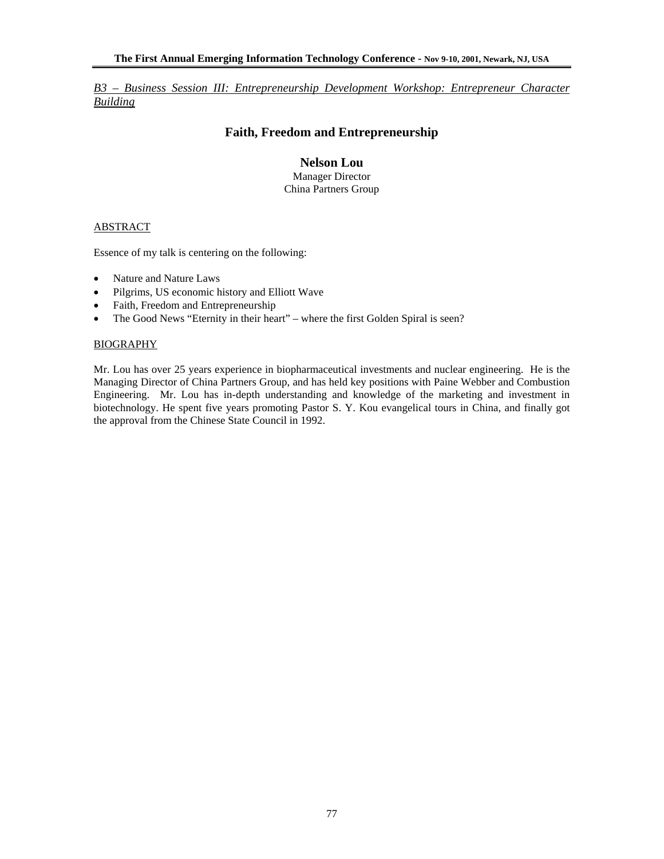*B3 – Business Session III: Entrepreneurship Development Workshop: Entrepreneur Character Building*

# **Faith, Freedom and Entrepreneurship**

**Nelson Lou**  Manager Director China Partners Group

### ABSTRACT

Essence of my talk is centering on the following:

- Nature and Nature Laws
- Pilgrims, US economic history and Elliott Wave
- Faith, Freedom and Entrepreneurship
- The Good News "Eternity in their heart" where the first Golden Spiral is seen?

### BIOGRAPHY

Mr. Lou has over 25 years experience in biopharmaceutical investments and nuclear engineering. He is the Managing Director of China Partners Group, and has held key positions with Paine Webber and Combustion Engineering. Mr. Lou has in-depth understanding and knowledge of the marketing and investment in biotechnology. He spent five years promoting Pastor S. Y. Kou evangelical tours in China, and finally got the approval from the Chinese State Council in 1992.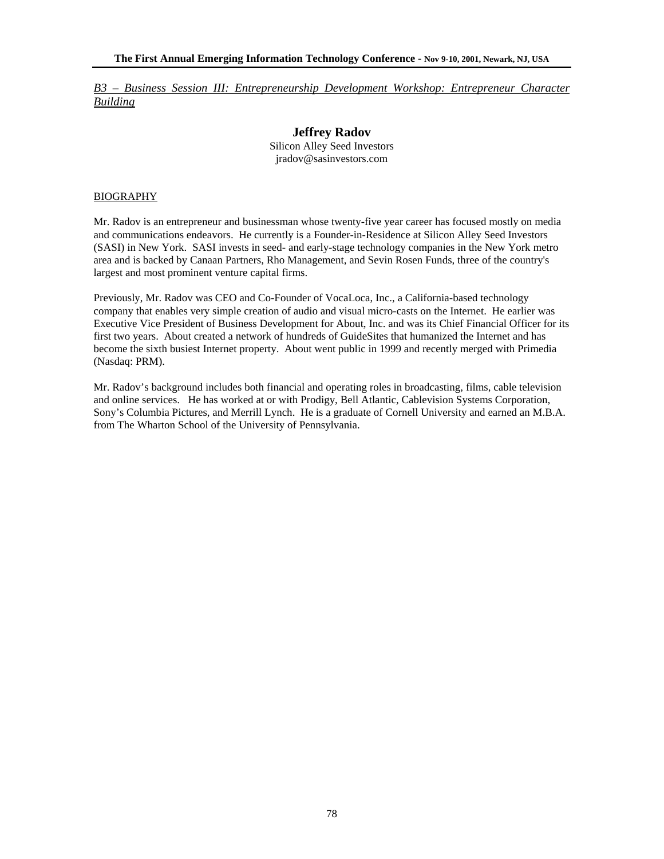*B3 – Business Session III: Entrepreneurship Development Workshop: Entrepreneur Character Building*

## **Jeffrey Radov**  Silicon Alley Seed Investors jradov@sasinvestors.com

### BIOGRAPHY

Mr. Radov is an entrepreneur and businessman whose twenty-five year career has focused mostly on media and communications endeavors. He currently is a Founder-in-Residence at Silicon Alley Seed Investors (SASI) in New York. SASI invests in seed- and early-stage technology companies in the New York metro area and is backed by Canaan Partners, Rho Management, and Sevin Rosen Funds, three of the country's largest and most prominent venture capital firms.

Previously, Mr. Radov was CEO and Co-Founder of VocaLoca, Inc., a California-based technology company that enables very simple creation of audio and visual micro-casts on the Internet. He earlier was Executive Vice President of Business Development for About, Inc. and was its Chief Financial Officer for its first two years. About created a network of hundreds of GuideSites that humanized the Internet and has become the sixth busiest Internet property. About went public in 1999 and recently merged with Primedia (Nasdaq: PRM).

Mr. Radov's background includes both financial and operating roles in broadcasting, films, cable television and online services. He has worked at or with Prodigy, Bell Atlantic, Cablevision Systems Corporation, Sony's Columbia Pictures, and Merrill Lynch. He is a graduate of Cornell University and earned an M.B.A. from The Wharton School of the University of Pennsylvania.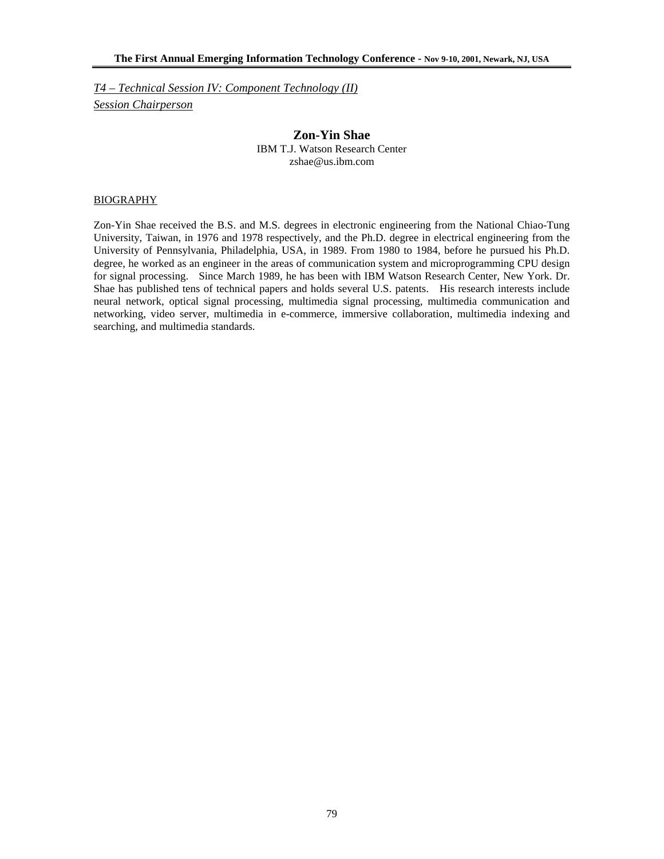*T4 – Technical Session IV: Component Technology (II) Session Chairperson*

> **Zon-Yin Shae**  IBM T.J. Watson Research Center zshae@us.ibm.com

#### BIOGRAPHY

Zon-Yin Shae received the B.S. and M.S. degrees in electronic engineering from the National Chiao-Tung University, Taiwan, in 1976 and 1978 respectively, and the Ph.D. degree in electrical engineering from the University of Pennsylvania, Philadelphia, USA, in 1989. From 1980 to 1984, before he pursued his Ph.D. degree, he worked as an engineer in the areas of communication system and microprogramming CPU design for signal processing. Since March 1989, he has been with IBM Watson Research Center, New York. Dr. Shae has published tens of technical papers and holds several U.S. patents. His research interests include neural network, optical signal processing, multimedia signal processing, multimedia communication and networking, video server, multimedia in e-commerce, immersive collaboration, multimedia indexing and searching, and multimedia standards.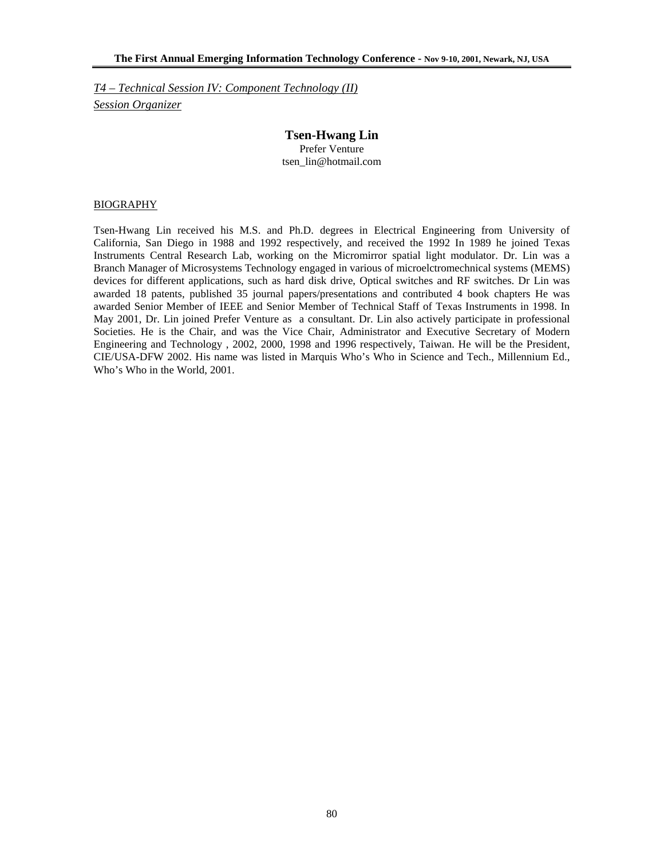*T4 – Technical Session IV: Component Technology (II) Session Organizer*

# **Tsen-Hwang Lin**

Prefer Venture tsen\_lin@hotmail.com

### BIOGRAPHY

Tsen-Hwang Lin received his M.S. and Ph.D. degrees in Electrical Engineering from University of California, San Diego in 1988 and 1992 respectively, and received the 1992 In 1989 he joined Texas Instruments Central Research Lab, working on the Micromirror spatial light modulator. Dr. Lin was a Branch Manager of Microsystems Technology engaged in various of microelctromechnical systems (MEMS) devices for different applications, such as hard disk drive, Optical switches and RF switches. Dr Lin was awarded 18 patents, published 35 journal papers/presentations and contributed 4 book chapters He was awarded Senior Member of IEEE and Senior Member of Technical Staff of Texas Instruments in 1998. In May 2001, Dr. Lin joined Prefer Venture as a consultant. Dr. Lin also actively participate in professional Societies. He is the Chair, and was the Vice Chair, Administrator and Executive Secretary of Modern Engineering and Technology , 2002, 2000, 1998 and 1996 respectively, Taiwan. He will be the President, CIE/USA-DFW 2002. His name was listed in Marquis Who's Who in Science and Tech., Millennium Ed., Who's Who in the World, 2001.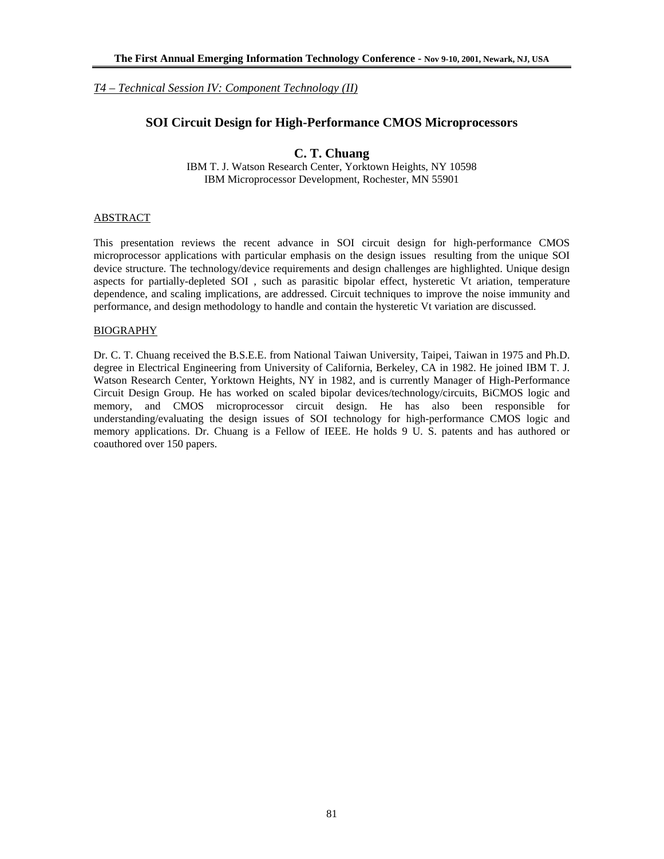*T4 – Technical Session IV: Component Technology (II)*

# **SOI Circuit Design for High-Performance CMOS Microprocessors**

# **C. T. Chuang**

IBM T. J. Watson Research Center, Yorktown Heights, NY 10598 IBM Microprocessor Development, Rochester, MN 55901

## ABSTRACT

This presentation reviews the recent advance in SOI circuit design for high-performance CMOS microprocessor applications with particular emphasis on the design issues resulting from the unique SOI device structure. The technology/device requirements and design challenges are highlighted. Unique design aspects for partially-depleted SOI , such as parasitic bipolar effect, hysteretic Vt ariation, temperature dependence, and scaling implications, are addressed. Circuit techniques to improve the noise immunity and performance, and design methodology to handle and contain the hysteretic Vt variation are discussed.

## BIOGRAPHY

Dr. C. T. Chuang received the B.S.E.E. from National Taiwan University, Taipei, Taiwan in 1975 and Ph.D. degree in Electrical Engineering from University of California, Berkeley, CA in 1982. He joined IBM T. J. Watson Research Center, Yorktown Heights, NY in 1982, and is currently Manager of High-Performance Circuit Design Group. He has worked on scaled bipolar devices/technology/circuits, BiCMOS logic and memory, and CMOS microprocessor circuit design. He has also been responsible for understanding/evaluating the design issues of SOI technology for high-performance CMOS logic and memory applications. Dr. Chuang is a Fellow of IEEE. He holds 9 U. S. patents and has authored or coauthored over 150 papers.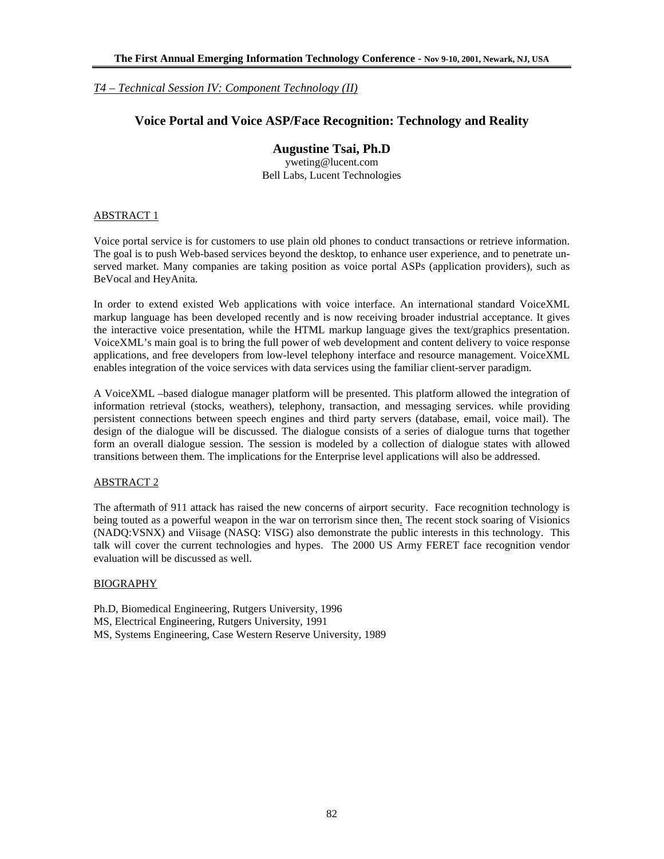*T4 – Technical Session IV: Component Technology (II)*

# **Voice Portal and Voice ASP/Face Recognition: Technology and Reality**

# **Augustine Tsai, Ph.D**

yweting@lucent.com Bell Labs, Lucent Technologies

## ABSTRACT 1

Voice portal service is for customers to use plain old phones to conduct transactions or retrieve information. The goal is to push Web-based services beyond the desktop, to enhance user experience, and to penetrate unserved market. Many companies are taking position as voice portal ASPs (application providers), such as BeVocal and HeyAnita.

In order to extend existed Web applications with voice interface. An international standard VoiceXML markup language has been developed recently and is now receiving broader industrial acceptance. It gives the interactive voice presentation, while the HTML markup language gives the text/graphics presentation. VoiceXML's main goal is to bring the full power of web development and content delivery to voice response applications, and free developers from low-level telephony interface and resource management. VoiceXML enables integration of the voice services with data services using the familiar client-server paradigm.

A VoiceXML –based dialogue manager platform will be presented. This platform allowed the integration of information retrieval (stocks, weathers), telephony, transaction, and messaging services. while providing persistent connections between speech engines and third party servers (database, email, voice mail). The design of the dialogue will be discussed. The dialogue consists of a series of dialogue turns that together form an overall dialogue session. The session is modeled by a collection of dialogue states with allowed transitions between them. The implications for the Enterprise level applications will also be addressed.

## ABSTRACT 2

The aftermath of 911 attack has raised the new concerns of airport security. Face recognition technology is being touted as a powerful weapon in the war on terrorism since then. The recent stock soaring of Visionics (NADQ:VSNX) and Viisage (NASQ: VISG) also demonstrate the public interests in this technology. This talk will cover the current technologies and hypes. The 2000 US Army FERET face recognition vendor evaluation will be discussed as well.

### BIOGRAPHY

Ph.D, Biomedical Engineering, Rutgers University, 1996 MS, Electrical Engineering, Rutgers University, 1991 MS, Systems Engineering, Case Western Reserve University, 1989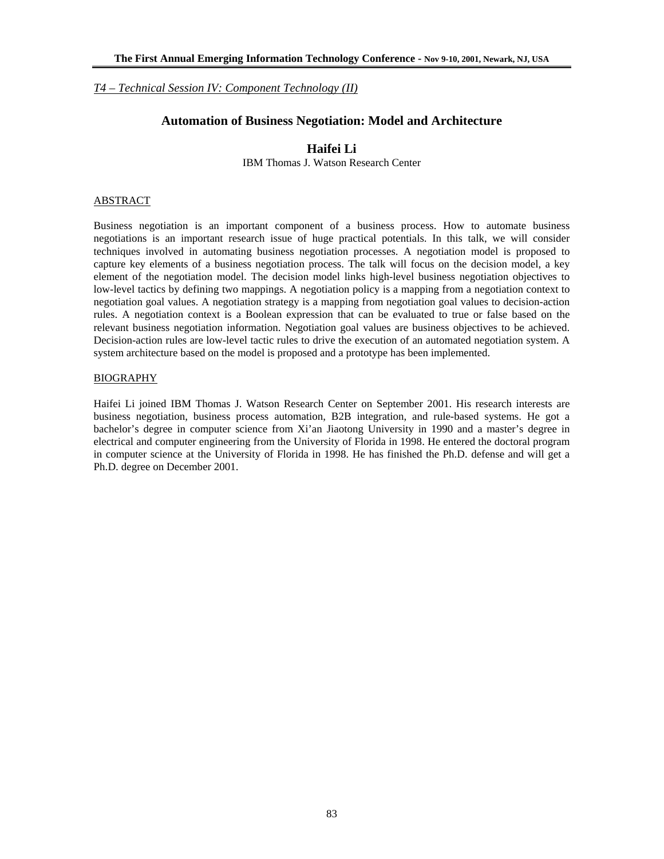*T4 – Technical Session IV: Component Technology (II)*

# **Automation of Business Negotiation: Model and Architecture**

# **Haifei Li**

IBM Thomas J. Watson Research Center

### ABSTRACT

Business negotiation is an important component of a business process. How to automate business negotiations is an important research issue of huge practical potentials. In this talk, we will consider techniques involved in automating business negotiation processes. A negotiation model is proposed to capture key elements of a business negotiation process. The talk will focus on the decision model, a key element of the negotiation model. The decision model links high-level business negotiation objectives to low-level tactics by defining two mappings. A negotiation policy is a mapping from a negotiation context to negotiation goal values. A negotiation strategy is a mapping from negotiation goal values to decision-action rules. A negotiation context is a Boolean expression that can be evaluated to true or false based on the relevant business negotiation information. Negotiation goal values are business objectives to be achieved. Decision-action rules are low-level tactic rules to drive the execution of an automated negotiation system. A system architecture based on the model is proposed and a prototype has been implemented.

## BIOGRAPHY

Haifei Li joined IBM Thomas J. Watson Research Center on September 2001. His research interests are business negotiation, business process automation, B2B integration, and rule-based systems. He got a bachelor's degree in computer science from Xi'an Jiaotong University in 1990 and a master's degree in electrical and computer engineering from the University of Florida in 1998. He entered the doctoral program in computer science at the University of Florida in 1998. He has finished the Ph.D. defense and will get a Ph.D. degree on December 2001.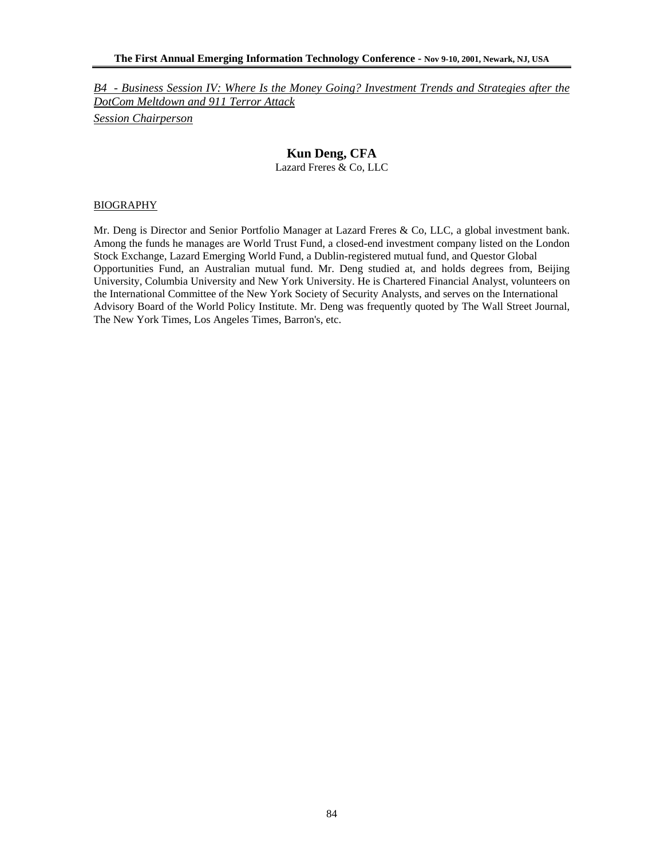# **Kun Deng, CFA**

Lazard Freres & Co, LLC

### BIOGRAPHY

Mr. Deng is Director and Senior Portfolio Manager at Lazard Freres & Co, LLC, a global investment bank. Among the funds he manages are World Trust Fund, a closed-end investment company listed on the London Stock Exchange, Lazard Emerging World Fund, a Dublin-registered mutual fund, and Questor Global Opportunities Fund, an Australian mutual fund. Mr. Deng studied at, and holds degrees from, Beijing University, Columbia University and New York University. He is Chartered Financial Analyst, volunteers on the International Committee of the New York Society of Security Analysts, and serves on the International Advisory Board of the World Policy Institute. Mr. Deng was frequently quoted by The Wall Street Journal, The New York Times, Los Angeles Times, Barron's, etc.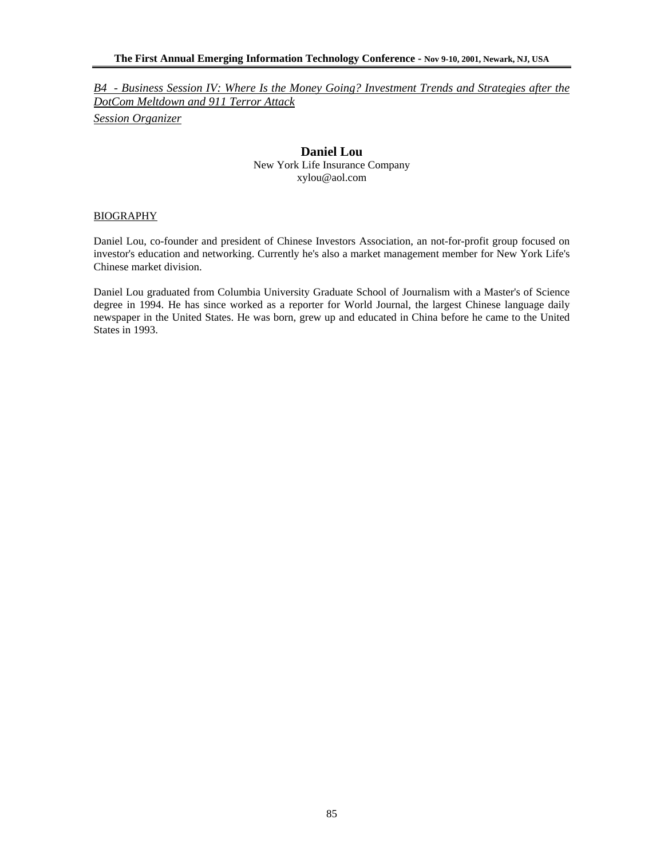## **Daniel Lou**

New York Life Insurance Company xylou@aol.com

#### BIOGRAPHY

Daniel Lou, co-founder and president of Chinese Investors Association, an not-for-profit group focused on investor's education and networking. Currently he's also a market management member for New York Life's Chinese market division.

Daniel Lou graduated from Columbia University Graduate School of Journalism with a Master's of Science degree in 1994. He has since worked as a reporter for World Journal, the largest Chinese language daily newspaper in the United States. He was born, grew up and educated in China before he came to the United States in 1993.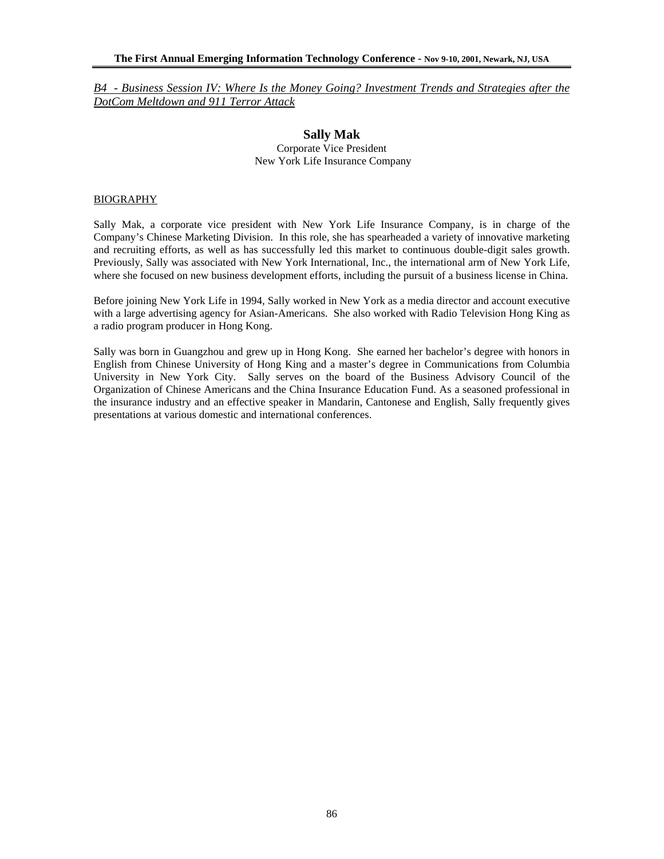## **Sally Mak**  Corporate Vice President New York Life Insurance Company

#### BIOGRAPHY

Sally Mak, a corporate vice president with New York Life Insurance Company, is in charge of the Company's Chinese Marketing Division. In this role, she has spearheaded a variety of innovative marketing and recruiting efforts, as well as has successfully led this market to continuous double-digit sales growth. Previously, Sally was associated with New York International, Inc., the international arm of New York Life, where she focused on new business development efforts, including the pursuit of a business license in China.

Before joining New York Life in 1994, Sally worked in New York as a media director and account executive with a large advertising agency for Asian-Americans. She also worked with Radio Television Hong King as a radio program producer in Hong Kong.

Sally was born in Guangzhou and grew up in Hong Kong. She earned her bachelor's degree with honors in English from Chinese University of Hong King and a master's degree in Communications from Columbia University in New York City. Sally serves on the board of the Business Advisory Council of the Organization of Chinese Americans and the China Insurance Education Fund. As a seasoned professional in the insurance industry and an effective speaker in Mandarin, Cantonese and English, Sally frequently gives presentations at various domestic and international conferences.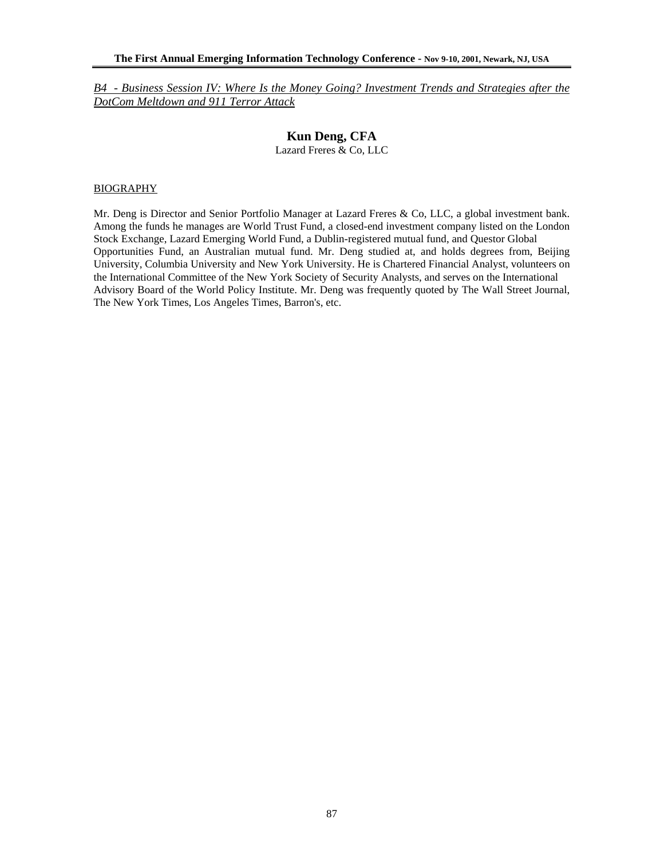# **Kun Deng, CFA**

Lazard Freres & Co, LLC

### BIOGRAPHY

Mr. Deng is Director and Senior Portfolio Manager at Lazard Freres & Co, LLC, a global investment bank. Among the funds he manages are World Trust Fund, a closed-end investment company listed on the London Stock Exchange, Lazard Emerging World Fund, a Dublin-registered mutual fund, and Questor Global Opportunities Fund, an Australian mutual fund. Mr. Deng studied at, and holds degrees from, Beijing University, Columbia University and New York University. He is Chartered Financial Analyst, volunteers on the International Committee of the New York Society of Security Analysts, and serves on the International Advisory Board of the World Policy Institute. Mr. Deng was frequently quoted by The Wall Street Journal, The New York Times, Los Angeles Times, Barron's, etc.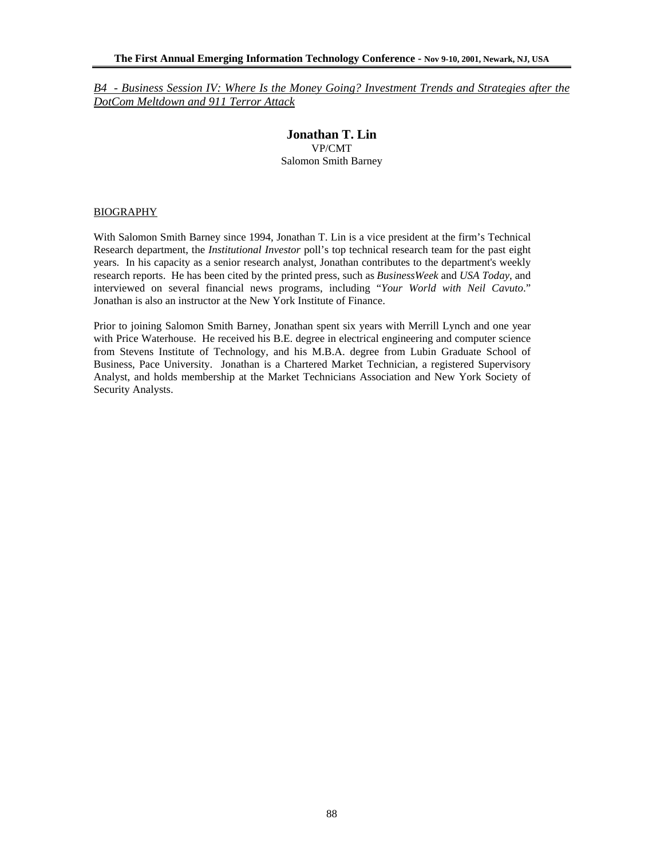# **Jonathan T. Lin**  VP/CMT Salomon Smith Barney

### BIOGRAPHY

With Salomon Smith Barney since 1994, Jonathan T. Lin is a vice president at the firm's Technical Research department, the *Institutional Investor* poll's top technical research team for the past eight years. In his capacity as a senior research analyst, Jonathan contributes to the department's weekly research reports. He has been cited by the printed press, such as *BusinessWeek* and *USA Today*, and interviewed on several financial news programs, including "*Your World with Neil Cavuto*." Jonathan is also an instructor at the New York Institute of Finance.

Prior to joining Salomon Smith Barney, Jonathan spent six years with Merrill Lynch and one year with Price Waterhouse. He received his B.E. degree in electrical engineering and computer science from Stevens Institute of Technology, and his M.B.A. degree from Lubin Graduate School of Business, Pace University. Jonathan is a Chartered Market Technician, a registered Supervisory Analyst, and holds membership at the Market Technicians Association and New York Society of Security Analysts.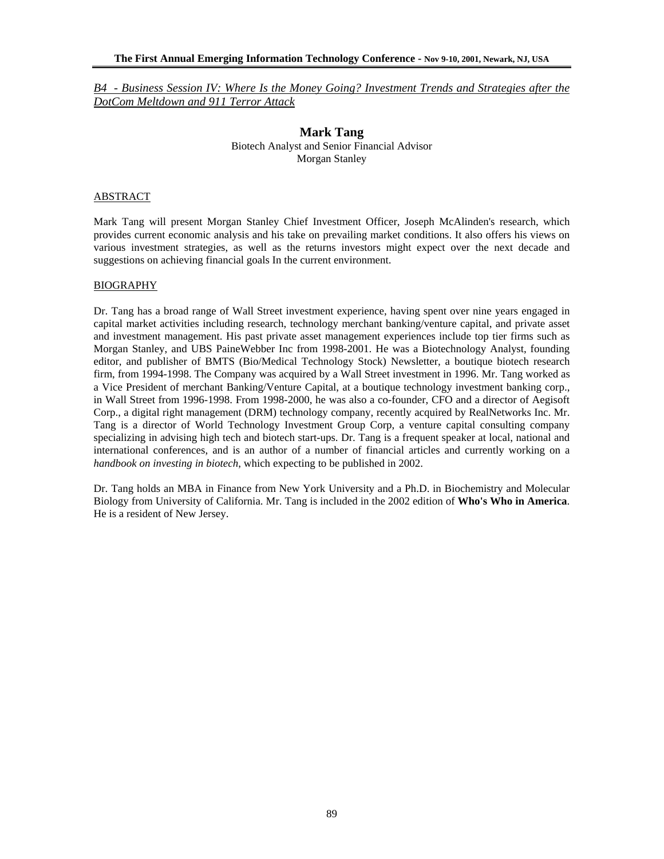> **Mark Tang**  Biotech Analyst and Senior Financial Advisor Morgan Stanley

#### ABSTRACT

Mark Tang will present Morgan Stanley Chief Investment Officer, Joseph McAlinden's research, which provides current economic analysis and his take on prevailing market conditions. It also offers his views on various investment strategies, as well as the returns investors might expect over the next decade and suggestions on achieving financial goals In the current environment.

### BIOGRAPHY

Dr. Tang has a broad range of Wall Street investment experience, having spent over nine years engaged in capital market activities including research, technology merchant banking/venture capital, and private asset and investment management. His past private asset management experiences include top tier firms such as Morgan Stanley, and UBS PaineWebber Inc from 1998-2001. He was a Biotechnology Analyst, founding editor, and publisher of BMTS (Bio/Medical Technology Stock) Newsletter, a boutique biotech research firm, from 1994-1998. The Company was acquired by a Wall Street investment in 1996. Mr. Tang worked as a Vice President of merchant Banking/Venture Capital, at a boutique technology investment banking corp., in Wall Street from 1996-1998. From 1998-2000, he was also a co-founder, CFO and a director of Aegisoft Corp., a digital right management (DRM) technology company, recently acquired by RealNetworks Inc. Mr. Tang is a director of World Technology Investment Group Corp, a venture capital consulting company specializing in advising high tech and biotech start-ups. Dr. Tang is a frequent speaker at local, national and international conferences, and is an author of a number of financial articles and currently working on a *handbook on investing in biotech*, which expecting to be published in 2002.

Dr. Tang holds an MBA in Finance from New York University and a Ph.D. in Biochemistry and Molecular Biology from University of California. Mr. Tang is included in the 2002 edition of **Who's Who in America**. He is a resident of New Jersey.